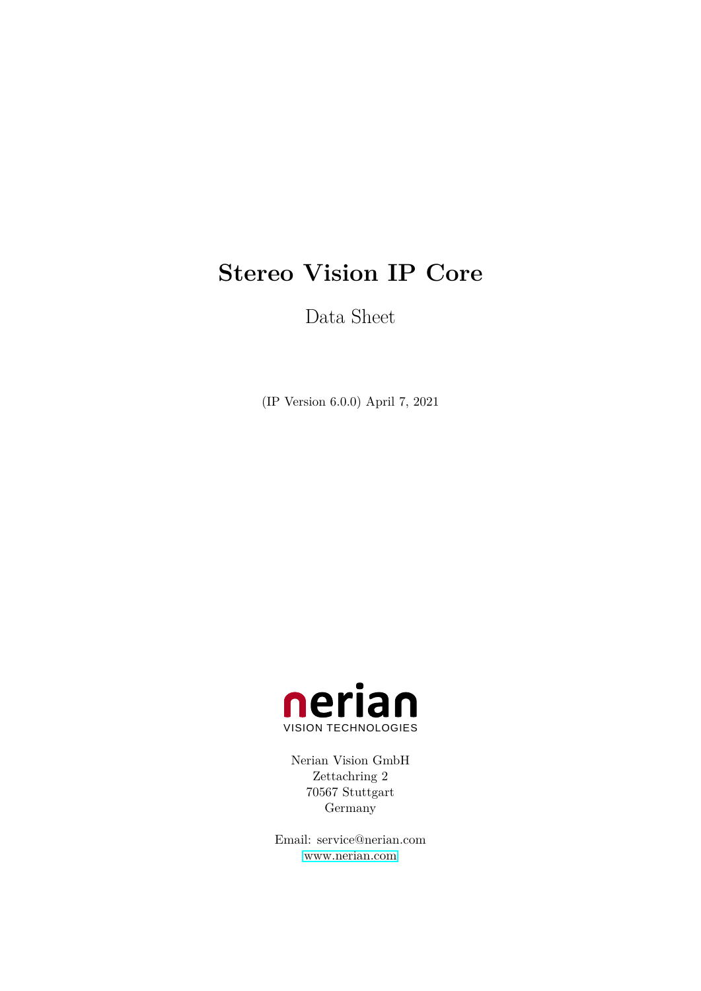# **Stereo Vision IP Core**

Data Sheet

(IP Version 6.0.0) April 7, 2021



Nerian Vision GmbH Zettachring 2 70567 Stuttgart Germany

Email: service@nerian.com <www.nerian.com>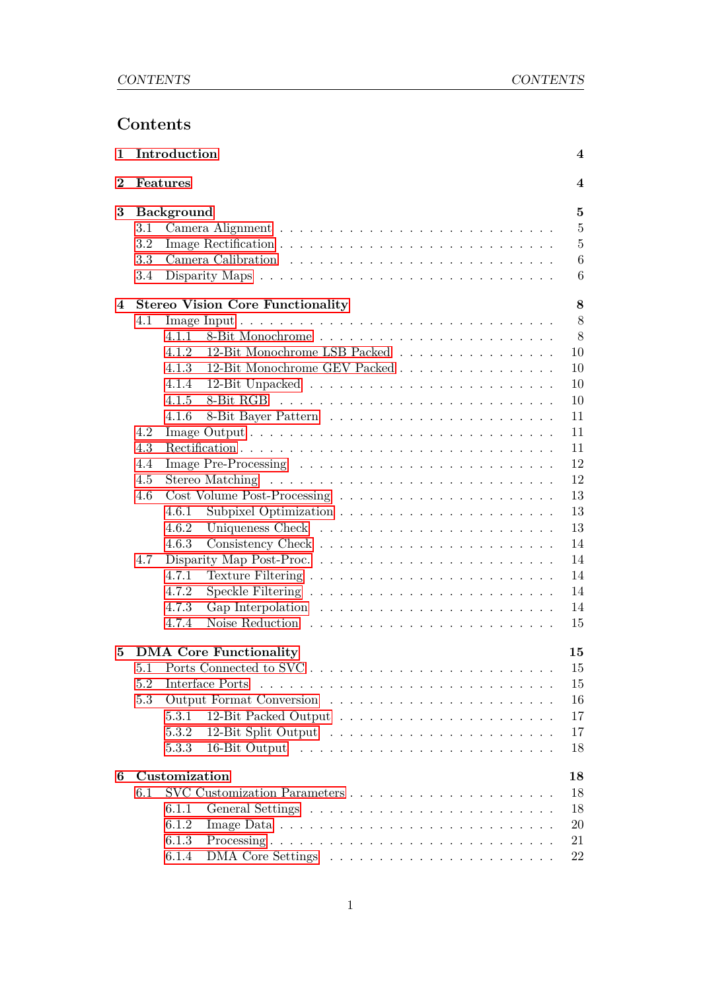# **Contents**

| $\mathbf 1$      |         | Introduction      |                                         | $\overline{\mathbf{4}}$ |  |  |  |  |  |  |  |  |  |  |  |  |
|------------------|---------|-------------------|-----------------------------------------|-------------------------|--|--|--|--|--|--|--|--|--|--|--|--|
| $\boldsymbol{2}$ |         | Features          |                                         |                         |  |  |  |  |  |  |  |  |  |  |  |  |
| $\bf{3}$         |         | <b>Background</b> |                                         |                         |  |  |  |  |  |  |  |  |  |  |  |  |
|                  | $3.1\,$ |                   |                                         | $\overline{5}$          |  |  |  |  |  |  |  |  |  |  |  |  |
|                  | 3.2     |                   |                                         | $\overline{5}$          |  |  |  |  |  |  |  |  |  |  |  |  |
|                  | 3.3     |                   |                                         | 6                       |  |  |  |  |  |  |  |  |  |  |  |  |
|                  | 3.4     |                   |                                         | 6                       |  |  |  |  |  |  |  |  |  |  |  |  |
| 4                |         |                   | <b>Stereo Vision Core Functionality</b> | 8                       |  |  |  |  |  |  |  |  |  |  |  |  |
|                  | 4.1     |                   |                                         | 8                       |  |  |  |  |  |  |  |  |  |  |  |  |
|                  |         | 4.1.1             |                                         | 8                       |  |  |  |  |  |  |  |  |  |  |  |  |
|                  |         | 4.1.2             | 12-Bit Monochrome LSB Packed            | 10                      |  |  |  |  |  |  |  |  |  |  |  |  |
|                  |         | 4.1.3             | 12-Bit Monochrome GEV Packed            | 10                      |  |  |  |  |  |  |  |  |  |  |  |  |
|                  |         | 4.1.4             |                                         | 10                      |  |  |  |  |  |  |  |  |  |  |  |  |
|                  |         | 4.1.5             |                                         | 10                      |  |  |  |  |  |  |  |  |  |  |  |  |
|                  |         | 4.1.6             |                                         | 11                      |  |  |  |  |  |  |  |  |  |  |  |  |
|                  | 4.2     |                   |                                         | 11                      |  |  |  |  |  |  |  |  |  |  |  |  |
|                  | 4.3     |                   |                                         | 11                      |  |  |  |  |  |  |  |  |  |  |  |  |
|                  | 4.4     |                   |                                         | 12                      |  |  |  |  |  |  |  |  |  |  |  |  |
|                  | 4.5     |                   | Stereo Matching                         | 12                      |  |  |  |  |  |  |  |  |  |  |  |  |
|                  | 4.6     |                   |                                         | 13                      |  |  |  |  |  |  |  |  |  |  |  |  |
|                  |         | 4.6.1             |                                         | 13                      |  |  |  |  |  |  |  |  |  |  |  |  |
|                  |         | 4.6.2             |                                         | 13                      |  |  |  |  |  |  |  |  |  |  |  |  |
|                  |         |                   |                                         | 14                      |  |  |  |  |  |  |  |  |  |  |  |  |
|                  |         | 4.6.3             |                                         |                         |  |  |  |  |  |  |  |  |  |  |  |  |
|                  | 4.7     |                   |                                         | 14                      |  |  |  |  |  |  |  |  |  |  |  |  |
|                  |         | 4.7.1             |                                         | 14                      |  |  |  |  |  |  |  |  |  |  |  |  |
|                  |         | 4.7.2             |                                         | 14                      |  |  |  |  |  |  |  |  |  |  |  |  |
|                  |         | 4.7.3             |                                         | 14                      |  |  |  |  |  |  |  |  |  |  |  |  |
|                  |         | 4.7.4             |                                         | 15                      |  |  |  |  |  |  |  |  |  |  |  |  |
| $\bf{5}$         |         |                   | <b>DMA</b> Core Functionality           | 15                      |  |  |  |  |  |  |  |  |  |  |  |  |
|                  | 5.1     |                   |                                         | 15                      |  |  |  |  |  |  |  |  |  |  |  |  |
|                  | 5.2     |                   | Interface Ports                         | 15                      |  |  |  |  |  |  |  |  |  |  |  |  |
|                  | 5.3     |                   |                                         | 16                      |  |  |  |  |  |  |  |  |  |  |  |  |
|                  |         | 5.3.1             |                                         | 17                      |  |  |  |  |  |  |  |  |  |  |  |  |
|                  |         | $5.3.2\,$         |                                         | 17                      |  |  |  |  |  |  |  |  |  |  |  |  |
|                  |         | 5.3.3             |                                         | 18                      |  |  |  |  |  |  |  |  |  |  |  |  |
| 6                |         | Customization     |                                         | 18                      |  |  |  |  |  |  |  |  |  |  |  |  |
|                  | 6.1     |                   |                                         | 18                      |  |  |  |  |  |  |  |  |  |  |  |  |
|                  |         | 6.1.1             |                                         | 18                      |  |  |  |  |  |  |  |  |  |  |  |  |
|                  |         | 6.1.2             |                                         | 20                      |  |  |  |  |  |  |  |  |  |  |  |  |
|                  |         | 6.1.3             |                                         | 21                      |  |  |  |  |  |  |  |  |  |  |  |  |
|                  |         | 6.1.4             |                                         | 22                      |  |  |  |  |  |  |  |  |  |  |  |  |
|                  |         |                   |                                         |                         |  |  |  |  |  |  |  |  |  |  |  |  |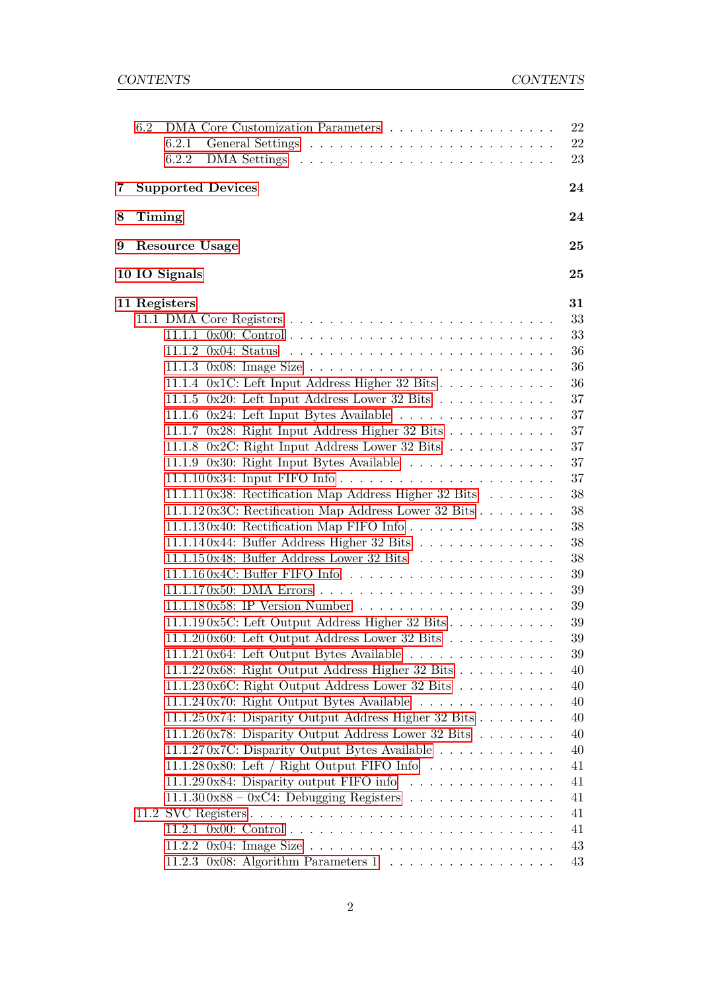|   | 6.2           | DMA Core Customization Parameters<br>6.2.1<br>6.2.2                          | 22<br>22<br>23 |
|---|---------------|------------------------------------------------------------------------------|----------------|
| 7 |               | <b>Supported Devices</b>                                                     | 24             |
| 8 | <b>Timing</b> |                                                                              | 24             |
| 9 |               | Resource Usage                                                               | 25             |
|   |               | 10 IO Signals                                                                | 25             |
|   |               | 11 Registers                                                                 | 31             |
|   |               |                                                                              | 33             |
|   |               |                                                                              | 33             |
|   |               |                                                                              | 36             |
|   |               |                                                                              | 36             |
|   |               | 11.1.4 $0x1C$ : Left Input Address Higher 32 Bits                            | 36             |
|   |               | 11.1.5 0x20: Left Input Address Lower 32 Bits $\ldots \ldots \ldots \ldots$  | 37             |
|   |               |                                                                              | $37\,$         |
|   |               | 11.1.7 0x28: Right Input Address Higher 32 Bits                              | 37             |
|   |               | 11.1.8 0x2C: Right Input Address Lower 32 Bits                               | 37             |
|   |               | 11.1.9 0x30: Right Input Bytes Available                                     | 37             |
|   |               |                                                                              | 37             |
|   |               | 11.1.110x38: Rectification Map Address Higher 32 Bits                        | 38             |
|   |               | 11.1.120x3C: Rectification Map Address Lower 32 Bits                         | 38             |
|   |               |                                                                              | 38             |
|   |               | 11.1.140x44: Buffer Address Higher 32 Bits                                   | 38             |
|   |               | 11.1.150x48: Buffer Address Lower 32 Bits                                    | 38             |
|   |               |                                                                              | 39             |
|   |               |                                                                              | 39             |
|   |               |                                                                              | 39             |
|   |               | 11.1.190 $x5C$ : Left Output Address Higher 32 Bits                          | 39             |
|   |               | 11.1.200 $x60$ : Left Output Address Lower 32 Bits                           | 39             |
|   |               | 11.1.210x64: Left Output Bytes Available                                     | 39             |
|   |               | 11.1.220x68: Right Output Address Higher 32 Bits                             | 40             |
|   |               | 11.1.230x6C: Right Output Address Lower 32 Bits                              | 40             |
|   |               | 11.1.240x70: Right Output Bytes Available                                    | 40             |
|   |               | 11.1.250x74: Disparity Output Address Higher 32 Bits                         | 40             |
|   |               | 11.1.260x78: Disparity Output Address Lower 32 Bits $\ldots \ldots$          | 40             |
|   |               | 11.1.270x7C: Disparity Output Bytes Available                                | 40             |
|   |               | 11.1.280x80: Left / Right Output FIFO Info $\ldots \ldots \ldots \ldots$     | 41             |
|   |               | 11.1.290x84: Disparity output FIFO info $\ldots \ldots \ldots \ldots \ldots$ | 41             |
|   |               | $11.1.300x88 - 0xC4$ : Debugging Registers                                   | 41             |
|   |               |                                                                              | 41             |
|   |               |                                                                              | 41             |
|   |               |                                                                              | 43             |
|   |               | 11.2.3 0x08: Algorithm Parameters $1 \ldots \ldots \ldots \ldots \ldots$     | 43             |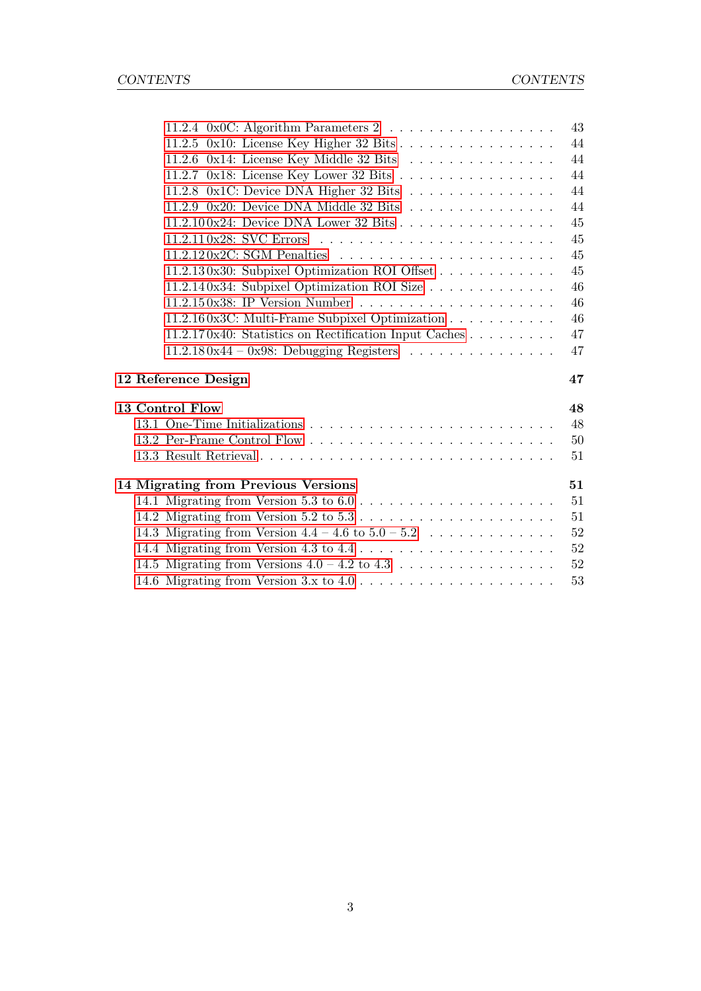|                                                        | 43           |
|--------------------------------------------------------|--------------|
| 11.2.5 0x10: License Key Higher 32 Bits                | 44           |
| 11.2.6 0x14: License Key Middle 32 Bits                | 44           |
| 11.2.7 0x18: License Key Lower 32 Bits                 | 44           |
| 11.2.8 0x1C: Device DNA Higher 32 Bits                 | 44           |
| 11.2.9 0x20: Device DNA Middle 32 Bits                 | 44           |
| 11.2.100x24: Device DNA Lower 32 Bits                  | 45           |
|                                                        | 45           |
|                                                        | 45           |
| 11.2.130x30: Subpixel Optimization ROI Offset          | 45           |
| 11.2.140x34: Subpixel Optimization ROI Size            | 46           |
|                                                        | 46           |
| 11.2.160x3C: Multi-Frame Subpixel Optimization         | 46           |
| 11.2.170x40: Statistics on Rectification Input Caches  | 47           |
|                                                        |              |
| $11.2.180x44 - 0x98$ : Debugging Registers             | 47           |
|                                                        |              |
| 12 Reference Design                                    | 47           |
| 13 Control Flow                                        | 48           |
|                                                        |              |
|                                                        | 50           |
|                                                        | $48\,$<br>51 |
|                                                        |              |
| 14 Migrating from Previous Versions                    | 51           |
|                                                        | 51           |
|                                                        | 51           |
| 14.3 Migrating from Version $4.4 - 4.6$ to $5.0 - 5.2$ | 52           |
|                                                        | 52           |
|                                                        | $52\,$<br>53 |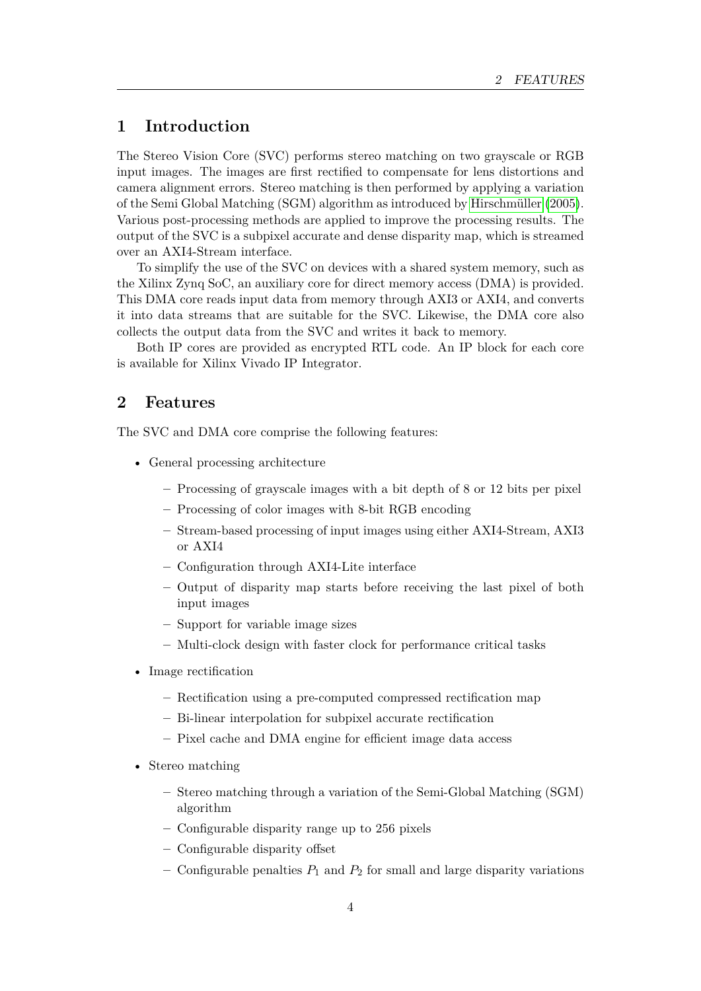# <span id="page-4-0"></span>**1 Introduction**

The Stereo Vision Core (SVC) performs stereo matching on two grayscale or RGB input images. The images are first rectified to compensate for lens distortions and camera alignment errors. Stereo matching is then performed by applying a variation of the Semi Global Matching (SGM) algorithm as introduced by [Hirschmüller](#page-57-0) [\(2005\)](#page-57-0). Various post-processing methods are applied to improve the processing results. The output of the SVC is a subpixel accurate and dense disparity map, which is streamed over an AXI4-Stream interface.

To simplify the use of the SVC on devices with a shared system memory, such as the Xilinx Zynq SoC, an auxiliary core for direct memory access (DMA) is provided. This DMA core reads input data from memory through AXI3 or AXI4, and converts it into data streams that are suitable for the SVC. Likewise, the DMA core also collects the output data from the SVC and writes it back to memory.

Both IP cores are provided as encrypted RTL code. An IP block for each core is available for Xilinx Vivado IP Integrator.

# <span id="page-4-1"></span>**2 Features**

The SVC and DMA core comprise the following features:

- General processing architecture
	- **–** Processing of grayscale images with a bit depth of 8 or 12 bits per pixel
	- **–** Processing of color images with 8-bit RGB encoding
	- **–** Stream-based processing of input images using either AXI4-Stream, AXI3 or AXI4
	- **–** Configuration through AXI4-Lite interface
	- **–** Output of disparity map starts before receiving the last pixel of both input images
	- **–** Support for variable image sizes
	- **–** Multi-clock design with faster clock for performance critical tasks
- Image rectification
	- **–** Rectification using a pre-computed compressed rectification map
	- **–** Bi-linear interpolation for subpixel accurate rectification
	- **–** Pixel cache and DMA engine for efficient image data access
- Stereo matching
	- **–** Stereo matching through a variation of the Semi-Global Matching (SGM) algorithm
	- **–** Configurable disparity range up to 256 pixels
	- **–** Configurable disparity offset
	- **–** Configurable penalties *P*1 and *P*2 for small and large disparity variations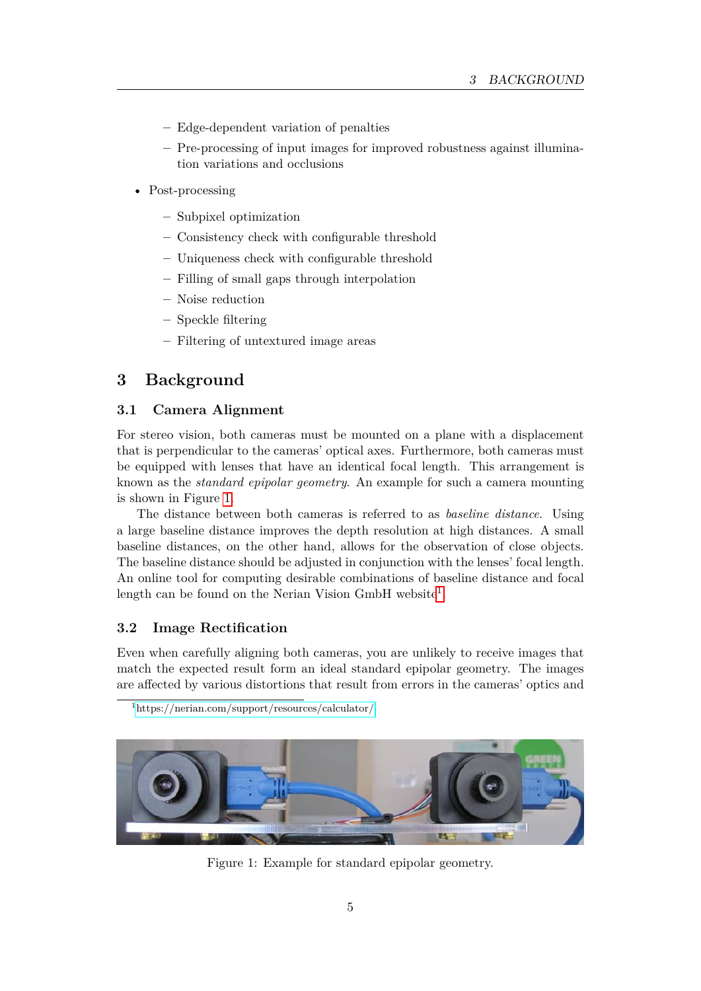- **–** Edge-dependent variation of penalties
- **–** Pre-processing of input images for improved robustness against illumination variations and occlusions
- Post-processing
	- **–** Subpixel optimization
	- **–** Consistency check with configurable threshold
	- **–** Uniqueness check with configurable threshold
	- **–** Filling of small gaps through interpolation
	- **–** Noise reduction
	- **–** Speckle filtering
	- **–** Filtering of untextured image areas

# <span id="page-5-0"></span>**3 Background**

# <span id="page-5-1"></span>**3.1 Camera Alignment**

For stereo vision, both cameras must be mounted on a plane with a displacement that is perpendicular to the cameras' optical axes. Furthermore, both cameras must be equipped with lenses that have an identical focal length. This arrangement is known as the *standard epipolar geometry*. An example for such a camera mounting is shown in Figure [1.](#page-5-3)

The distance between both cameras is referred to as *baseline distance*. Using a large baseline distance improves the depth resolution at high distances. A small baseline distances, on the other hand, allows for the observation of close objects. The baseline distance should be adjusted in conjunction with the lenses' focal length. An online tool for computing desirable combinations of baseline distance and focal length can be found on the Nerian Vision GmbH website<sup>[1](#page-5-4)</sup>.

# <span id="page-5-2"></span>**3.2 Image Rectification**

Even when carefully aligning both cameras, you are unlikely to receive images that match the expected result form an ideal standard epipolar geometry. The images are affected by various distortions that result from errors in the cameras' optics and

<span id="page-5-4"></span>

<span id="page-5-3"></span>

Figure 1: Example for standard epipolar geometry.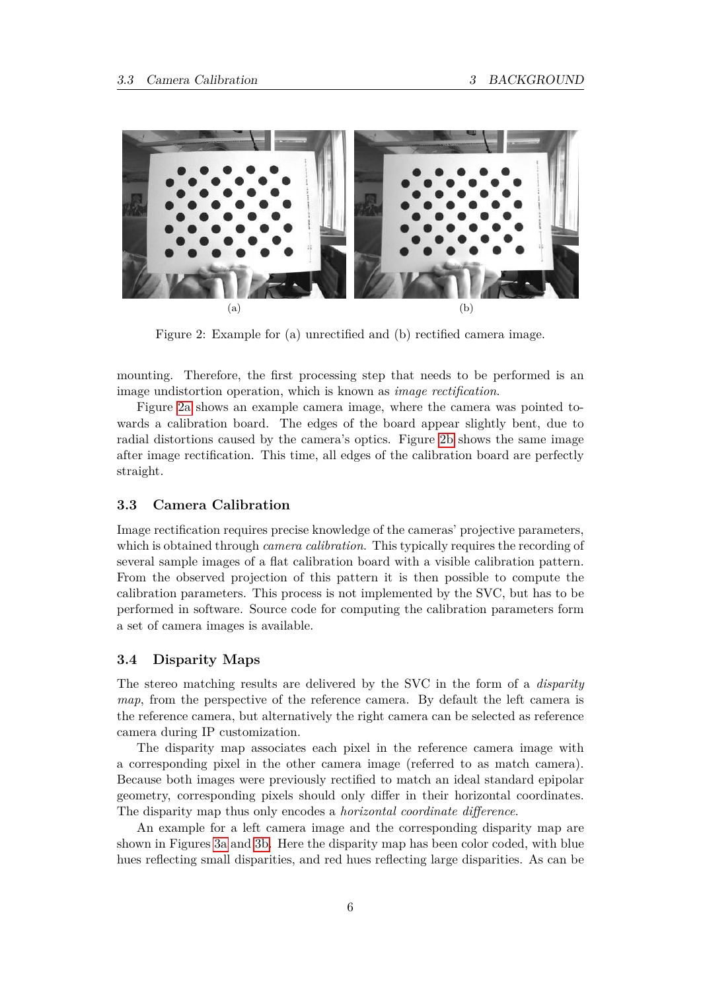<span id="page-6-2"></span>

<span id="page-6-3"></span>Figure 2: Example for (a) unrectified and (b) rectified camera image.

mounting. Therefore, the first processing step that needs to be performed is an image undistortion operation, which is known as *image rectification*.

Figure [2a](#page-6-2) shows an example camera image, where the camera was pointed towards a calibration board. The edges of the board appear slightly bent, due to radial distortions caused by the camera's optics. Figure [2b](#page-6-3) shows the same image after image rectification. This time, all edges of the calibration board are perfectly straight.

#### <span id="page-6-0"></span>**3.3 Camera Calibration**

Image rectification requires precise knowledge of the cameras' projective parameters, which is obtained through *camera calibration*. This typically requires the recording of several sample images of a flat calibration board with a visible calibration pattern. From the observed projection of this pattern it is then possible to compute the calibration parameters. This process is not implemented by the SVC, but has to be performed in software. Source code for computing the calibration parameters form a set of camera images is available.

#### <span id="page-6-1"></span>**3.4 Disparity Maps**

The stereo matching results are delivered by the SVC in the form of a *disparity map*, from the perspective of the reference camera. By default the left camera is the reference camera, but alternatively the right camera can be selected as reference camera during IP customization.

The disparity map associates each pixel in the reference camera image with a corresponding pixel in the other camera image (referred to as match camera). Because both images were previously rectified to match an ideal standard epipolar geometry, corresponding pixels should only differ in their horizontal coordinates. The disparity map thus only encodes a *horizontal coordinate difference*.

An example for a left camera image and the corresponding disparity map are shown in Figures [3a](#page-7-0) and [3b.](#page-7-1) Here the disparity map has been color coded, with blue hues reflecting small disparities, and red hues reflecting large disparities. As can be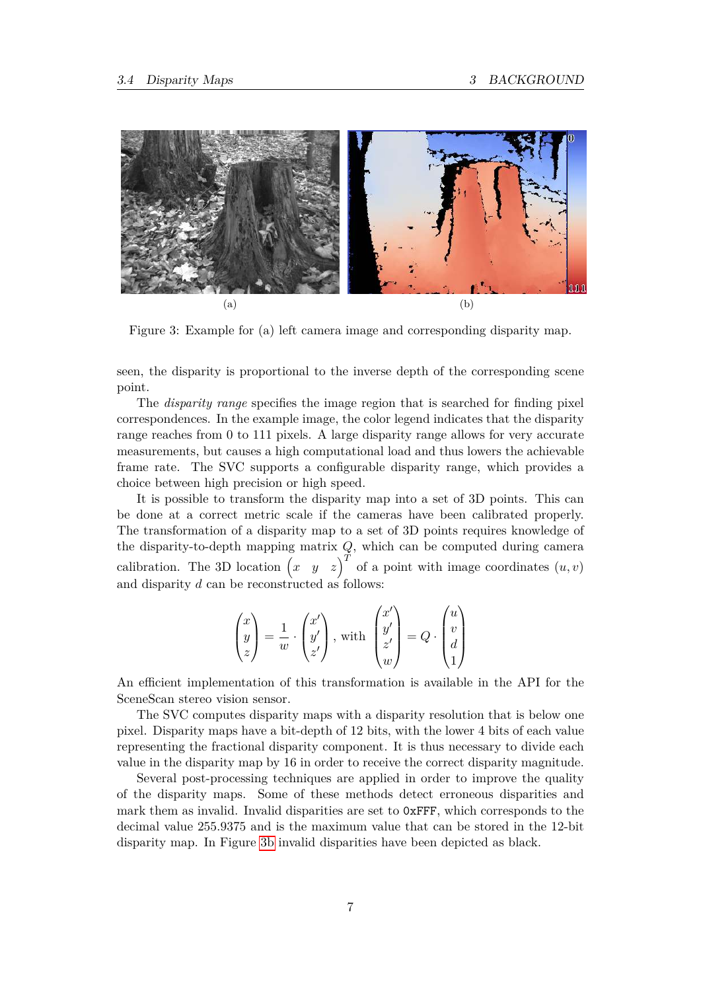<span id="page-7-0"></span>

<span id="page-7-1"></span>Figure 3: Example for (a) left camera image and corresponding disparity map.

seen, the disparity is proportional to the inverse depth of the corresponding scene point.

The *disparity range* specifies the image region that is searched for finding pixel correspondences. In the example image, the color legend indicates that the disparity range reaches from 0 to 111 pixels. A large disparity range allows for very accurate measurements, but causes a high computational load and thus lowers the achievable frame rate. The SVC supports a configurable disparity range, which provides a choice between high precision or high speed.

It is possible to transform the disparity map into a set of 3D points. This can be done at a correct metric scale if the cameras have been calibrated properly. The transformation of a disparity map to a set of 3D points requires knowledge of the disparity-to-depth mapping matrix *Q*, which can be computed during camera calibration. The 3D location  $\begin{pmatrix} x & y & z \end{pmatrix}^T$  of a point with image coordinates  $(u, v)$ and disparity *d* can be reconstructed as follows:

$$
\begin{pmatrix} x \\ y \\ z \end{pmatrix} = \frac{1}{w} \cdot \begin{pmatrix} x' \\ y' \\ z' \end{pmatrix}, \text{ with } \begin{pmatrix} x' \\ y' \\ z' \\ w \end{pmatrix} = Q \cdot \begin{pmatrix} u \\ v \\ d \\ 1 \end{pmatrix}
$$

An efficient implementation of this transformation is available in the API for the SceneScan stereo vision sensor.

The SVC computes disparity maps with a disparity resolution that is below one pixel. Disparity maps have a bit-depth of 12 bits, with the lower 4 bits of each value representing the fractional disparity component. It is thus necessary to divide each value in the disparity map by 16 in order to receive the correct disparity magnitude.

Several post-processing techniques are applied in order to improve the quality of the disparity maps. Some of these methods detect erroneous disparities and mark them as invalid. Invalid disparities are set to 0xFFF, which corresponds to the decimal value 255.9375 and is the maximum value that can be stored in the 12-bit disparity map. In Figure [3b](#page-7-1) invalid disparities have been depicted as black.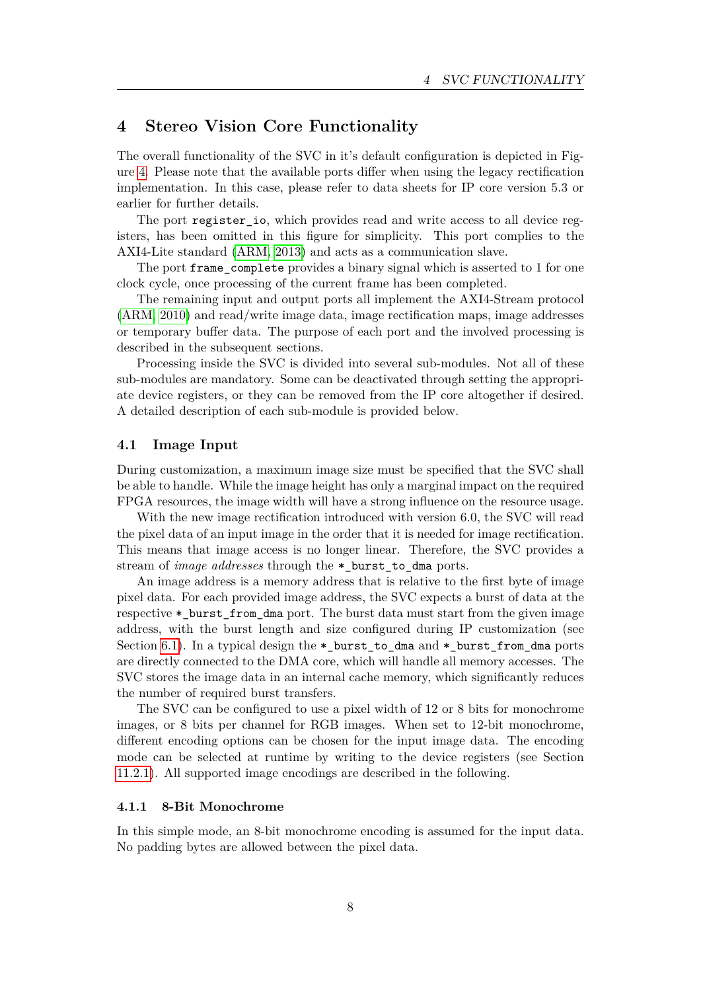# <span id="page-8-0"></span>**4 Stereo Vision Core Functionality**

The overall functionality of the SVC in it's default configuration is depicted in Figure [4.](#page-9-0) Please note that the available ports differ when using the legacy rectification implementation. In this case, please refer to data sheets for IP core version 5.3 or earlier for further details.

The port register io, which provides read and write access to all device registers, has been omitted in this figure for simplicity. This port complies to the AXI4-Lite standard [\(ARM, 2013\)](#page-57-1) and acts as a communication slave.

The port frame complete provides a binary signal which is asserted to 1 for one clock cycle, once processing of the current frame has been completed.

The remaining input and output ports all implement the AXI4-Stream protocol [\(ARM, 2010\)](#page-57-2) and read/write image data, image rectification maps, image addresses or temporary buffer data. The purpose of each port and the involved processing is described in the subsequent sections.

Processing inside the SVC is divided into several sub-modules. Not all of these sub-modules are mandatory. Some can be deactivated through setting the appropriate device registers, or they can be removed from the IP core altogether if desired. A detailed description of each sub-module is provided below.

### <span id="page-8-1"></span>**4.1 Image Input**

During customization, a maximum image size must be specified that the SVC shall be able to handle. While the image height has only a marginal impact on the required FPGA resources, the image width will have a strong influence on the resource usage.

With the new image rectification introduced with version 6.0, the SVC will read the pixel data of an input image in the order that it is needed for image rectification. This means that image access is no longer linear. Therefore, the SVC provides a stream of *image addresses* through the \*\_burst\_to\_dma ports.

An image address is a memory address that is relative to the first byte of image pixel data. For each provided image address, the SVC expects a burst of data at the respective \* burst from dma port. The burst data must start from the given image address, with the burst length and size configured during IP customization (see Section [6.1\)](#page-18-2). In a typical design the \*\_burst\_to\_dma and \*\_burst\_from\_dma ports are directly connected to the DMA core, which will handle all memory accesses. The SVC stores the image data in an internal cache memory, which significantly reduces the number of required burst transfers.

The SVC can be configured to use a pixel width of 12 or 8 bits for monochrome images, or 8 bits per channel for RGB images. When set to 12-bit monochrome, different encoding options can be chosen for the input image data. The encoding mode can be selected at runtime by writing to the device registers (see Section [11.2.1\)](#page-41-4). All supported image encodings are described in the following.

# <span id="page-8-2"></span>**4.1.1 8-Bit Monochrome**

In this simple mode, an 8-bit monochrome encoding is assumed for the input data. No padding bytes are allowed between the pixel data.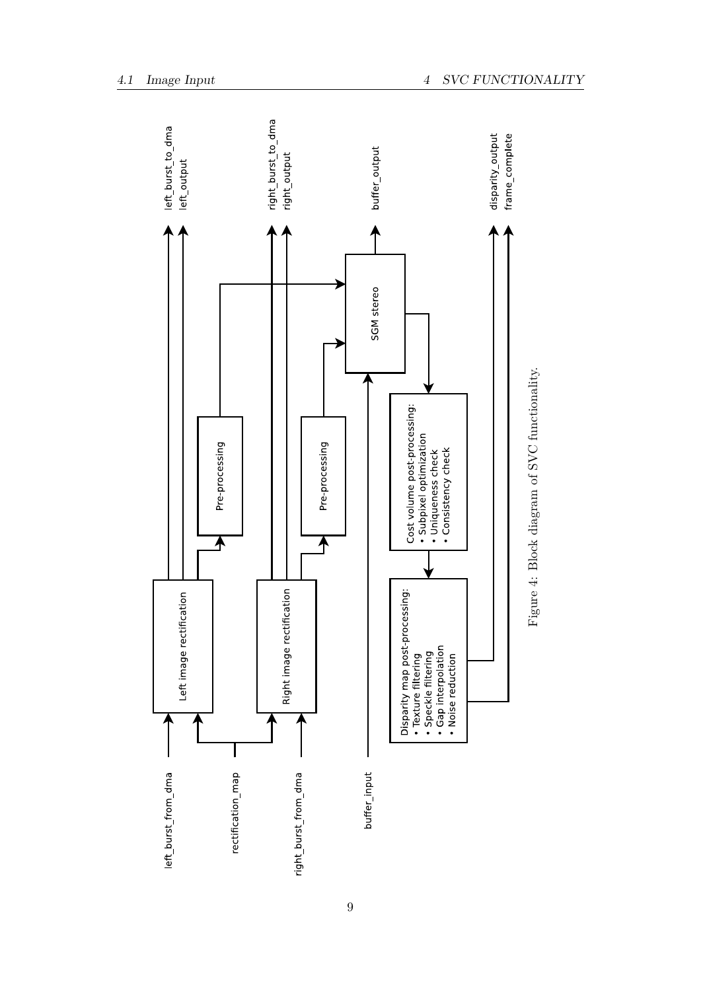<span id="page-9-0"></span>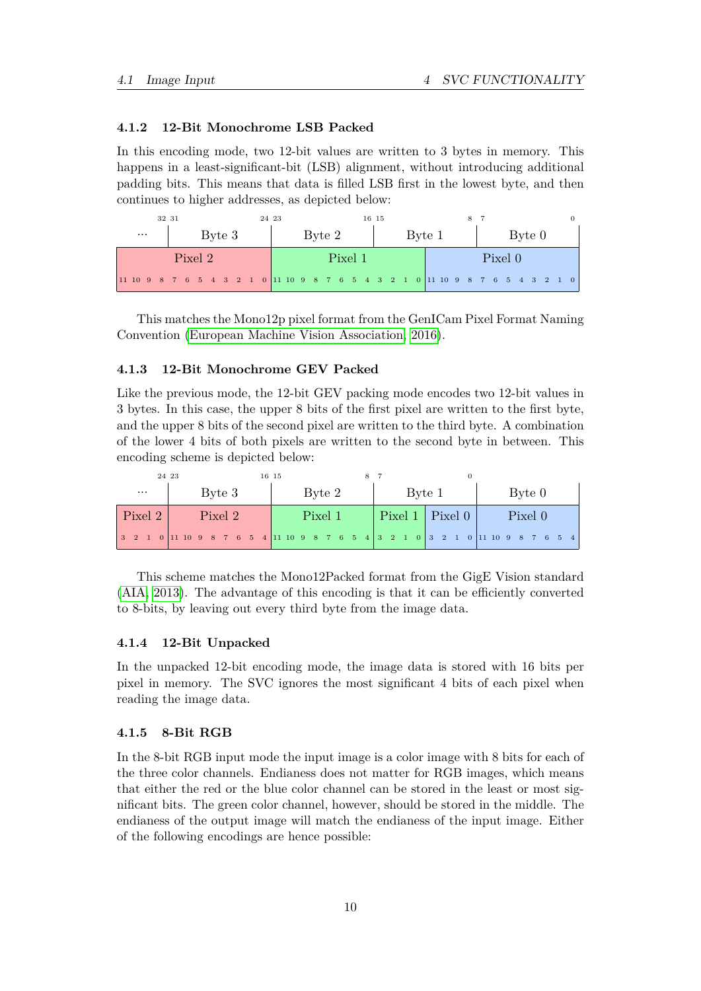# <span id="page-10-0"></span>**4.1.2 12-Bit Monochrome LSB Packed**

In this encoding mode, two 12-bit values are written to 3 bytes in memory. This happens in a least-significant-bit (LSB) alignment, without introducing additional padding bits. This means that data is filled LSB first in the lowest byte, and then continues to higher addresses, as depicted below:

| 32 31    |         | 24 23   | 16 15  |                                                                               |  |  |  |  |  |
|----------|---------|---------|--------|-------------------------------------------------------------------------------|--|--|--|--|--|
| $\cdots$ | Byte 3  | Byte 2  | Byte 1 | Byte 0                                                                        |  |  |  |  |  |
|          | Pixel 2 | Pixel 1 |        | Pixel 0                                                                       |  |  |  |  |  |
|          |         |         |        | 11 10 9 8 7 6 5 4 3 2 1 0 11 10 9 8 7 6 5 4 3 2 1 0 11 10 9 8 7 6 5 4 3 2 1 0 |  |  |  |  |  |

This matches the Mono12p pixel format from the GenICam Pixel Format Naming Convention [\(European Machine Vision Association, 2016\)](#page-57-3).

#### <span id="page-10-1"></span>**4.1.3 12-Bit Monochrome GEV Packed**

Like the previous mode, the 12-bit GEV packing mode encodes two 12-bit values in 3 bytes. In this case, the upper 8 bits of the first pixel are written to the first byte, and the upper 8 bits of the second pixel are written to the third byte. A combination of the lower 4 bits of both pixels are written to the second byte in between. This encoding scheme is depicted below:

| 24 23<br>16 15 |                                                                                                                                                |  |  |  |        |         |  |  |  |  |  |        |         |  |  |  |  |  |        |  |  |  |                       |  |         |  |  |  |  |  |  |
|----------------|------------------------------------------------------------------------------------------------------------------------------------------------|--|--|--|--------|---------|--|--|--|--|--|--------|---------|--|--|--|--|--|--------|--|--|--|-----------------------|--|---------|--|--|--|--|--|--|
|                | Byte 3<br>$\cdots$                                                                                                                             |  |  |  | Byte 2 |         |  |  |  |  |  | Byte 1 |         |  |  |  |  |  | Byte 0 |  |  |  |                       |  |         |  |  |  |  |  |  |
|                | Pixel 2 $ $                                                                                                                                    |  |  |  |        | Pixel 2 |  |  |  |  |  |        | Pixel 1 |  |  |  |  |  |        |  |  |  | $ $ Pixel 1   Pixel 0 |  | Pixel 0 |  |  |  |  |  |  |
|                | $\begin{array}{ ccccccccccccccccccc }\hline3&2&1&0&11&10&9&8&7&6&5&4&11&10&9&8&7&6&5&4&3&2&1&0&3&2&1&0&11&10&9&8&7&6&5&4 \\\hline \end{array}$ |  |  |  |        |         |  |  |  |  |  |        |         |  |  |  |  |  |        |  |  |  |                       |  |         |  |  |  |  |  |  |

This scheme matches the Mono12Packed format from the GigE Vision standard [\(AIA, 2013\)](#page-57-4). The advantage of this encoding is that it can be efficiently converted to 8-bits, by leaving out every third byte from the image data.

#### <span id="page-10-2"></span>**4.1.4 12-Bit Unpacked**

In the unpacked 12-bit encoding mode, the image data is stored with 16 bits per pixel in memory. The SVC ignores the most significant 4 bits of each pixel when reading the image data.

#### <span id="page-10-3"></span>**4.1.5 8-Bit RGB**

In the 8-bit RGB input mode the input image is a color image with 8 bits for each of the three color channels. Endianess does not matter for RGB images, which means that either the red or the blue color channel can be stored in the least or most significant bits. The green color channel, however, should be stored in the middle. The endianess of the output image will match the endianess of the input image. Either of the following encodings are hence possible: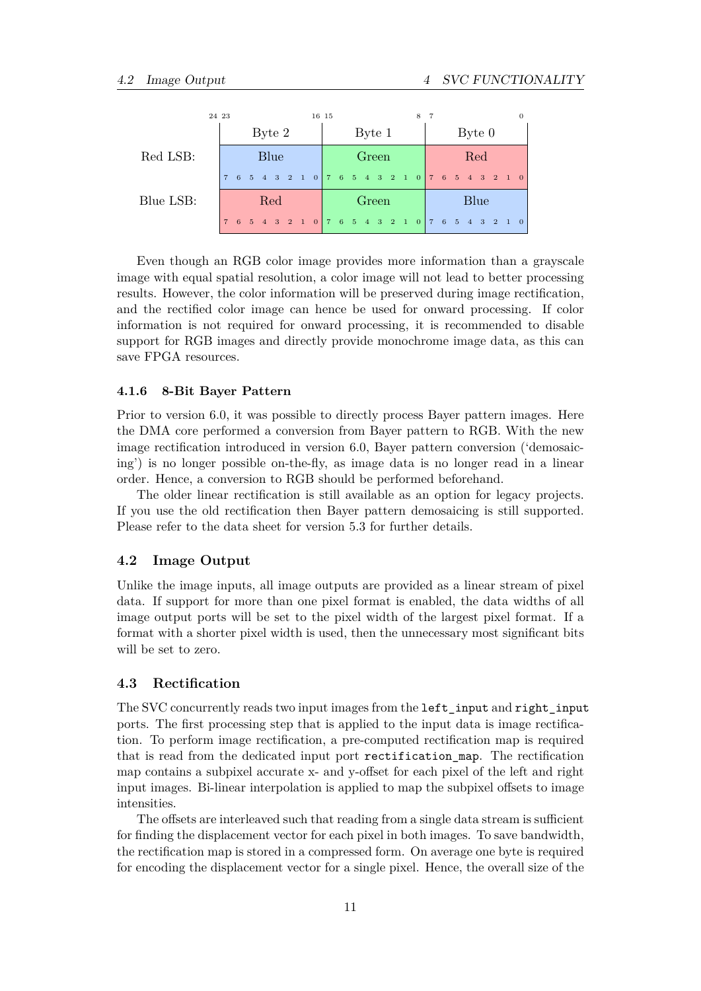|           | 24 23 |  |        |     |       |        |  | 16 15 |       |  |  |  |        |  |      | 8 |  |  |  |                                                 |  |  | $\theta$ |
|-----------|-------|--|--------|-----|-------|--------|--|-------|-------|--|--|--|--------|--|------|---|--|--|--|-------------------------------------------------|--|--|----------|
|           |       |  | Byte 2 |     |       | Byte 1 |  |       |       |  |  |  | Byte 0 |  |      |   |  |  |  |                                                 |  |  |          |
| Red LSB:  | Blue  |  |        |     | Green |        |  |       |       |  |  |  | Red    |  |      |   |  |  |  |                                                 |  |  |          |
|           |       |  |        |     |       |        |  |       |       |  |  |  |        |  |      |   |  |  |  | 7 6 5 4 3 2 1 0 7 6 5 4 3 2 1 0 7 6 5 4 3 2 1 0 |  |  |          |
| Blue LSB: |       |  |        | Red |       |        |  |       | Green |  |  |  |        |  | Blue |   |  |  |  |                                                 |  |  |          |
|           |       |  |        |     |       |        |  |       |       |  |  |  |        |  |      |   |  |  |  | 7 6 5 4 3 2 1 0 7 6 5 4 3 2 1 0 7 6 5 4 3 2 1 0 |  |  |          |

Even though an RGB color image provides more information than a grayscale image with equal spatial resolution, a color image will not lead to better processing results. However, the color information will be preserved during image rectification, and the rectified color image can hence be used for onward processing. If color information is not required for onward processing, it is recommended to disable support for RGB images and directly provide monochrome image data, as this can save FPGA resources.

## <span id="page-11-0"></span>**4.1.6 8-Bit Bayer Pattern**

Prior to version 6.0, it was possible to directly process Bayer pattern images. Here the DMA core performed a conversion from Bayer pattern to RGB. With the new image rectification introduced in version 6.0, Bayer pattern conversion ('demosaicing') is no longer possible on-the-fly, as image data is no longer read in a linear order. Hence, a conversion to RGB should be performed beforehand.

The older linear rectification is still available as an option for legacy projects. If you use the old rectification then Bayer pattern demosaicing is still supported. Please refer to the data sheet for version 5.3 for further details.

# <span id="page-11-1"></span>**4.2 Image Output**

Unlike the image inputs, all image outputs are provided as a linear stream of pixel data. If support for more than one pixel format is enabled, the data widths of all image output ports will be set to the pixel width of the largest pixel format. If a format with a shorter pixel width is used, then the unnecessary most significant bits will be set to zero.

# <span id="page-11-2"></span>**4.3 Rectification**

The SVC concurrently reads two input images from the left\_input and right\_input ports. The first processing step that is applied to the input data is image rectification. To perform image rectification, a pre-computed rectification map is required that is read from the dedicated input port rectification\_map. The rectification map contains a subpixel accurate x- and y-offset for each pixel of the left and right input images. Bi-linear interpolation is applied to map the subpixel offsets to image intensities.

The offsets are interleaved such that reading from a single data stream is sufficient for finding the displacement vector for each pixel in both images. To save bandwidth, the rectification map is stored in a compressed form. On average one byte is required for encoding the displacement vector for a single pixel. Hence, the overall size of the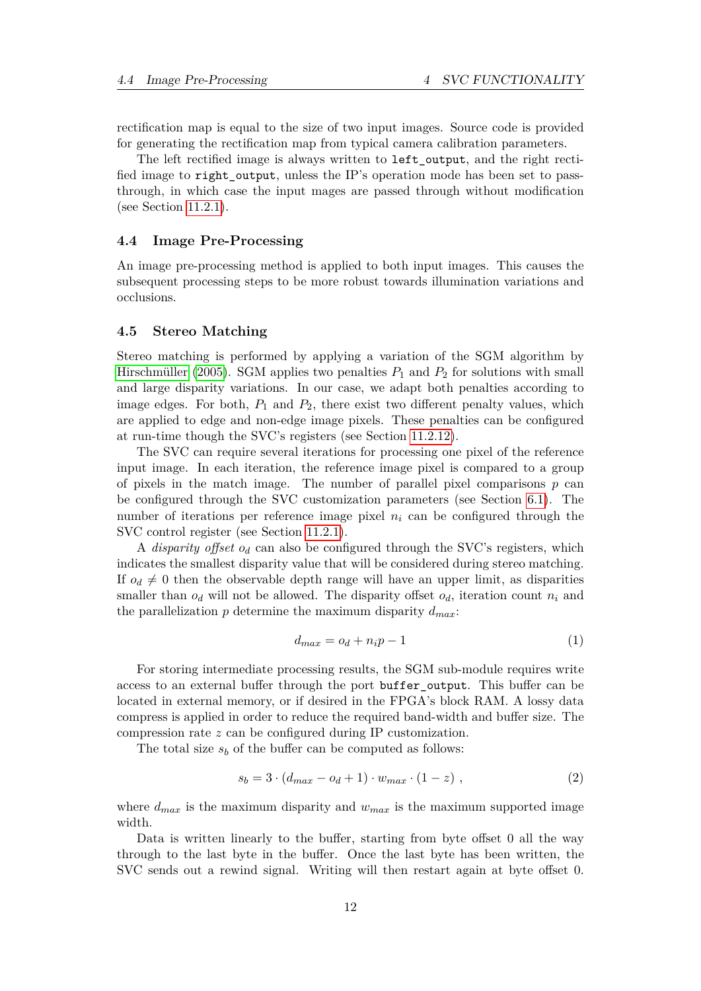rectification map is equal to the size of two input images. Source code is provided for generating the rectification map from typical camera calibration parameters.

The left rectified image is always written to left\_output, and the right rectified image to right output, unless the IP's operation mode has been set to passthrough, in which case the input mages are passed through without modification (see Section [11.2.1\)](#page-41-4).

#### <span id="page-12-0"></span>**4.4 Image Pre-Processing**

An image pre-processing method is applied to both input images. This causes the subsequent processing steps to be more robust towards illumination variations and occlusions.

#### <span id="page-12-1"></span>**4.5 Stereo Matching**

Stereo matching is performed by applying a variation of the SGM algorithm by [Hirschmüller \(2005\)](#page-57-0). SGM applies two penalties *P*1 and *P*2 for solutions with small and large disparity variations. In our case, we adapt both penalties according to image edges. For both,  $P_1$  and  $P_2$ , there exist two different penalty values, which are applied to edge and non-edge image pixels. These penalties can be configured at run-time though the SVC's registers (see Section [11.2.12\)](#page-45-2).

The SVC can require several iterations for processing one pixel of the reference input image. In each iteration, the reference image pixel is compared to a group of pixels in the match image. The number of parallel pixel comparisons *p* can be configured through the SVC customization parameters (see Section [6.1\)](#page-18-2). The number of iterations per reference image pixel  $n_i$  can be configured through the SVC control register (see Section [11.2.1\)](#page-41-4).

A *disparity offset od* can also be configured through the SVC's registers, which indicates the smallest disparity value that will be considered during stereo matching. If  $o_d \neq 0$  then the observable depth range will have an upper limit, as disparities smaller than  $o_d$  will not be allowed. The disparity offset  $o_d$ , iteration count  $n_i$  and the parallelization *p* determine the maximum disparity *dmax*:

$$
d_{max} = o_d + n_i p - 1 \tag{1}
$$

For storing intermediate processing results, the SGM sub-module requires write access to an external buffer through the port buffer\_output. This buffer can be located in external memory, or if desired in the FPGA's block RAM. A lossy data compress is applied in order to reduce the required band-width and buffer size. The compression rate *z* can be configured during IP customization.

The total size  $s_b$  of the buffer can be computed as follows:

$$
s_b = 3 \cdot (d_{max} - o_d + 1) \cdot w_{max} \cdot (1 - z) , \qquad (2)
$$

where  $d_{max}$  is the maximum disparity and  $w_{max}$  is the maximum supported image width.

Data is written linearly to the buffer, starting from byte offset 0 all the way through to the last byte in the buffer. Once the last byte has been written, the SVC sends out a rewind signal. Writing will then restart again at byte offset 0.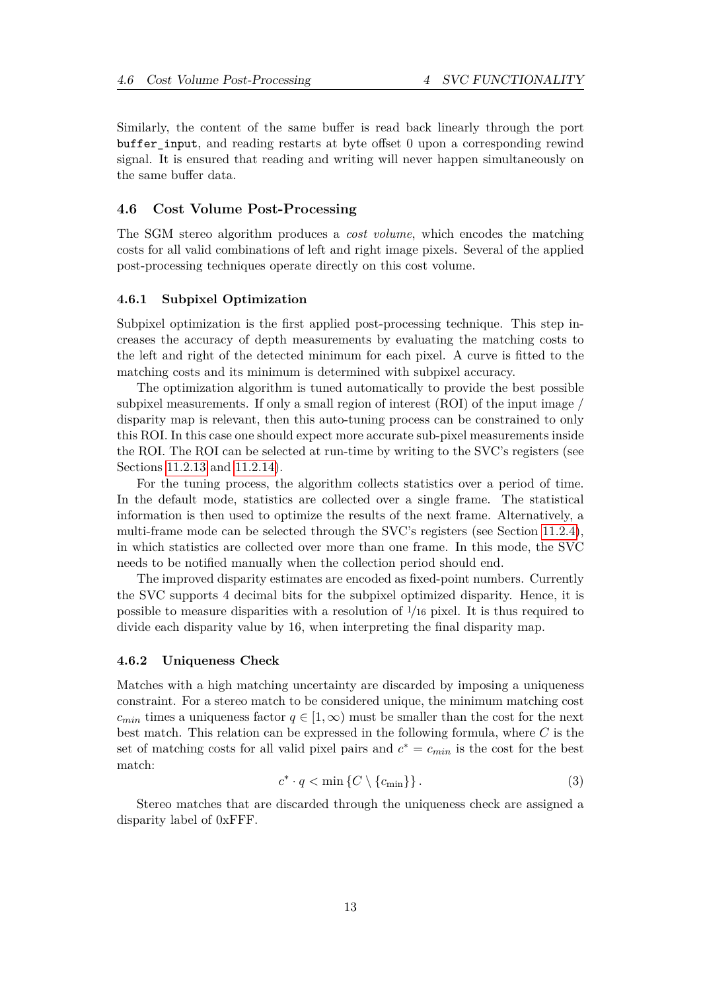Similarly, the content of the same buffer is read back linearly through the port buffer\_input, and reading restarts at byte offset 0 upon a corresponding rewind signal. It is ensured that reading and writing will never happen simultaneously on the same buffer data.

### <span id="page-13-0"></span>**4.6 Cost Volume Post-Processing**

The SGM stereo algorithm produces a *cost volume*, which encodes the matching costs for all valid combinations of left and right image pixels. Several of the applied post-processing techniques operate directly on this cost volume.

#### <span id="page-13-1"></span>**4.6.1 Subpixel Optimization**

Subpixel optimization is the first applied post-processing technique. This step increases the accuracy of depth measurements by evaluating the matching costs to the left and right of the detected minimum for each pixel. A curve is fitted to the matching costs and its minimum is determined with subpixel accuracy.

The optimization algorithm is tuned automatically to provide the best possible subpixel measurements. If only a small region of interest (ROI) of the input image / disparity map is relevant, then this auto-tuning process can be constrained to only this ROI. In this case one should expect more accurate sub-pixel measurements inside the ROI. The ROI can be selected at run-time by writing to the SVC's registers (see Sections [11.2.13](#page-45-3) and [11.2.14\)](#page-46-0).

For the tuning process, the algorithm collects statistics over a period of time. In the default mode, statistics are collected over a single frame. The statistical information is then used to optimize the results of the next frame. Alternatively, a multi-frame mode can be selected through the SVC's registers (see Section [11.2.4\)](#page-43-2), in which statistics are collected over more than one frame. In this mode, the SVC needs to be notified manually when the collection period should end.

The improved disparity estimates are encoded as fixed-point numbers. Currently the SVC supports 4 decimal bits for the subpixel optimized disparity. Hence, it is possible to measure disparities with a resolution of <sup>1</sup>*/*<sup>16</sup> pixel. It is thus required to divide each disparity value by 16, when interpreting the final disparity map.

#### <span id="page-13-2"></span>**4.6.2 Uniqueness Check**

Matches with a high matching uncertainty are discarded by imposing a uniqueness constraint. For a stereo match to be considered unique, the minimum matching cost  $c_{min}$  times a uniqueness factor  $q \in [1,\infty)$  must be smaller than the cost for the next best match. This relation can be expressed in the following formula, where *C* is the set of matching costs for all valid pixel pairs and  $c^* = c_{min}$  is the cost for the best match:

$$
c^* \cdot q < \min \left\{ C \setminus \{c_{\min} \} \right\}. \tag{3}
$$

Stereo matches that are discarded through the uniqueness check are assigned a disparity label of 0xFFF.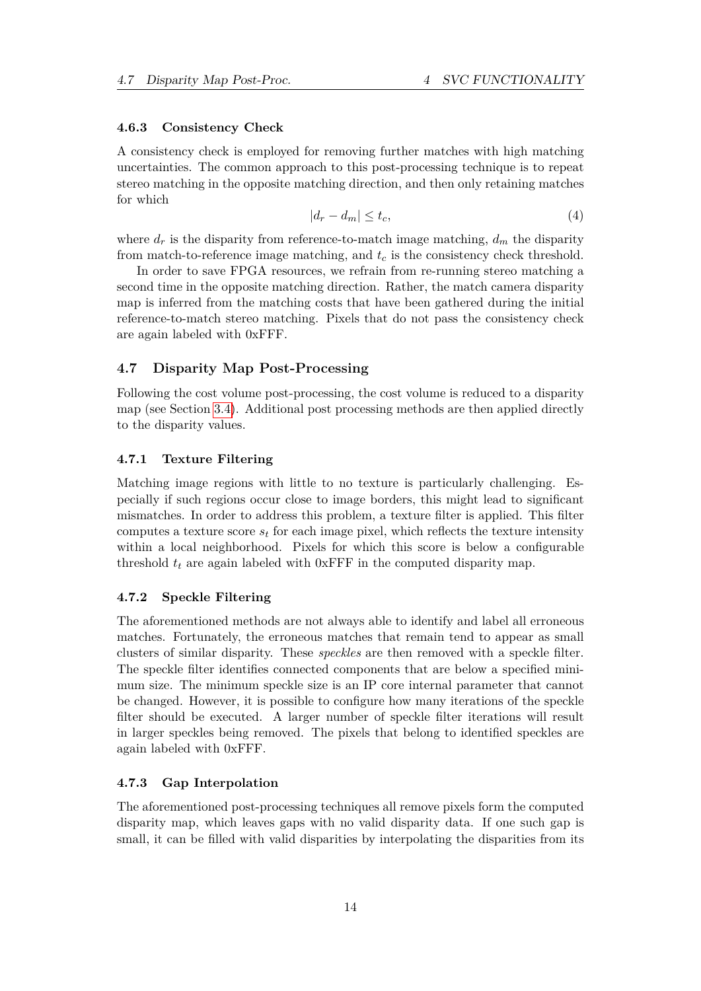#### <span id="page-14-0"></span>**4.6.3 Consistency Check**

A consistency check is employed for removing further matches with high matching uncertainties. The common approach to this post-processing technique is to repeat stereo matching in the opposite matching direction, and then only retaining matches for which

$$
|d_r - d_m| \le t_c,\tag{4}
$$

where  $d_r$  is the disparity from reference-to-match image matching,  $d_m$  the disparity from match-to-reference image matching, and *tc* is the consistency check threshold.

In order to save FPGA resources, we refrain from re-running stereo matching a second time in the opposite matching direction. Rather, the match camera disparity map is inferred from the matching costs that have been gathered during the initial reference-to-match stereo matching. Pixels that do not pass the consistency check are again labeled with 0xFFF.

### <span id="page-14-1"></span>**4.7 Disparity Map Post-Processing**

Following the cost volume post-processing, the cost volume is reduced to a disparity map (see Section [3.4\)](#page-6-1). Additional post processing methods are then applied directly to the disparity values.

# <span id="page-14-2"></span>**4.7.1 Texture Filtering**

Matching image regions with little to no texture is particularly challenging. Especially if such regions occur close to image borders, this might lead to significant mismatches. In order to address this problem, a texture filter is applied. This filter computes a texture score  $s_t$  for each image pixel, which reflects the texture intensity within a local neighborhood. Pixels for which this score is below a configurable threshold  $t_t$  are again labeled with  $0xFFF$  in the computed disparity map.

# <span id="page-14-3"></span>**4.7.2 Speckle Filtering**

The aforementioned methods are not always able to identify and label all erroneous matches. Fortunately, the erroneous matches that remain tend to appear as small clusters of similar disparity. These *speckles* are then removed with a speckle filter. The speckle filter identifies connected components that are below a specified minimum size. The minimum speckle size is an IP core internal parameter that cannot be changed. However, it is possible to configure how many iterations of the speckle filter should be executed. A larger number of speckle filter iterations will result in larger speckles being removed. The pixels that belong to identified speckles are again labeled with 0xFFF.

# <span id="page-14-4"></span>**4.7.3 Gap Interpolation**

The aforementioned post-processing techniques all remove pixels form the computed disparity map, which leaves gaps with no valid disparity data. If one such gap is small, it can be filled with valid disparities by interpolating the disparities from its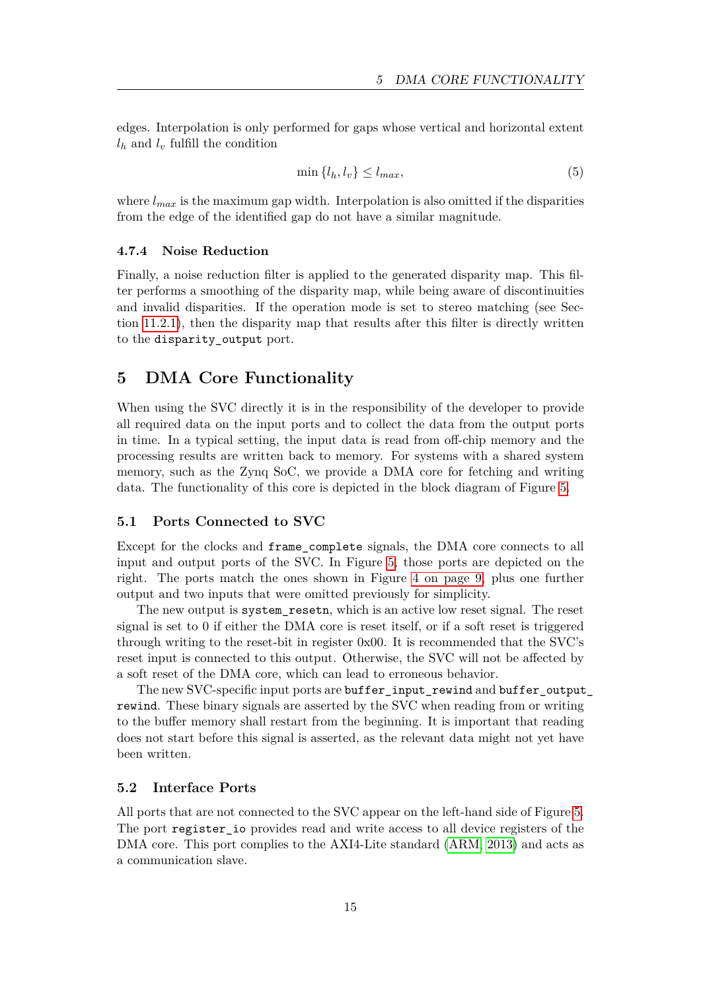edges. Interpolation is only performed for gaps whose vertical and horizontal extent  $l_h$  and  $l_v$  fulfill the condition

$$
\min\{l_h, l_v\} \le l_{max},\tag{5}
$$

where  $l_{max}$  is the maximum gap width. Interpolation is also omitted if the disparities from the edge of the identified gap do not have a similar magnitude.

# <span id="page-15-0"></span>**4.7.4 Noise Reduction**

Finally, a noise reduction filter is applied to the generated disparity map. This filter performs a smoothing of the disparity map, while being aware of discontinuities and invalid disparities. If the operation mode is set to stereo matching (see Section [11.2.1\)](#page-41-4), then the disparity map that results after this filter is directly written to the disparity\_output port.

# <span id="page-15-1"></span>**5 DMA Core Functionality**

When using the SVC directly it is in the responsibility of the developer to provide all required data on the input ports and to collect the data from the output ports in time. In a typical setting, the input data is read from off-chip memory and the processing results are written back to memory. For systems with a shared system memory, such as the Zynq SoC, we provide a DMA core for fetching and writing data. The functionality of this core is depicted in the block diagram of Figure [5.](#page-16-1)

# <span id="page-15-2"></span>**5.1 Ports Connected to SVC**

Except for the clocks and frame\_complete signals, the DMA core connects to all input and output ports of the SVC. In Figure [5,](#page-16-1) those ports are depicted on the right. The ports match the ones shown in Figure [4 on page 9,](#page-9-0) plus one further output and two inputs that were omitted previously for simplicity.

The new output is system\_resetn, which is an active low reset signal. The reset signal is set to 0 if either the DMA core is reset itself, or if a soft reset is triggered through writing to the reset-bit in register 0x00. It is recommended that the SVC's reset input is connected to this output. Otherwise, the SVC will not be affected by a soft reset of the DMA core, which can lead to erroneous behavior.

The new SVC-specific input ports are buffer\_input\_rewind and buffer\_output\_ rewind. These binary signals are asserted by the SVC when reading from or writing to the buffer memory shall restart from the beginning. It is important that reading does not start before this signal is asserted, as the relevant data might not yet have been written.

#### <span id="page-15-3"></span>**5.2 Interface Ports**

All ports that are not connected to the SVC appear on the left-hand side of Figure [5.](#page-16-1) The port register io provides read and write access to all device registers of the DMA core. This port complies to the AXI4-Lite standard [\(ARM, 2013\)](#page-57-1) and acts as a communication slave.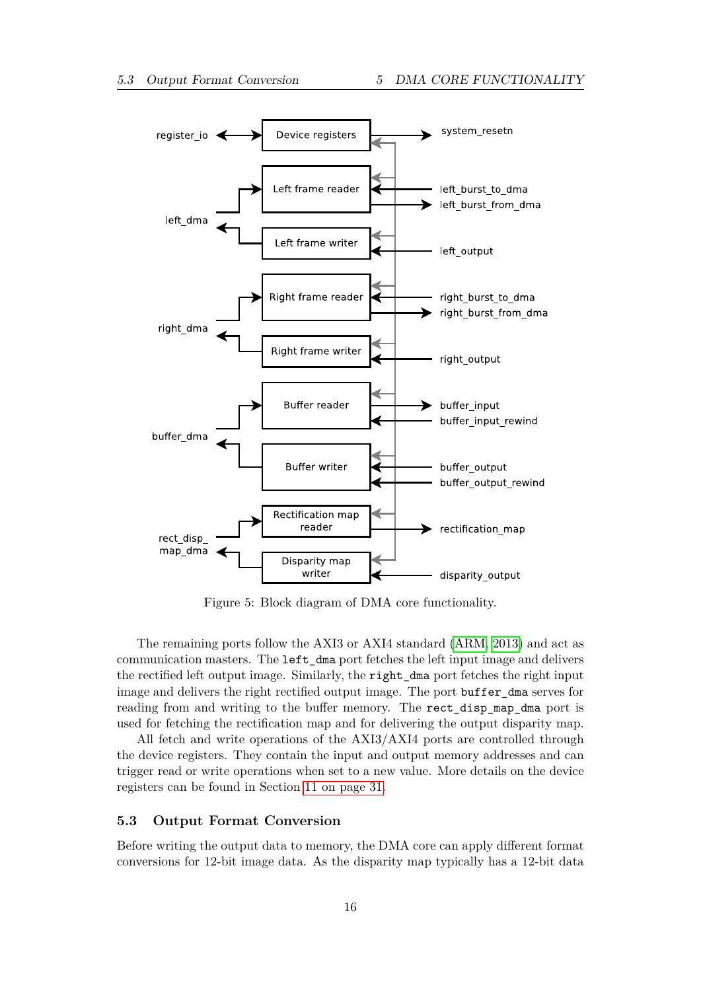<span id="page-16-1"></span>

Figure 5: Block diagram of DMA core functionality.

The remaining ports follow the AXI3 or AXI4 standard [\(ARM, 2013\)](#page-57-1) and act as communication masters. The left\_dma port fetches the left input image and delivers the rectified left output image. Similarly, the right\_dma port fetches the right input image and delivers the right rectified output image. The port buffer dma serves for reading from and writing to the buffer memory. The rect\_disp\_map\_dma port is used for fetching the rectification map and for delivering the output disparity map.

All fetch and write operations of the AXI3/AXI4 ports are controlled through the device registers. They contain the input and output memory addresses and can trigger read or write operations when set to a new value. More details on the device registers can be found in Section [11 on page 31.](#page-31-0)

#### <span id="page-16-0"></span>**5.3 Output Format Conversion**

Before writing the output data to memory, the DMA core can apply different format conversions for 12-bit image data. As the disparity map typically has a 12-bit data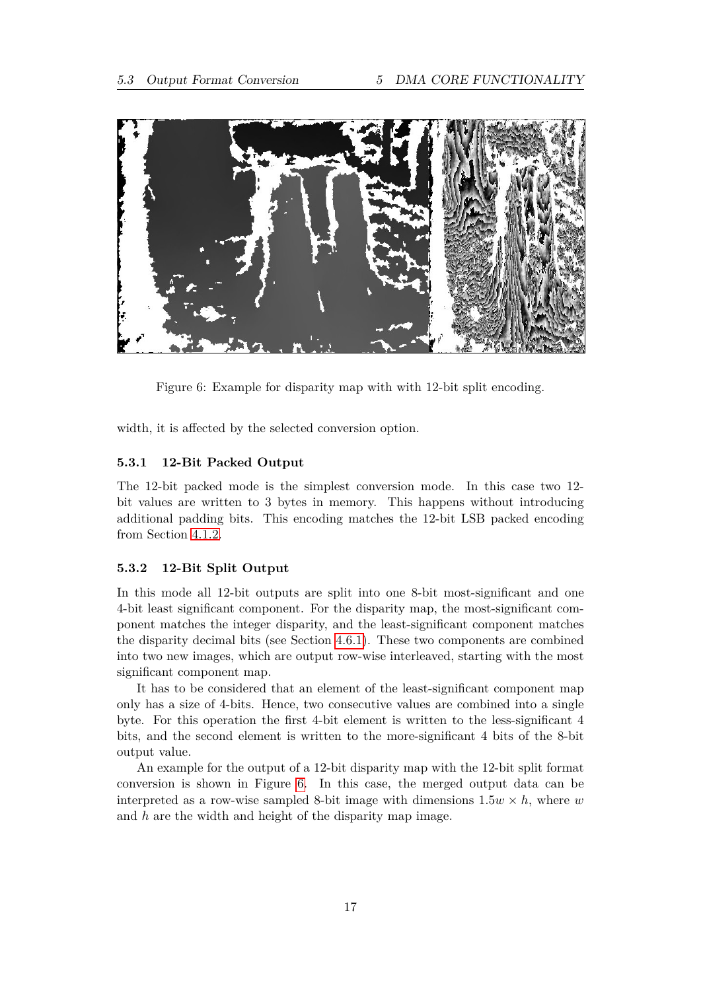<span id="page-17-2"></span>

Figure 6: Example for disparity map with with 12-bit split encoding.

width, it is affected by the selected conversion option.

# <span id="page-17-0"></span>**5.3.1 12-Bit Packed Output**

The 12-bit packed mode is the simplest conversion mode. In this case two 12 bit values are written to 3 bytes in memory. This happens without introducing additional padding bits. This encoding matches the 12-bit LSB packed encoding from Section [4.1.2.](#page-10-0)

#### <span id="page-17-1"></span>**5.3.2 12-Bit Split Output**

In this mode all 12-bit outputs are split into one 8-bit most-significant and one 4-bit least significant component. For the disparity map, the most-significant component matches the integer disparity, and the least-significant component matches the disparity decimal bits (see Section [4.6.1\)](#page-13-1). These two components are combined into two new images, which are output row-wise interleaved, starting with the most significant component map.

It has to be considered that an element of the least-significant component map only has a size of 4-bits. Hence, two consecutive values are combined into a single byte. For this operation the first 4-bit element is written to the less-significant 4 bits, and the second element is written to the more-significant 4 bits of the 8-bit output value.

An example for the output of a 12-bit disparity map with the 12-bit split format conversion is shown in Figure [6.](#page-17-2) In this case, the merged output data can be interpreted as a row-wise sampled 8-bit image with dimensions  $1.5w \times h$ , where *w* and *h* are the width and height of the disparity map image.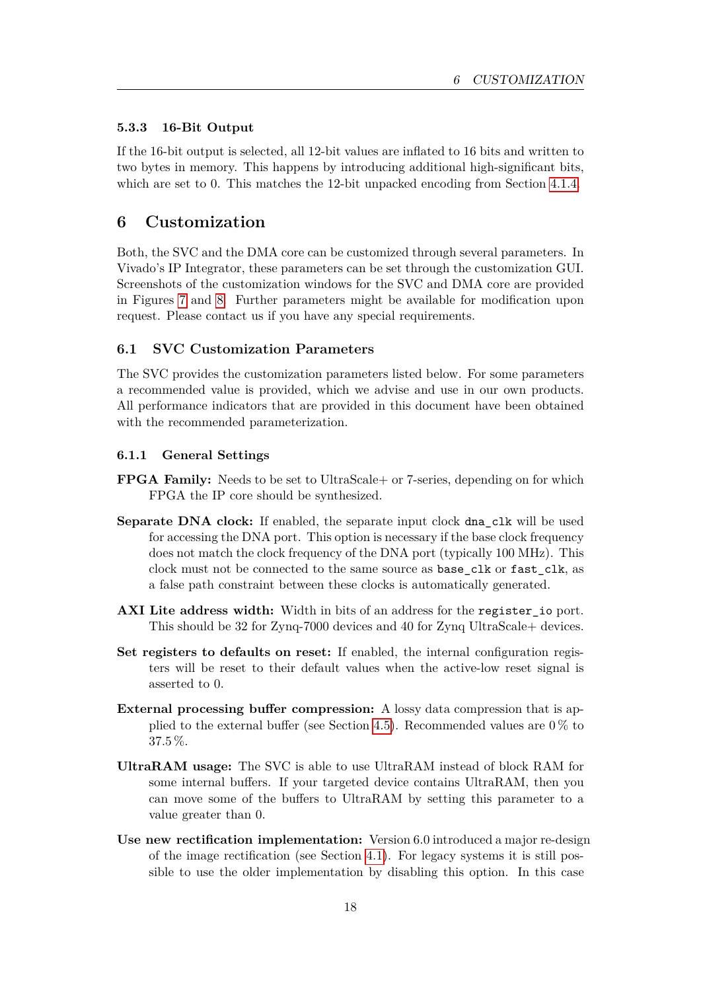# <span id="page-18-0"></span>**5.3.3 16-Bit Output**

If the 16-bit output is selected, all 12-bit values are inflated to 16 bits and written to two bytes in memory. This happens by introducing additional high-significant bits, which are set to 0. This matches the 12-bit unpacked encoding from Section [4.1.4.](#page-10-2)

# <span id="page-18-1"></span>**6 Customization**

Both, the SVC and the DMA core can be customized through several parameters. In Vivado's IP Integrator, these parameters can be set through the customization GUI. Screenshots of the customization windows for the SVC and DMA core are provided in Figures [7](#page-19-0) and [8.](#page-19-1) Further parameters might be available for modification upon request. Please contact us if you have any special requirements.

# <span id="page-18-2"></span>**6.1 SVC Customization Parameters**

The SVC provides the customization parameters listed below. For some parameters a recommended value is provided, which we advise and use in our own products. All performance indicators that are provided in this document have been obtained with the recommended parameterization.

#### <span id="page-18-3"></span>**6.1.1 General Settings**

- **FPGA Family:** Needs to be set to UltraScale or 7-series, depending on for which FPGA the IP core should be synthesized.
- Separate DNA clock: If enabled, the separate input clock dna\_clk will be used for accessing the DNA port. This option is necessary if the base clock frequency does not match the clock frequency of the DNA port (typically 100 MHz). This clock must not be connected to the same source as base\_clk or fast\_clk, as a false path constraint between these clocks is automatically generated.
- **AXI Lite address width:** Width in bits of an address for the register io port. This should be 32 for Zynq-7000 devices and 40 for Zynq UltraScale+ devices.
- **Set registers to defaults on reset:** If enabled, the internal configuration registers will be reset to their default values when the active-low reset signal is asserted to 0.
- **External processing buffer compression:** A lossy data compression that is ap-plied to the external buffer (see Section [4.5\)](#page-12-1). Recommended values are  $0\%$  to 37.5 %.
- **UltraRAM usage:** The SVC is able to use UltraRAM instead of block RAM for some internal buffers. If your targeted device contains UltraRAM, then you can move some of the buffers to UltraRAM by setting this parameter to a value greater than 0.
- **Use new rectification implementation:** Version 6.0 introduced a major re-design of the image rectification (see Section [4.1\)](#page-8-1). For legacy systems it is still possible to use the older implementation by disabling this option. In this case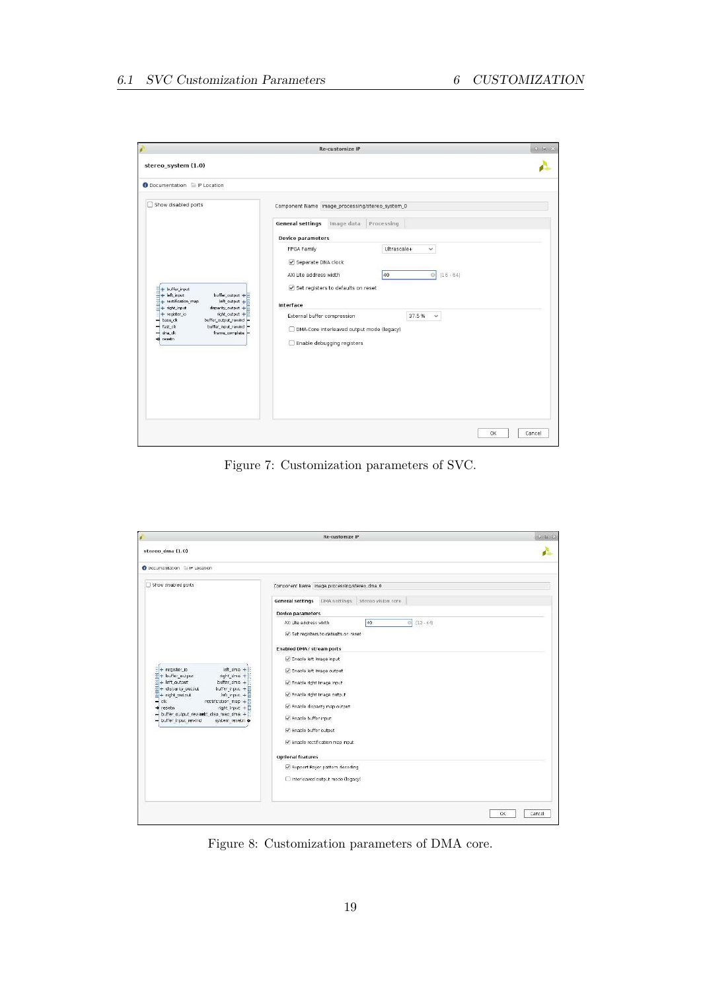<span id="page-19-0"></span>

|                                                                                  | <b>Re-customize IP</b>                                 | $\bullet$ $\Box$ $X$ |
|----------------------------------------------------------------------------------|--------------------------------------------------------|----------------------|
| stereo_system (1.0)                                                              |                                                        |                      |
| Documentation P IP Location                                                      |                                                        |                      |
| Show disabled ports<br>n                                                         | Component Name image_processing/stereo_system_0        |                      |
|                                                                                  | <b>General settings</b><br>Image data<br>Processing    |                      |
|                                                                                  | <b>Device parameters</b>                               |                      |
|                                                                                  | Ultrascale+<br>FPGA Family<br>$\checkmark$             |                      |
|                                                                                  | Separate DNA clock                                     |                      |
|                                                                                  | AXI Lite address width<br>40<br>$[16 - 64]$<br>$\circ$ |                      |
|                                                                                  | Set registers to defaults on reset                     |                      |
| + buffer_input<br>buffer_output +<br>$+$ left input<br>픚                         |                                                        |                      |
| + rectification_map<br>left_output +<br>E<br>disparity_output +<br>+ right_input | Interface                                              |                      |
| right_output +<br>+ register_io<br>buffer_output_rewind<br>base_clk              | External buffer compression<br>37.5%<br>$\checkmark$   |                      |
| fast ck<br>buffer input rewind<br>frame_complete<br>dna clk                      | DMA-Core interleaved output mode (legacy)              |                      |
| a resetn                                                                         | Enable debugging registers                             |                      |
|                                                                                  |                                                        |                      |
|                                                                                  |                                                        |                      |
|                                                                                  |                                                        |                      |
|                                                                                  |                                                        |                      |
|                                                                                  |                                                        |                      |
|                                                                                  |                                                        |                      |
|                                                                                  |                                                        |                      |
|                                                                                  |                                                        | 0K<br>Cancel         |

Figure 7: Customization parameters of SVC.

<span id="page-19-1"></span>

|                                                                                                                                                                                                                                                                                                                                                                                 | Re-customize IP                                                                                                                                                                                     | $-0$ $\sqrt{1}$ $3$ |
|---------------------------------------------------------------------------------------------------------------------------------------------------------------------------------------------------------------------------------------------------------------------------------------------------------------------------------------------------------------------------------|-----------------------------------------------------------------------------------------------------------------------------------------------------------------------------------------------------|---------------------|
| stereo dma (1.0)                                                                                                                                                                                                                                                                                                                                                                |                                                                                                                                                                                                     |                     |
| O Documentation E IF Location                                                                                                                                                                                                                                                                                                                                                   |                                                                                                                                                                                                     |                     |
| Show disabled ports                                                                                                                                                                                                                                                                                                                                                             | Component Name   mage_processing/stereo_dma_0<br>General settings DMA settings Storeg vision core                                                                                                   |                     |
|                                                                                                                                                                                                                                                                                                                                                                                 | Device parameters                                                                                                                                                                                   |                     |
|                                                                                                                                                                                                                                                                                                                                                                                 | $-12 - 64$<br>40<br>AX: Lite address width<br>Set registers to defaults on reset<br>Enabled DMA / stream ports                                                                                      |                     |
| left rime $+$<br>$+$ register in<br>E+ buffer_output<br>right_time +<br>$\frac{1}{2}$ + left output<br>buffer draw $+$<br>buffer_input +<br>+ disparity output<br>left input, + E<br>$\overline{H}$ + right_output<br>$-$ clk<br>rectrication_map +<br>$4$ ght input $+$<br>o resetn<br>- buffer output rewinets disp map cima + []<br>- buller input rewind<br>system resetn o | Enable left image input<br>C Enable left Image output<br>P Enable right image input<br>P Enable right image output<br>C Enable disparity map output<br>Enable buffer input:<br>Enable buffer output |                     |
|                                                                                                                                                                                                                                                                                                                                                                                 | Enable rectification map input<br><b>Optional features</b>                                                                                                                                          |                     |
|                                                                                                                                                                                                                                                                                                                                                                                 | Support Bayer pattern decoding<br>htereaved cutput mode (legacy)                                                                                                                                    |                     |
|                                                                                                                                                                                                                                                                                                                                                                                 |                                                                                                                                                                                                     | CK<br>Cancel        |

Figure 8: Customization parameters of DMA core.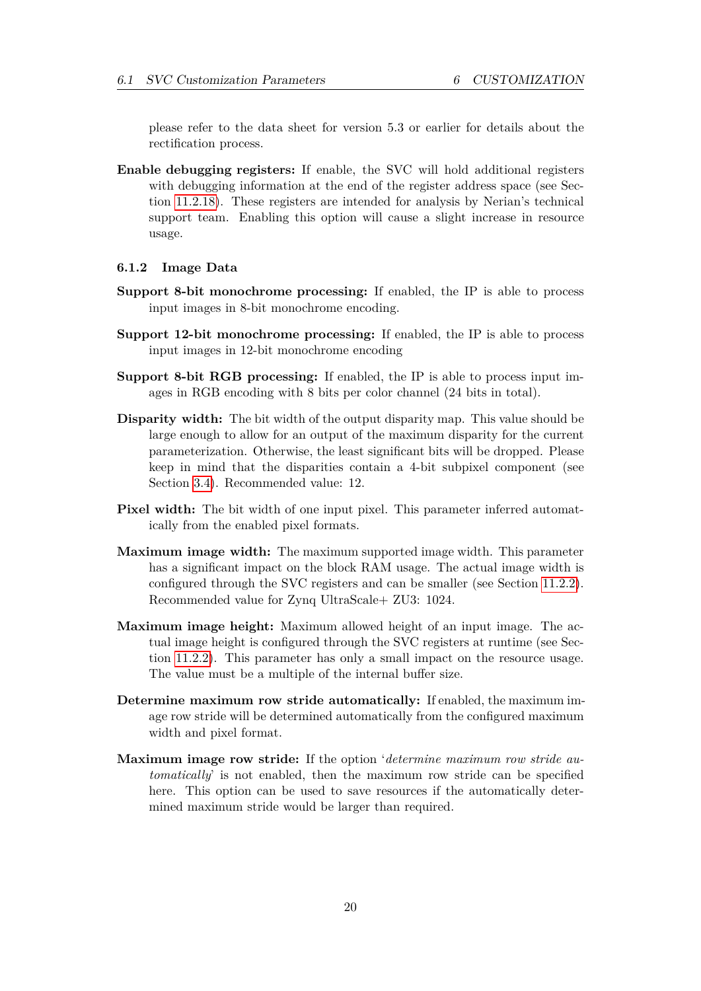please refer to the data sheet for version 5.3 or earlier for details about the rectification process.

**Enable debugging registers:** If enable, the SVC will hold additional registers with debugging information at the end of the register address space (see Section [11.2.18\)](#page-47-1). These registers are intended for analysis by Nerian's technical support team. Enabling this option will cause a slight increase in resource usage.

#### <span id="page-20-0"></span>**6.1.2 Image Data**

- **Support 8-bit monochrome processing:** If enabled, the IP is able to process input images in 8-bit monochrome encoding.
- **Support 12-bit monochrome processing:** If enabled, the IP is able to process input images in 12-bit monochrome encoding
- **Support 8-bit RGB processing:** If enabled, the IP is able to process input images in RGB encoding with 8 bits per color channel (24 bits in total).
- **Disparity width:** The bit width of the output disparity map. This value should be large enough to allow for an output of the maximum disparity for the current parameterization. Otherwise, the least significant bits will be dropped. Please keep in mind that the disparities contain a 4-bit subpixel component (see Section [3.4\)](#page-6-1). Recommended value: 12.
- **Pixel width:** The bit width of one input pixel. This parameter inferred automatically from the enabled pixel formats.
- **Maximum image width:** The maximum supported image width. This parameter has a significant impact on the block RAM usage. The actual image width is configured through the SVC registers and can be smaller (see Section [11.2.2\)](#page-43-0). Recommended value for Zynq UltraScale+ ZU3: 1024.
- **Maximum image height:** Maximum allowed height of an input image. The actual image height is configured through the SVC registers at runtime (see Section [11.2.2\)](#page-43-0). This parameter has only a small impact on the resource usage. The value must be a multiple of the internal buffer size.
- **Determine maximum row stride automatically:** If enabled, the maximum image row stride will be determined automatically from the configured maximum width and pixel format.
- **Maximum image row stride:** If the option '*determine maximum row stride automatically*' is not enabled, then the maximum row stride can be specified here. This option can be used to save resources if the automatically determined maximum stride would be larger than required.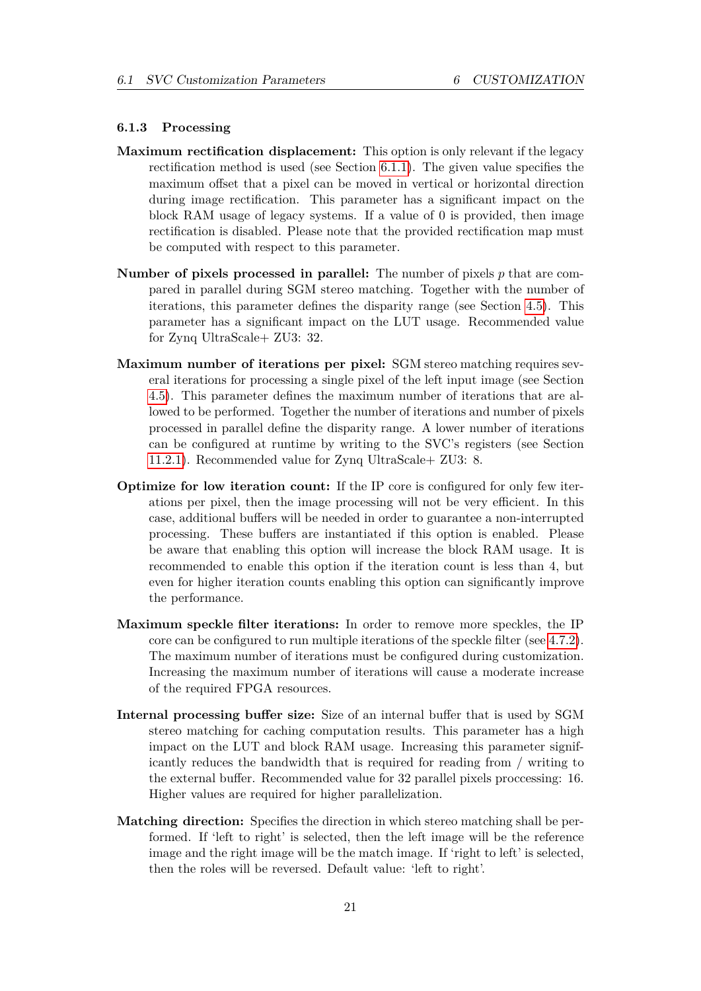#### <span id="page-21-0"></span>**6.1.3 Processing**

- **Maximum rectification displacement:** This option is only relevant if the legacy rectification method is used (see Section [6.1.1\)](#page-18-3). The given value specifies the maximum offset that a pixel can be moved in vertical or horizontal direction during image rectification. This parameter has a significant impact on the block RAM usage of legacy systems. If a value of 0 is provided, then image rectification is disabled. Please note that the provided rectification map must be computed with respect to this parameter.
- **Number of pixels processed in parallel:** The number of pixels *p* that are compared in parallel during SGM stereo matching. Together with the number of iterations, this parameter defines the disparity range (see Section [4.5\)](#page-12-1). This parameter has a significant impact on the LUT usage. Recommended value for Zynq UltraScale+ ZU3: 32.
- **Maximum number of iterations per pixel:** SGM stereo matching requires several iterations for processing a single pixel of the left input image (see Section [4.5\)](#page-12-1). This parameter defines the maximum number of iterations that are allowed to be performed. Together the number of iterations and number of pixels processed in parallel define the disparity range. A lower number of iterations can be configured at runtime by writing to the SVC's registers (see Section [11.2.1\)](#page-41-4). Recommended value for Zynq UltraScale+ ZU3: 8.
- **Optimize for low iteration count:** If the IP core is configured for only few iterations per pixel, then the image processing will not be very efficient. In this case, additional buffers will be needed in order to guarantee a non-interrupted processing. These buffers are instantiated if this option is enabled. Please be aware that enabling this option will increase the block RAM usage. It is recommended to enable this option if the iteration count is less than 4, but even for higher iteration counts enabling this option can significantly improve the performance.
- **Maximum speckle filter iterations:** In order to remove more speckles, the IP core can be configured to run multiple iterations of the speckle filter (see [4.7.2\)](#page-14-3). The maximum number of iterations must be configured during customization. Increasing the maximum number of iterations will cause a moderate increase of the required FPGA resources.
- **Internal processing buffer size:** Size of an internal buffer that is used by SGM stereo matching for caching computation results. This parameter has a high impact on the LUT and block RAM usage. Increasing this parameter significantly reduces the bandwidth that is required for reading from / writing to the external buffer. Recommended value for 32 parallel pixels proccessing: 16. Higher values are required for higher parallelization.
- **Matching direction:** Specifies the direction in which stereo matching shall be performed. If 'left to right' is selected, then the left image will be the reference image and the right image will be the match image. If 'right to left' is selected, then the roles will be reversed. Default value: 'left to right'.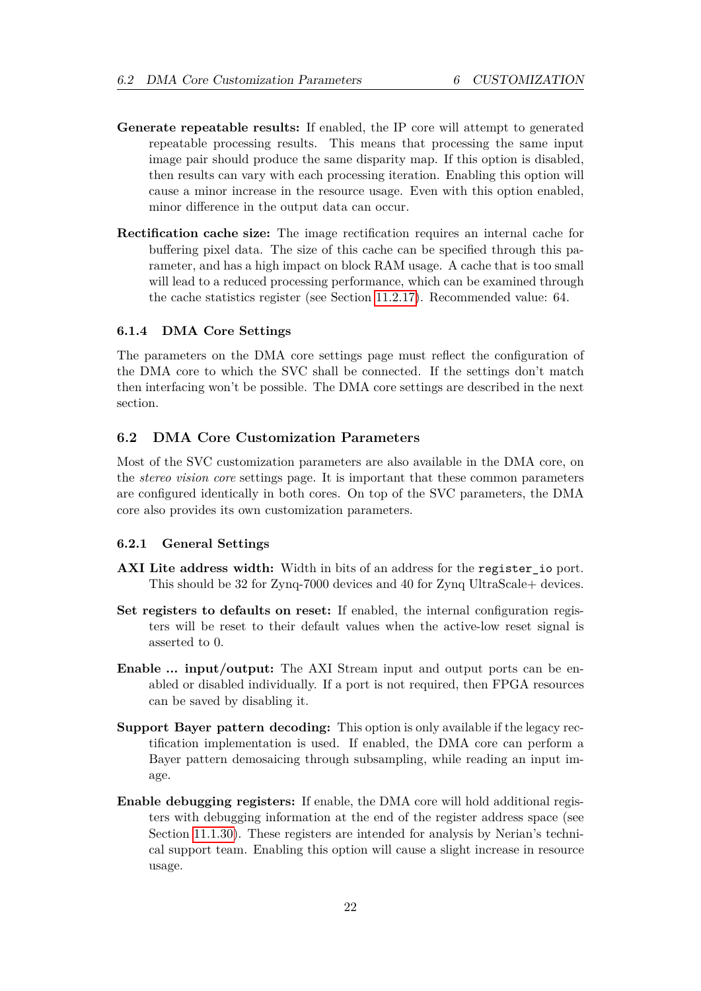- **Generate repeatable results:** If enabled, the IP core will attempt to generated repeatable processing results. This means that processing the same input image pair should produce the same disparity map. If this option is disabled, then results can vary with each processing iteration. Enabling this option will cause a minor increase in the resource usage. Even with this option enabled, minor difference in the output data can occur.
- **Rectification cache size:** The image rectification requires an internal cache for buffering pixel data. The size of this cache can be specified through this parameter, and has a high impact on block RAM usage. A cache that is too small will lead to a reduced processing performance, which can be examined through the cache statistics register (see Section [11.2.17\)](#page-47-0). Recommended value: 64.

# <span id="page-22-0"></span>**6.1.4 DMA Core Settings**

The parameters on the DMA core settings page must reflect the configuration of the DMA core to which the SVC shall be connected. If the settings don't match then interfacing won't be possible. The DMA core settings are described in the next section.

# <span id="page-22-1"></span>**6.2 DMA Core Customization Parameters**

Most of the SVC customization parameters are also available in the DMA core, on the *stereo vision core* settings page. It is important that these common parameters are configured identically in both cores. On top of the SVC parameters, the DMA core also provides its own customization parameters.

#### <span id="page-22-2"></span>**6.2.1 General Settings**

- **AXI Lite address width:** Width in bits of an address for the register io port. This should be 32 for Zynq-7000 devices and 40 for Zynq UltraScale+ devices.
- **Set registers to defaults on reset:** If enabled, the internal configuration registers will be reset to their default values when the active-low reset signal is asserted to 0.
- **Enable ... input/output:** The AXI Stream input and output ports can be enabled or disabled individually. If a port is not required, then FPGA resources can be saved by disabling it.
- **Support Bayer pattern decoding:** This option is only available if the legacy rectification implementation is used. If enabled, the DMA core can perform a Bayer pattern demosaicing through subsampling, while reading an input image.
- **Enable debugging registers:** If enable, the DMA core will hold additional registers with debugging information at the end of the register address space (see Section [11.1.30\)](#page-41-2). These registers are intended for analysis by Nerian's technical support team. Enabling this option will cause a slight increase in resource usage.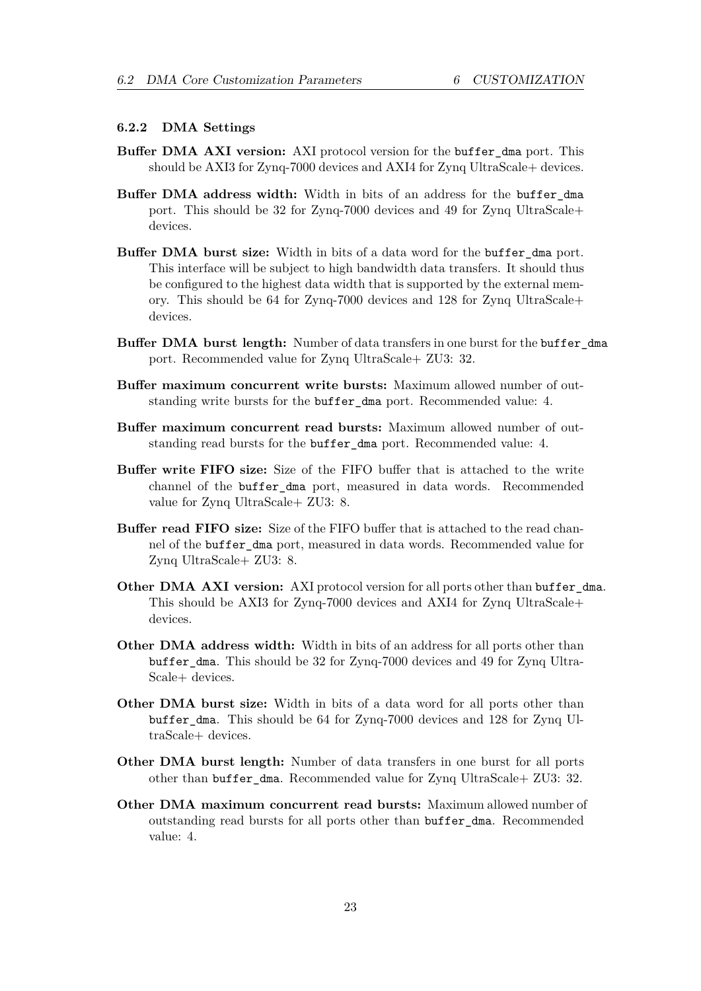#### <span id="page-23-0"></span>**6.2.2 DMA Settings**

- **Buffer DMA AXI version:** AXI protocol version for the buffer\_dma port. This should be AXI3 for Zynq-7000 devices and AXI4 for Zynq UltraScale+ devices.
- **Buffer DMA address width:** Width in bits of an address for the buffer\_dma port. This should be 32 for Zynq-7000 devices and 49 for Zynq UltraScale+ devices.
- **Buffer DMA burst size:** Width in bits of a data word for the buffer\_dma port. This interface will be subject to high bandwidth data transfers. It should thus be configured to the highest data width that is supported by the external memory. This should be 64 for Zynq-7000 devices and 128 for Zynq UltraScale+ devices.
- **Buffer DMA burst length:** Number of data transfers in one burst for the buffer\_dma port. Recommended value for Zynq UltraScale+ ZU3: 32.
- **Buffer maximum concurrent write bursts:** Maximum allowed number of outstanding write bursts for the buffer\_dma port. Recommended value: 4.
- **Buffer maximum concurrent read bursts:** Maximum allowed number of outstanding read bursts for the buffer dma port. Recommended value: 4.
- **Buffer write FIFO size:** Size of the FIFO buffer that is attached to the write channel of the buffer\_dma port, measured in data words. Recommended value for Zynq UltraScale+ ZU3: 8.
- **Buffer read FIFO size:** Size of the FIFO buffer that is attached to the read channel of the buffer\_dma port, measured in data words. Recommended value for Zynq UltraScale+ ZU3: 8.
- **Other DMA AXI version:** AXI protocol version for all ports other than buffer dma. This should be AXI3 for Zynq-7000 devices and AXI4 for Zynq UltraScale+ devices.
- **Other DMA address width:** Width in bits of an address for all ports other than buffer\_dma. This should be 32 for Zynq-7000 devices and 49 for Zynq Ultra-Scale+ devices.
- **Other DMA burst size:** Width in bits of a data word for all ports other than buffer\_dma. This should be 64 for Zynq-7000 devices and 128 for Zynq UltraScale+ devices.
- **Other DMA burst length:** Number of data transfers in one burst for all ports other than buffer\_dma. Recommended value for Zynq UltraScale+ ZU3: 32.
- **Other DMA maximum concurrent read bursts:** Maximum allowed number of outstanding read bursts for all ports other than buffer\_dma. Recommended value: 4.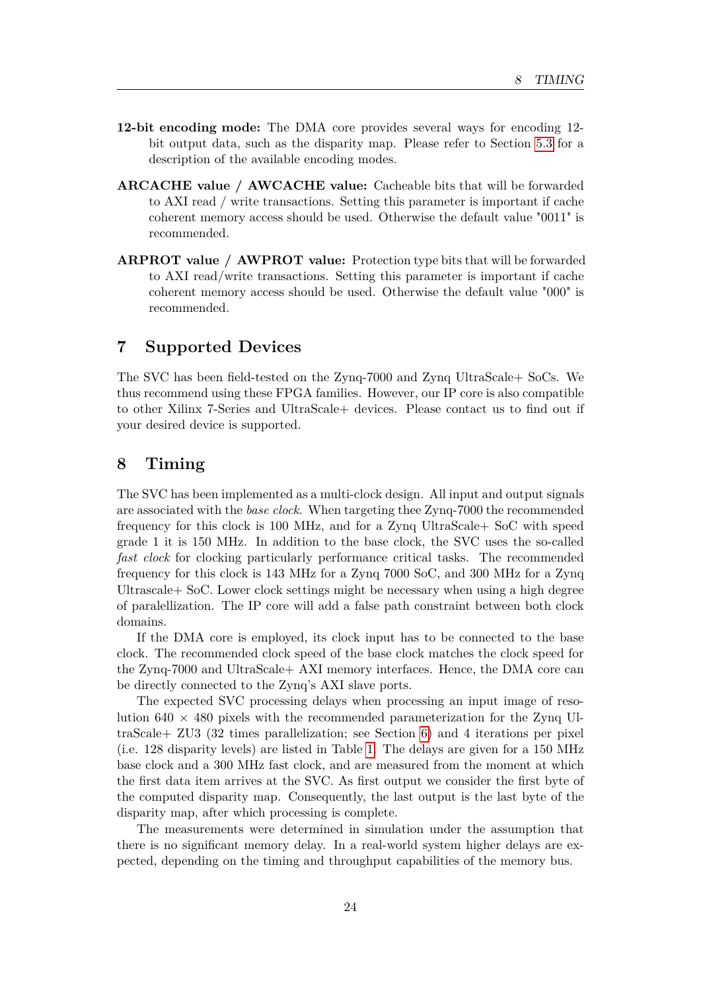- **12-bit encoding mode:** The DMA core provides several ways for encoding 12 bit output data, such as the disparity map. Please refer to Section [5.3](#page-16-0) for a description of the available encoding modes.
- **ARCACHE value / AWCACHE value:** Cacheable bits that will be forwarded to AXI read / write transactions. Setting this parameter is important if cache coherent memory access should be used. Otherwise the default value "0011" is recommended.
- **ARPROT value / AWPROT value:** Protection type bits that will be forwarded to AXI read/write transactions. Setting this parameter is important if cache coherent memory access should be used. Otherwise the default value "000" is recommended.

# <span id="page-24-0"></span>**7 Supported Devices**

The SVC has been field-tested on the Zynq-7000 and Zynq UltraScale+ SoCs. We thus recommend using these FPGA families. However, our IP core is also compatible to other Xilinx 7-Series and UltraScale+ devices. Please contact us to find out if your desired device is supported.

# <span id="page-24-1"></span>**8 Timing**

The SVC has been implemented as a multi-clock design. All input and output signals are associated with the *base clock*. When targeting thee Zynq-7000 the recommended frequency for this clock is 100 MHz, and for a Zynq UltraScale+ SoC with speed grade 1 it is 150 MHz. In addition to the base clock, the SVC uses the so-called *fast clock* for clocking particularly performance critical tasks. The recommended frequency for this clock is 143 MHz for a Zynq 7000 SoC, and 300 MHz for a Zynq Ultrascale+ SoC. Lower clock settings might be necessary when using a high degree of paralellization. The IP core will add a false path constraint between both clock domains.

If the DMA core is employed, its clock input has to be connected to the base clock. The recommended clock speed of the base clock matches the clock speed for the Zynq-7000 and UltraScale+ AXI memory interfaces. Hence, the DMA core can be directly connected to the Zynq's AXI slave ports.

The expected SVC processing delays when processing an input image of resolution  $640 \times 480$  pixels with the recommended parameterization for the Zynq UltraScale+ ZU3 (32 times parallelization; see Section [6\)](#page-18-1) and 4 iterations per pixel (i.e. 128 disparity levels) are listed in Table [1.](#page-25-2) The delays are given for a 150 MHz base clock and a 300 MHz fast clock, and are measured from the moment at which the first data item arrives at the SVC. As first output we consider the first byte of the computed disparity map. Consequently, the last output is the last byte of the disparity map, after which processing is complete.

The measurements were determined in simulation under the assumption that there is no significant memory delay. In a real-world system higher delays are expected, depending on the timing and throughput capabilities of the memory bus.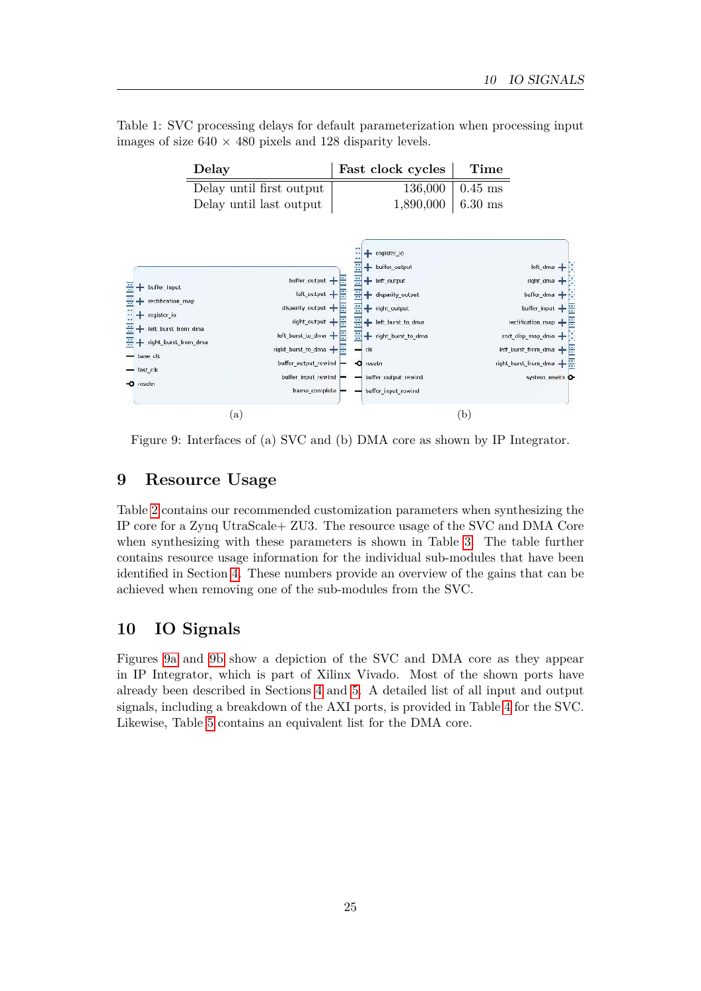<span id="page-25-2"></span>

|  |                                                                  |  |  | Table 1: SVC processing delays for default parameterization when processing input |  |  |
|--|------------------------------------------------------------------|--|--|-----------------------------------------------------------------------------------|--|--|
|  | images of size $640 \times 480$ pixels and 128 disparity levels. |  |  |                                                                                   |  |  |

<span id="page-25-3"></span>

<span id="page-25-4"></span>Figure 9: Interfaces of (a) SVC and (b) DMA core as shown by IP Integrator.

# <span id="page-25-0"></span>**9 Resource Usage**

Table [2](#page-26-0) contains our recommended customization parameters when synthesizing the IP core for a Zynq UtraScale+ ZU3. The resource usage of the SVC and DMA Core when synthesizing with these parameters is shown in Table [3.](#page-27-0) The table further contains resource usage information for the individual sub-modules that have been identified in Section [4.](#page-8-0) These numbers provide an overview of the gains that can be achieved when removing one of the sub-modules from the SVC.

# <span id="page-25-1"></span>**10 IO Signals**

Figures [9a](#page-25-3) and [9b](#page-25-4) show a depiction of the SVC and DMA core as they appear in IP Integrator, which is part of Xilinx Vivado. Most of the shown ports have already been described in Sections [4](#page-8-0) and [5.](#page-15-1) A detailed list of all input and output signals, including a breakdown of the AXI ports, is provided in Table [4](#page-27-1) for the SVC. Likewise, Table [5](#page-29-0) contains an equivalent list for the DMA core.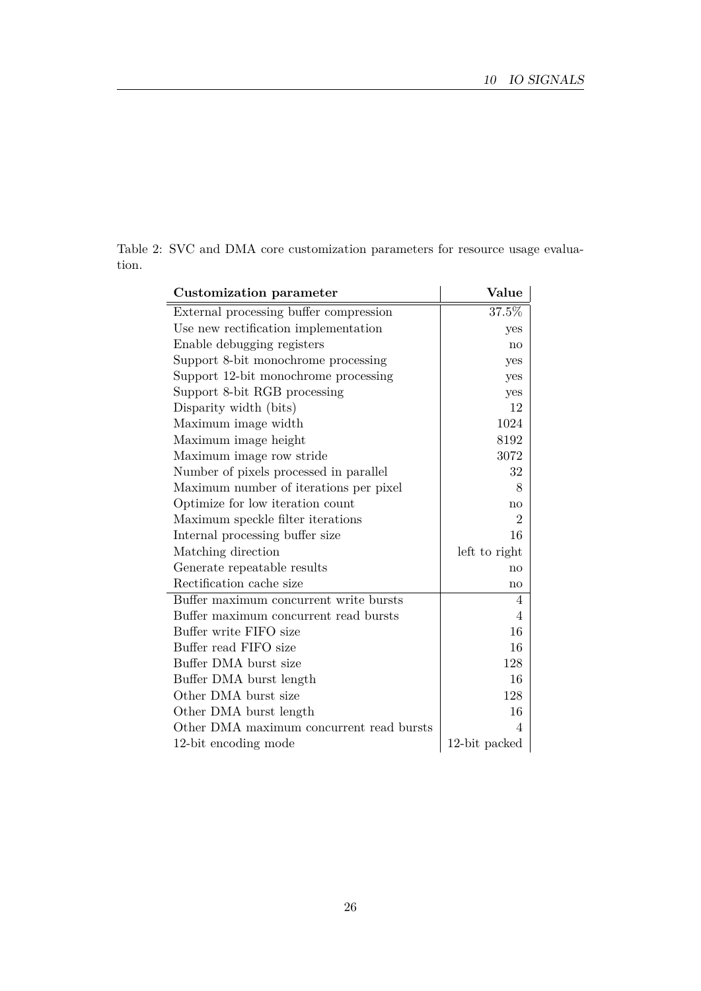<span id="page-26-0"></span>

|       |  |  |  | Table 2: SVC and DMA core customization parameters for resource usage evalua- |  |  |
|-------|--|--|--|-------------------------------------------------------------------------------|--|--|
| tion. |  |  |  |                                                                               |  |  |

| Customization parameter                  | Value          |  |  |  |  |
|------------------------------------------|----------------|--|--|--|--|
| External processing buffer compression   | 37.5%          |  |  |  |  |
| Use new rectification implementation     | yes            |  |  |  |  |
| Enable debugging registers               | no             |  |  |  |  |
| Support 8-bit monochrome processing      | yes            |  |  |  |  |
| Support 12-bit monochrome processing     | yes            |  |  |  |  |
| Support 8-bit RGB processing             | yes            |  |  |  |  |
| Disparity width (bits)                   | 12             |  |  |  |  |
| Maximum image width                      | 1024           |  |  |  |  |
| Maximum image height                     | 8192           |  |  |  |  |
| Maximum image row stride                 | 3072           |  |  |  |  |
| Number of pixels processed in parallel   | 32             |  |  |  |  |
| Maximum number of iterations per pixel   | 8              |  |  |  |  |
| Optimize for low iteration count         | no             |  |  |  |  |
| Maximum speckle filter iterations        | $\overline{2}$ |  |  |  |  |
| Internal processing buffer size          | 16             |  |  |  |  |
| Matching direction                       | left to right  |  |  |  |  |
| Generate repeatable results              | $\mathbf{no}$  |  |  |  |  |
| Rectification cache size                 | no             |  |  |  |  |
| Buffer maximum concurrent write bursts   | 4              |  |  |  |  |
| Buffer maximum concurrent read bursts    | 4              |  |  |  |  |
| Buffer write FIFO size                   | 16             |  |  |  |  |
| Buffer read FIFO size                    | 16             |  |  |  |  |
| Buffer DMA burst size                    | 128            |  |  |  |  |
| Buffer DMA burst length                  | 16             |  |  |  |  |
| Other DMA burst size                     | 128            |  |  |  |  |
| Other DMA burst length                   | 16             |  |  |  |  |
| Other DMA maximum concurrent read bursts | 4              |  |  |  |  |
| 12-bit encoding mode                     | 12-bit packed  |  |  |  |  |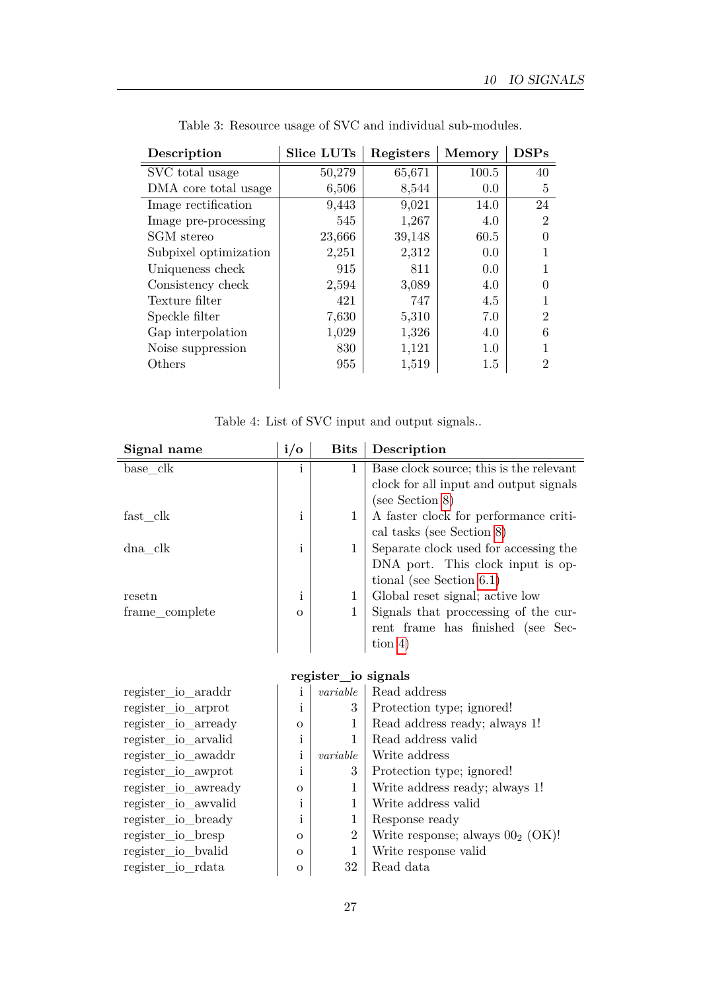<span id="page-27-0"></span>

| Description           | <b>Slice LUTs</b> | Registers | <b>Memory</b> | <b>DSPs</b>    |
|-----------------------|-------------------|-----------|---------------|----------------|
| SVC total usage       | 50,279            | 65,671    | 100.5         | 40             |
| DMA core total usage  | 6,506             | 8,544     | 0.0           | $\overline{5}$ |
| Image rectification   | 9,443             | 9,021     | 14.0          | 24             |
| Image pre-processing  | 545               | 1,267     | 4.0           | $\overline{2}$ |
| SGM stereo            | 23,666            | 39,148    | 60.5          |                |
| Subpixel optimization | 2,251             | 2,312     | 0.0           |                |
| Uniqueness check      | 915               | 811       | 0.0           |                |
| Consistency check     | 2,594             | 3,089     | 4.0           |                |
| Texture filter        | 421               | 747       | 4.5           |                |
| Speckle filter        | 7,630             | 5,310     | 7.0           | $\overline{2}$ |
| Gap interpolation     | 1,029             | 1,326     | 4.0           | 6              |
| Noise suppression     | 830               | 1,121     | $1.0\,$       |                |
| Others                | 955               | 1,519     | 1.5           | $\mathfrak{D}$ |
|                       |                   |           |               |                |

Table 3: Resource usage of SVC and individual sub-modules.

|  |  |  |  |  |  |  | Table 4: List of SVC input and output signals |
|--|--|--|--|--|--|--|-----------------------------------------------|
|--|--|--|--|--|--|--|-----------------------------------------------|

<span id="page-27-1"></span>

| Signal name    | $i/\sigma$ | <b>Bits</b> | Description                             |
|----------------|------------|-------------|-----------------------------------------|
| base clk       | i          | 1           | Base clock source; this is the relevant |
|                |            |             | clock for all input and output signals  |
|                |            |             | (see Section 8)                         |
| fast clk       | 1          |             | A faster clock for performance criti-   |
|                |            |             | cal tasks (see Section 8)               |
| dna clk        | i          |             | Separate clock used for accessing the   |
|                |            |             | DNA port. This clock input is op-       |
|                |            |             | tional (see Section $6.1$ )             |
| resetn         | i          |             | Global reset signal; active low         |
| frame_complete | $\Omega$   |             | Signals that processing of the cur-     |
|                |            |             | rent frame has finished (see Sec-       |
|                |            |             | tion $4)$                               |

### **register\_io signals**

| register_io_araddr  | 1        | variable       | Read address                       |
|---------------------|----------|----------------|------------------------------------|
| register_io_arprot  | ı        | 3              | Protection type; ignored!          |
| register_io_arready | $\Omega$ |                | Read address ready; always 1!      |
| register_io_arvalid | 1        |                | Read address valid                 |
| register io awaddr  | 1        | variable       | Write address                      |
| register_io_awprot  | 1        | 3              | Protection type; ignored!          |
| register_io_awready | $\Omega$ |                | Write address ready; always 1!     |
| register_io_awvalid | ı        |                | Write address valid                |
| register_io_bready  | 1        |                | Response ready                     |
| register_io_bresp   | $\Omega$ | $\overline{2}$ | Write response; always $002$ (OK)! |
| register_io_bvalid  | $\Omega$ |                | Write response valid               |
| register_io_rdata   | $\Omega$ | 32             | Read data                          |
|                     |          |                |                                    |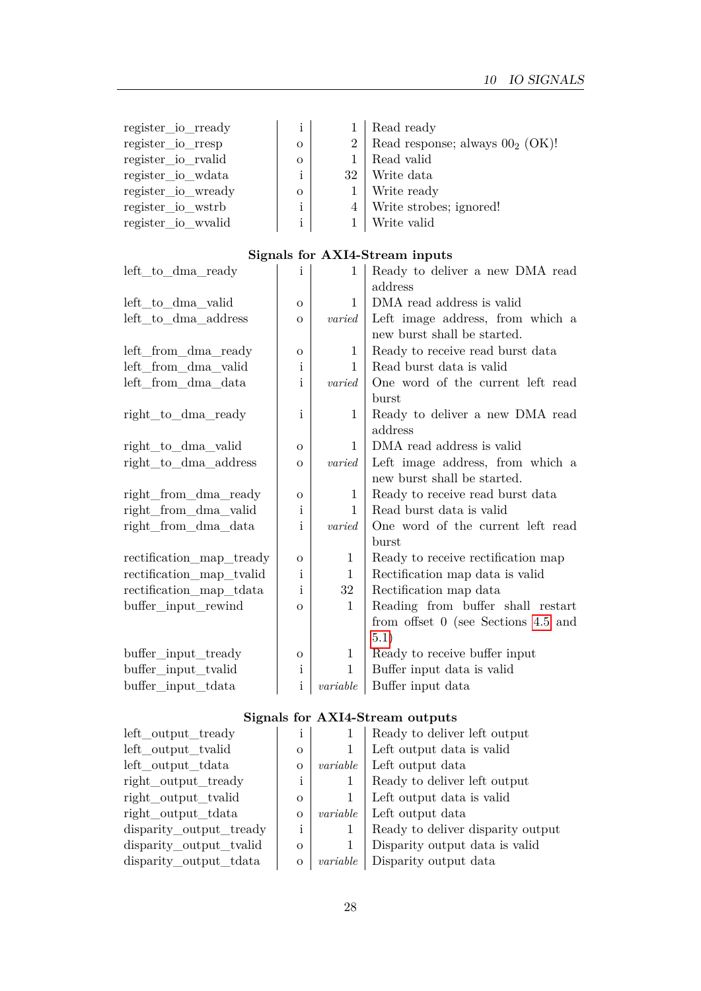| 1        |        | Read ready                            |
|----------|--------|---------------------------------------|
| $\Omega$ |        | 2   Read response; always $002$ (OK)! |
| $\Omega$ |        | Read valid                            |
| 1        | $32-1$ | Write data                            |
| $\Omega$ |        | Write ready                           |
| i        |        | 4   Write strobes; ignored!           |
| i        |        | Write valid                           |
|          |        |                                       |

# **Signals for AXI4-Stream inputs**

| left to dma ready        | i              | $\mathbf{1}$ | Ready to deliver a new DMA read<br>address                      |
|--------------------------|----------------|--------------|-----------------------------------------------------------------|
| left to dma valid        | $\overline{O}$ | $\mathbf{1}$ | DMA read address is valid                                       |
| left_to_dma_address      | $\Omega$       | varied       | Left image address, from which a<br>new burst shall be started. |
| left_from_dma_ready      | $\mathbf{O}$   | 1            | Ready to receive read burst data                                |
| left_from_dma_valid      | i              | $\mathbf{1}$ | Read burst data is valid                                        |
| left_from_dma_data       | 1              | varied       | One word of the current left read                               |
|                          |                |              | burst                                                           |
| right_to_dma_ready       | i              | 1            | Ready to deliver a new DMA read<br>address                      |
| right_to_dma_valid       | $\sigma$       | $\mathbf{1}$ | DMA read address is valid                                       |
| right to dma address     | $\sigma$       | varied       | Left image address, from which a                                |
|                          |                |              | new burst shall be started.                                     |
| right_from_dma_ready     | $\mathbf O$    | 1            | Ready to receive read burst data                                |
| right_from_dma_valid     | Ť              | $\mathbf{1}$ | Read burst data is valid                                        |
| right_from_dma_data      | i              | varied       | One word of the current left read<br>burst                      |
| rectification map tready | $\overline{O}$ | $\mathbf{1}$ | Ready to receive rectification map                              |
| rectification_map_tvalid | Ť              | 1            | Rectification map data is valid                                 |
| rectification_map_tdata  | i              | 32           | Rectification map data                                          |
| buffer_input_rewind      | $\Omega$       | $\mathbf{1}$ | Reading from buffer shall restart                               |
|                          |                |              | from offset $0$ (see Sections 4.5 and                           |
|                          |                |              | 5.1)                                                            |
| buffer_input_tready      | $\circ$        | 1            | Ready to receive buffer input                                   |
| buffer_input_tvalid      | i              | $\mathbf{1}$ | Buffer input data is valid                                      |
| buffer_input_tdata       | $\mathbf{i}$   | variable     | Buffer input data                                               |

# **Signals for AXI4-Stream outputs**

| left output_tready      | i            |          | Ready to deliver left output      |
|-------------------------|--------------|----------|-----------------------------------|
| left output tvalid      | $\Omega$     |          | Left output data is valid         |
| left output tdata       | $\mathbf{O}$ | variable | Left output data                  |
| right output tready     | i            |          | Ready to deliver left output      |
| right output tralid     | $\Omega$     |          | Left output data is valid         |
| right output tdata      | $\Omega$     | variable | Left output data                  |
| disparity output tready | i            |          | Ready to deliver disparity output |
| disparity output tvalid | $\Omega$     |          | Disparity output data is valid    |
| disparity_output_tdata  | $\mathbf{O}$ | variable | Disparity output data             |
|                         |              |          |                                   |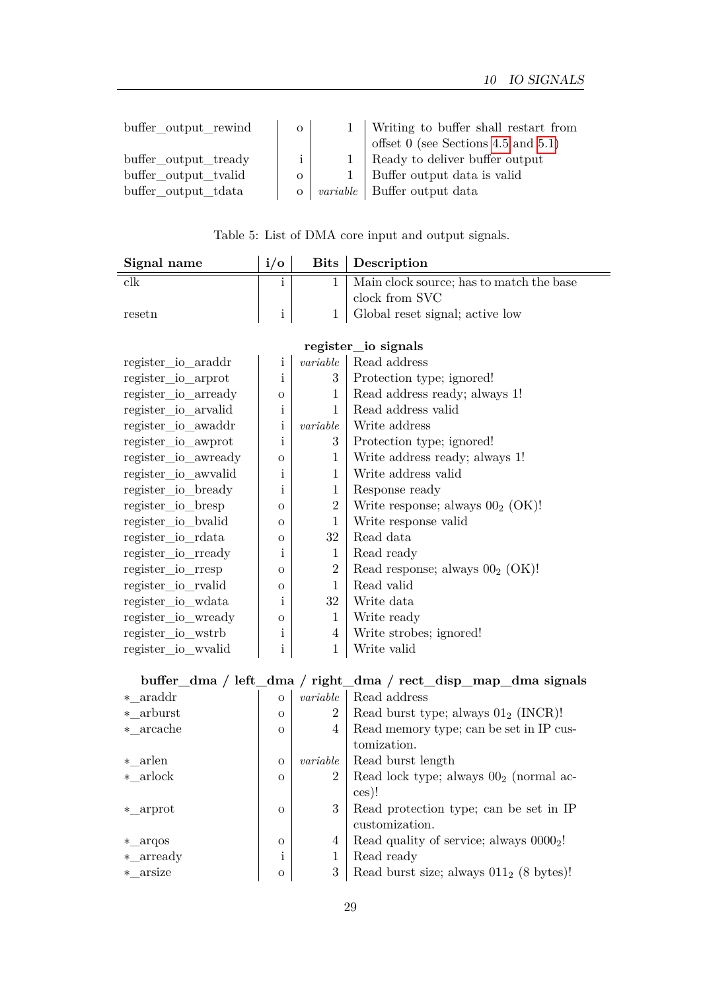| buffer_output_rewind | $\overline{O}$ |           | Writing to buffer shall restart from<br>offset $0$ (see Sections 4.5 and 5.1) |
|----------------------|----------------|-----------|-------------------------------------------------------------------------------|
| buffer output tready | $\mathbf{i}$   | $1 \quad$ | Ready to deliver buffer output                                                |
| buffer output tralid |                |           | Buffer output data is valid                                                   |
| buffer output tdata  | $\overline{O}$ |           | <i>variable</i>   Buffer output data                                          |

| Table 5: List of DMA core input and output signals. |
|-----------------------------------------------------|
|-----------------------------------------------------|

<span id="page-29-0"></span>

| Signal name            | $i/\sigma$   | <b>Bits</b>      | Description                                                   |
|------------------------|--------------|------------------|---------------------------------------------------------------|
| $_{\rm{clk}}$          | i            | 1                | Main clock source; has to match the base                      |
|                        |              |                  | clock from SVC                                                |
| resetn                 | $\mathbf{i}$ | 1                | Global reset signal; active low                               |
|                        |              |                  |                                                               |
|                        |              |                  | register_io signals                                           |
| $register\_io\_araddr$ | i            | variable         | Read address                                                  |
| register_io_arprot     | i            | 3                | Protection type; ignored!                                     |
| register io arready    | О            | 1                | Read address ready; always 1!                                 |
| register_io_arvalid    | i            | $\mathbf 1$      | Read address valid                                            |
| register_io_awaddr     | i            | variable         | Write address                                                 |
| register_io_awprot     | i            | 3                | Protection type; ignored!                                     |
| register_io_awready    | О            | 1                | Write address ready; always 1!                                |
| register_io_awvalid    | i            | $\mathbf{1}$     | Write address valid                                           |
| register_io_bready     | i            | 1                | Response ready                                                |
| register_io_bresp      | О            | $\boldsymbol{2}$ | Write response; always $002$ (OK)!                            |
| register_io_bvalid     | О            | $\mathbf 1$      | Write response valid                                          |
| register_io_rdata      | O            | 32               | Read data                                                     |
| register_io_rready     | i            | $\mathbf{1}$     | Read ready                                                    |
| register_io_rresp      | $\Omega$     | $\overline{2}$   | Read response; always $002$ (OK)!                             |
| register_io_rvalid     | O            | 1                | Read valid                                                    |
| register_io_wdata      | i            | 32               | Write data                                                    |
| register_io_wready     | О            | $\mathbf 1$      | Write ready                                                   |
| register_io_wstrb      | i            | 4                | Write strobes; ignored!                                       |
| register_io_wvalid     | i            | $\mathbf 1$      | Write valid                                                   |
|                        |              |                  |                                                               |
|                        |              |                  | buffer_dma / left_dma / right_dma / rect_disp_map_dma signals |
| * araddr               | $\mathbf O$  | variable         | Read address                                                  |
| * arburst              | O            | $\overline{2}$   | Read burst type; always $01_2$ (INCR)!                        |
| $*$ _arcache           | O            | 4                | Read memory type; can be set in IP cus-                       |
|                        |              |                  | tomization.                                                   |
| * arlen                | O            | variable         | Read burst length                                             |
| $*$ arlock             | O            | $\overline{2}$   | Read lock type; always $002$ (normal ac-                      |
|                        |              |                  | ces)!                                                         |
| $*$ <sub>_arprot</sub> | $\mathbf{O}$ | 3                | Read protection type; can be set in IP                        |
|                        |              |                  | customization.                                                |
| $*$ argos              | $\mathbf O$  | 4                | Read quality of service; always 0000 <sub>2</sub> !           |
| $*$ _arready           | $\mathbf{i}$ | 1                | Read ready                                                    |
| * arsize               | O            | 3                | Read burst size; always $011_2$ (8 bytes)!                    |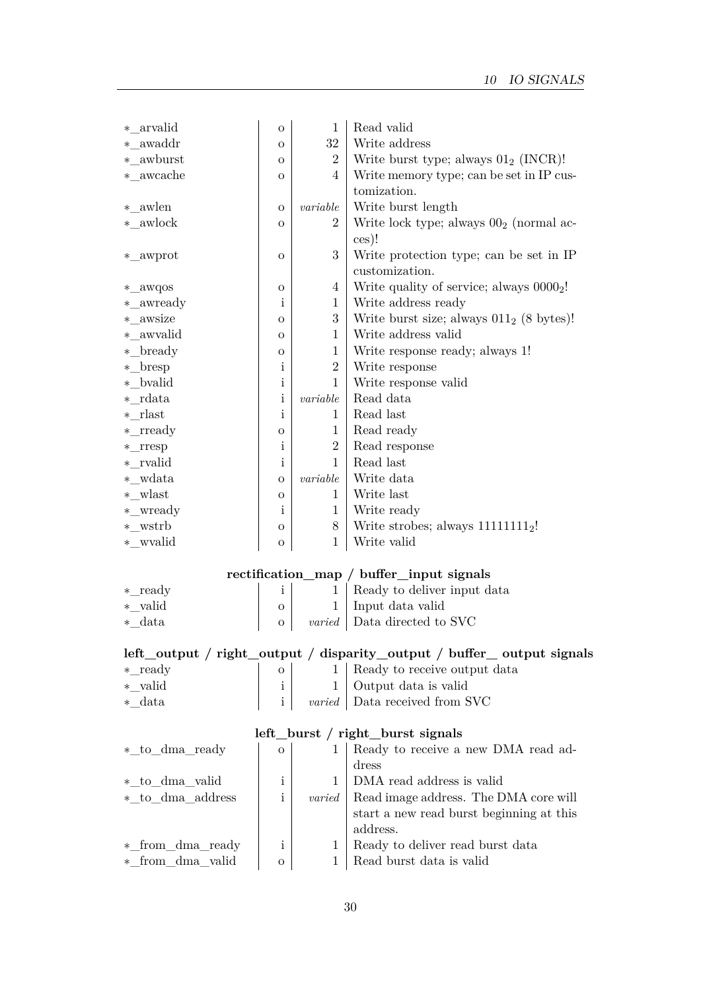| * arvalid             | $\overline{O}$ | $\mathbf{1}$     | Read valid                                                             |
|-----------------------|----------------|------------------|------------------------------------------------------------------------|
| *_awaddr              | O              | 32               | Write address                                                          |
| * awburst             | $\Omega$       | $\overline{2}$   | Write burst type; always $01_2$ (INCR)!                                |
| $*{\_}awcache$        | $\overline{O}$ | 4                | Write memory type; can be set in IP cus-                               |
|                       |                |                  | tomization.                                                            |
| * awlen               | $\overline{O}$ | variable         | Write burst length                                                     |
| $*$ _awlock           | $\mathbf O$    | $\boldsymbol{2}$ | Write lock type; always $002$ (normal ac-                              |
|                       |                |                  | ces)!                                                                  |
| *_awprot              | $\mathbf O$    | 3                | Write protection type; can be set in IP                                |
|                       |                |                  | customization.                                                         |
| *_awqos               | O              | $\overline{4}$   | Write quality of service; always 0000 <sub>2</sub> !                   |
| *_awready             | i              | $\mathbf{1}$     | Write address ready                                                    |
| * awsize              | O              | 3                | Write burst size; always $011_2$ (8 bytes)!                            |
| * awvalid             | O              | 1                | Write address valid                                                    |
| *_bready              | $\mathbf O$    | $\mathbf{1}$     | Write response ready; always 1!                                        |
| $*_{\text{}}$ bresp   | $\mathbf{i}$   | $\boldsymbol{2}$ | Write response                                                         |
| * bvalid              | $\mathbf{i}$   | $\mathbf{1}$     | Write response valid                                                   |
| $*$ rdata             | $\rm i$        | variable         | Read data                                                              |
| * rlast               | $\mathbf{i}$   | 1                | Read last                                                              |
| $*$ _rready           | O              | $\mathbf{1}$     | Read ready                                                             |
| $*$ _rresp            | $\mathbf{i}$   | $\sqrt{2}$       | Read response                                                          |
| * rvalid              | $\mathbf{i}$   | $\mathbf{1}$     | Read last                                                              |
| * wdata               | $\mathbf O$    | $variable$       | Write data                                                             |
| $*$ _wlast            | $\mathbf{O}$   | 1                | Write last                                                             |
| *_wready              | $\mathbf{i}$   | $\mathbf{1}$     | Write ready                                                            |
| *_wstrb               | O              | 8                | Write strobes; always $11111111_2!$                                    |
| *_wvalid              | $\overline{O}$ | $\mathbf{1}$     | Write valid                                                            |
|                       |                |                  |                                                                        |
|                       |                |                  | rectification_map / buffer_input signals                               |
| $*$ <sub>_ready</sub> | $\mathbf{i}$   | $\mathbf{1}$     | Ready to deliver input data                                            |
| * valid               | $\mathbf{O}$   | $\mathbf{1}$     | Input data valid                                                       |
| *_data                | O              | varied           | Data directed to SVC                                                   |
|                       |                |                  |                                                                        |
|                       |                |                  | left_output / right_output / disparity_output / buffer_ output signals |
| $*$ ready             |                |                  |                                                                        |

| $*$ <sub>_ready</sub> |  | 1   Ready to receive output data       |
|-----------------------|--|----------------------------------------|
| * valid               |  | 1 Output data is valid                 |
| * data                |  | <i>varied</i>   Data received from SVC |

# **left\_burst / right\_burst signals**

| *_to_dma_ready   | $\Omega$ |               | Ready to receive a new DMA read ad-      |
|------------------|----------|---------------|------------------------------------------|
|                  |          |               | dress                                    |
| * to dma valid   | i        |               | DMA read address is valid                |
| *_to_dma_address |          | <i>varied</i> | Read image address. The DMA core will    |
|                  |          |               | start a new read burst beginning at this |
|                  |          |               | address.                                 |
| * from dma ready | i        |               | Ready to deliver read burst data         |
| * from dma valid | $\Omega$ |               | Read burst data is valid                 |
|                  |          |               |                                          |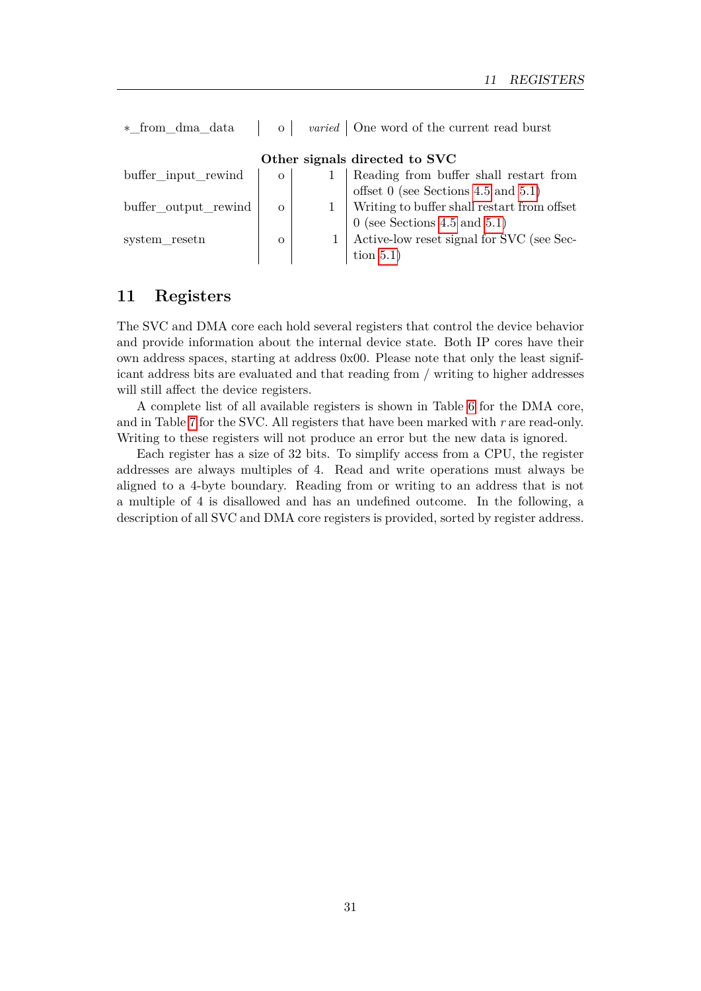| * from dma data      |          | <i>varied</i>   One word of the current read burst                             |
|----------------------|----------|--------------------------------------------------------------------------------|
|                      |          | Other signals directed to SVC                                                  |
| buffer_input_rewind  | $\Omega$ | Reading from buffer shall restart from                                         |
|                      |          | offset 0 (see Sections 4.5 and 5.1)                                            |
| buffer_output_rewind | $\Omega$ |                                                                                |
|                      |          |                                                                                |
| system resetn        | $\Omega$ | $\,$ 0 (see Sections 4.5 and 5.1)<br>Active-low reset signal for SVC (see Sec- |
|                      |          | tion $5.1$ )                                                                   |

# <span id="page-31-0"></span>**11 Registers**

The SVC and DMA core each hold several registers that control the device behavior and provide information about the internal device state. Both IP cores have their own address spaces, starting at address 0x00. Please note that only the least significant address bits are evaluated and that reading from / writing to higher addresses will still affect the device registers.

A complete list of all available registers is shown in Table [6](#page-32-0) for the DMA core, and in Table [7](#page-33-2) for the SVC. All registers that have been marked with *r* are read-only. Writing to these registers will not produce an error but the new data is ignored.

Each register has a size of 32 bits. To simplify access from a CPU, the register addresses are always multiples of 4. Read and write operations must always be aligned to a 4-byte boundary. Reading from or writing to an address that is not a multiple of 4 is disallowed and has an undefined outcome. In the following, a description of all SVC and DMA core registers is provided, sorted by register address.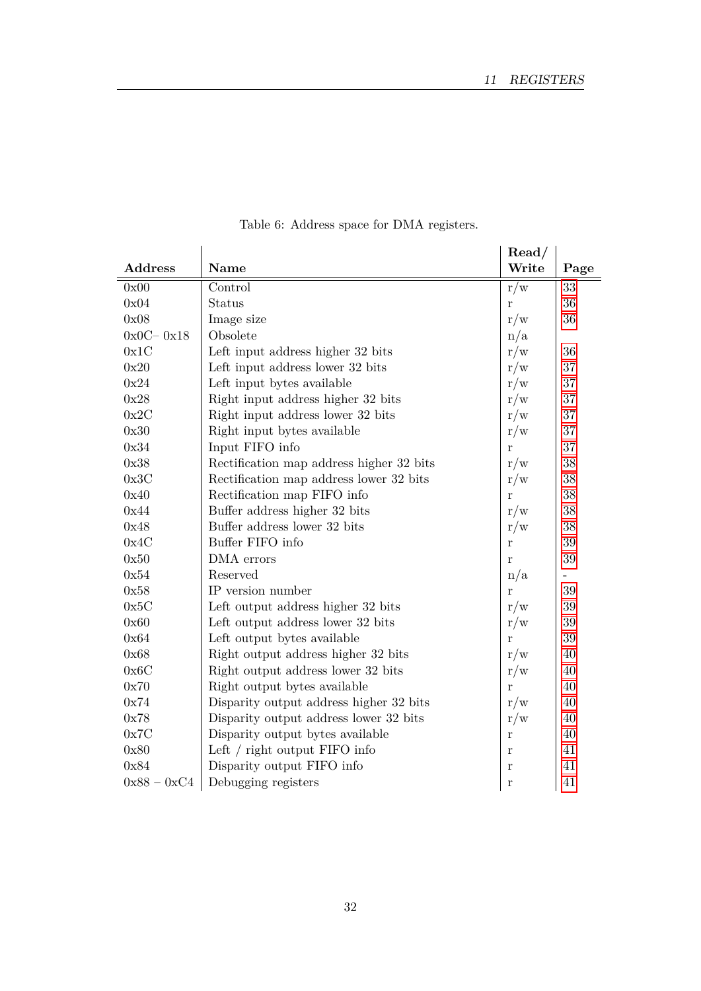<span id="page-32-0"></span>

|                |                                          | $\mathrm{Read}/$ |                          |
|----------------|------------------------------------------|------------------|--------------------------|
| <b>Address</b> | Name                                     | Write            | Page                     |
| 0x00           | Control                                  | $r/\overline{w}$ | 33                       |
| 0x04           | Status                                   | r                | 36                       |
| 0x08           | Image size                               | r/w              | $36\,$                   |
| $0x0C - 0x18$  | Obsolete                                 | n/a              |                          |
| 0x1C           | Left input address higher 32 bits        | r/w              | 36                       |
| 0x20           | Left input address lower 32 bits         | r/w              | 37                       |
| 0x24           | Left input bytes available               | r/w              | 37                       |
| 0x28           | Right input address higher 32 bits       | r/w              | 37                       |
| 0x2C           | Right input address lower 32 bits        | r/w              | 37                       |
| 0x30           | Right input bytes available              | r/w              | 37                       |
| 0x34           | Input FIFO info                          | $\mathbf{r}$     | 37                       |
| 0x38           | Rectification map address higher 32 bits | r/w              | 38                       |
| 0x3C           | Rectification map address lower 32 bits  | r/w              | 38                       |
| 0x40           | Rectification map FIFO info              | $\mathbf{r}$     | 38                       |
| 0x44           | Buffer address higher 32 bits            | r/w              | 38                       |
| 0x48           | Buffer address lower 32 bits             | r/w              | 38                       |
| 0x4C           | Buffer FIFO info                         | r                | 39                       |
| 0x50           | DMA errors                               | $\mathbf{r}$     | 39                       |
| 0x54           | Reserved                                 | n/a              | $\overline{\phantom{a}}$ |
| 0x58           | IP version number                        | r                | 39                       |
| 0x5C           | Left output address higher 32 bits       | r/w              | $39\,$                   |
| 0x60           | Left output address lower 32 bits        | r/w              | $39\,$                   |
| 0x64           | Left output bytes available              | $\bf r$          | 39                       |
| 0x68           | Right output address higher 32 bits      | r/w              | 40                       |
| 0x6C           | Right output address lower 32 bits       | r/w              | 40                       |
| 0x70           | Right output bytes available             | $\mathbf{r}$     | 40                       |
| 0x74           | Disparity output address higher 32 bits  | r/w              | 40                       |
| 0x78           | Disparity output address lower 32 bits   | r/w              | 40                       |
| 0x7C           | Disparity output bytes available         | r                | 40                       |
| 0x80           | Left / right output FIFO info            | r                | 41                       |
| 0x84           | Disparity output FIFO info               | $\bf r$          | 41                       |
| $0x88 - 0xC4$  | Debugging registers                      | r                | 41                       |

Table 6: Address space for DMA registers.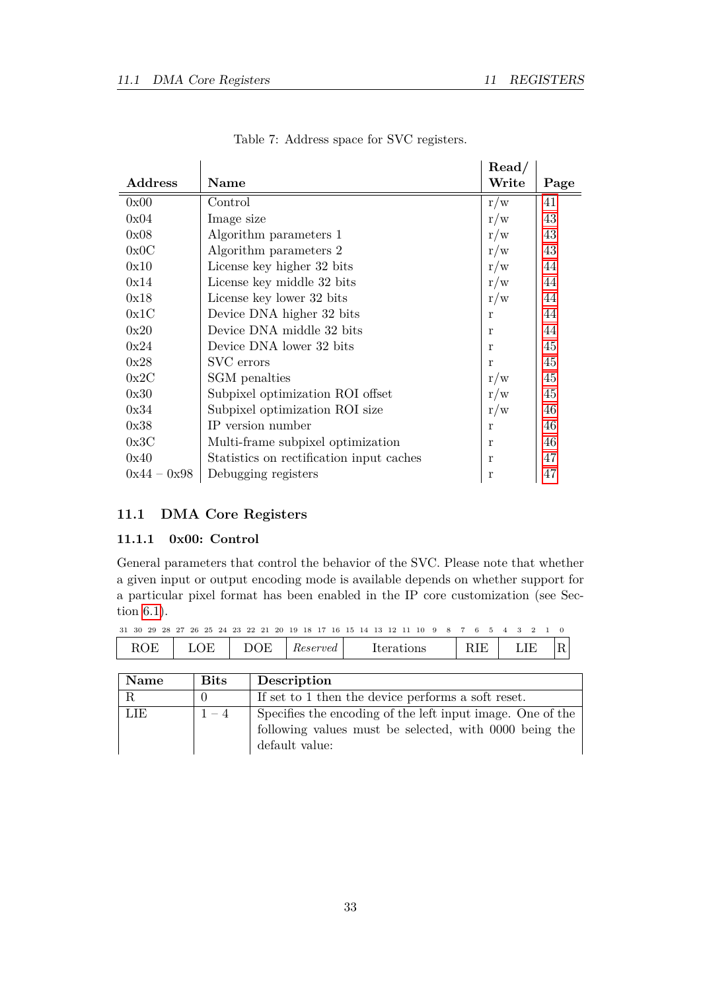<span id="page-33-2"></span>

|                |                                          | Read/ |      |
|----------------|------------------------------------------|-------|------|
| <b>Address</b> | <b>Name</b>                              | Write | Page |
| 0x00           | Control                                  | r/w   | 41   |
| 0x04           | Image size                               | r/w   | 43   |
| 0x08           | Algorithm parameters 1                   | r/w   | 43   |
| 0x0C           | Algorithm parameters 2                   | r/w   | 43   |
| 0x10           | License key higher 32 bits               | r/w   | 44   |
| 0x14           | License key middle 32 bits               | r/w   | 44   |
| 0x18           | License key lower 32 bits                | r/w   | 44   |
| 0x1C           | Device DNA higher 32 bits                | r     | 44   |
| 0x20           | Device DNA middle 32 bits                | r     | 44   |
| 0x24           | Device DNA lower 32 bits                 | r     | 45   |
| 0x28           | SVC errors                               | r     | 45   |
| 0x2C           | SGM penalties                            | r/w   | 45   |
| 0x30           | Subpixel optimization ROI offset         | r/w   | 45   |
| 0x34           | Subpixel optimization ROI size           | r/w   | 46   |
| 0x38           | IP version number                        | r     | 46   |
| 0x3C           | Multi-frame subpixel optimization        | r     | 46   |
| 0x40           | Statistics on rectification input caches | r     | 47   |
| $0x44 - 0x98$  | Debugging registers                      | r     | 47   |

Table 7: Address space for SVC registers.

# <span id="page-33-0"></span>**11.1 DMA Core Registers**

# <span id="page-33-1"></span>**11.1.1 0x00: Control**

General parameters that control the behavior of the SVC. Please note that whether a given input or output encoding mode is available depends on whether support for a particular pixel format has been enabled in the IP core customization (see Section [6.1\)](#page-18-2).

| <b>Name</b> | <b>Bits</b> | Description                                                |
|-------------|-------------|------------------------------------------------------------|
|             |             | If set to 1 then the device performs a soft reset.         |
| LIE         | $1 - 4$     | Specifies the encoding of the left input image. One of the |
|             |             | following values must be selected, with 0000 being the     |
|             |             | default value:                                             |

31 30 29 28 27 26 25 24 23 22 21 20 19 18 17 16 15 14 13 12 11 10 9 8 7 6 5 4 3 2 1 0 ROE | LOE | DOE | Reserved | Iterations | RIE | LIE | R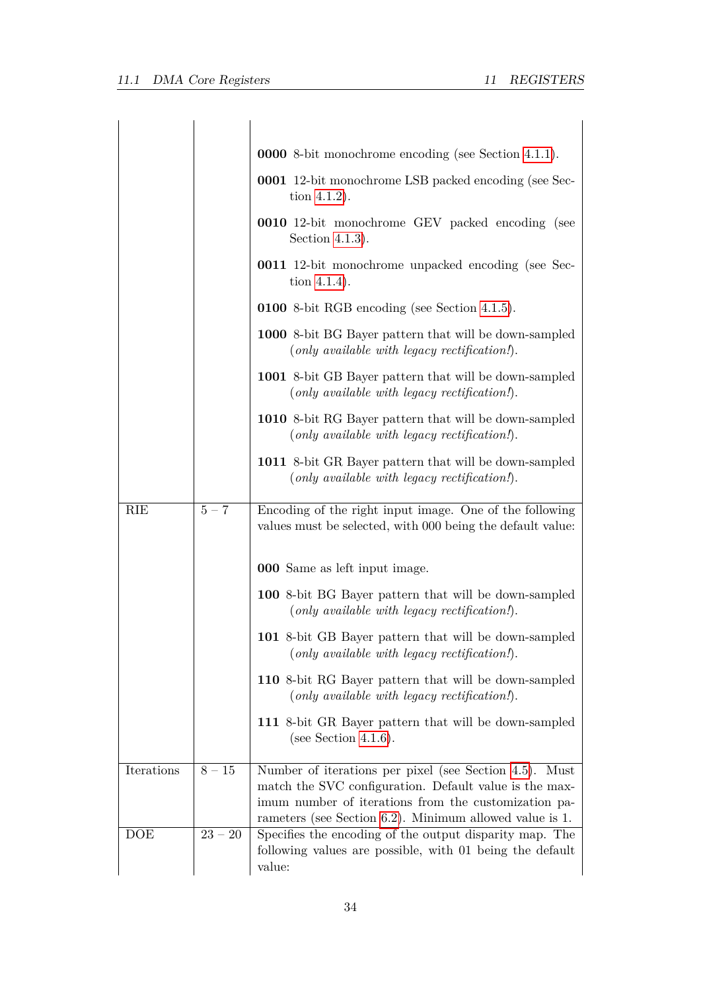|            |           | <b>0000</b> 8-bit monochrome encoding (see Section 4.1.1).                                                                                                                                                                             |
|------------|-----------|----------------------------------------------------------------------------------------------------------------------------------------------------------------------------------------------------------------------------------------|
|            |           | <b>0001</b> 12-bit monochrome LSB packed encoding (see Sec-<br>tion $4.1.2$ ).                                                                                                                                                         |
|            |           | <b>0010</b> 12-bit monochrome GEV packed encoding (see<br>Section 4.1.3).                                                                                                                                                              |
|            |           | <b>0011</b> 12-bit monochrome unpacked encoding (see Sec-<br>tion $4.1.4$ ).                                                                                                                                                           |
|            |           | <b>0100</b> 8-bit RGB encoding (see Section 4.1.5).                                                                                                                                                                                    |
|            |           | 1000 8-bit BG Bayer pattern that will be down-sampled<br>$(only\ available\ with\ legacy\ rectification!).$                                                                                                                            |
|            |           | 1001 8-bit GB Bayer pattern that will be down-sampled<br>$(only\ available\ with\ legacy\ rectification!).$                                                                                                                            |
|            |           | 1010 8-bit RG Bayer pattern that will be down-sampled<br>$(only available with legacy rectification!).$                                                                                                                                |
|            |           | 1011 8-bit GR Bayer pattern that will be down-sampled<br>$(only\ available\ with\ legacy\ rectification!).$                                                                                                                            |
| RIE        | $5 - 7$   | Encoding of the right input image. One of the following<br>values must be selected, with 000 being the default value:                                                                                                                  |
|            |           | <b>000</b> Same as left input image.                                                                                                                                                                                                   |
|            |           | <b>100</b> 8-bit BG Bayer pattern that will be down-sampled<br>$(only\ available\ with\ legacy\ rectification!).$                                                                                                                      |
|            |           | 101 8-bit GB Bayer pattern that will be down-sampled<br>(only available with legacy rectification!).                                                                                                                                   |
|            |           | 110 8-bit RG Bayer pattern that will be down-sampled<br>$(only\ available\ with\ legacy\ rectification!).$                                                                                                                             |
|            |           | 111 8-bit GR Bayer pattern that will be down-sampled<br>(see Section 4.1.6).                                                                                                                                                           |
| Iterations | $8-15\,$  | Number of iterations per pixel (see Section 4.5). Must<br>match the SVC configuration. Default value is the max-<br>imum number of iterations from the customization pa-<br>rameters (see Section $6.2$ ). Minimum allowed value is 1. |
| DOE        | $23 - 20$ | Specifies the encoding of the output disparity map. The<br>following values are possible, with 01 being the default<br>value:                                                                                                          |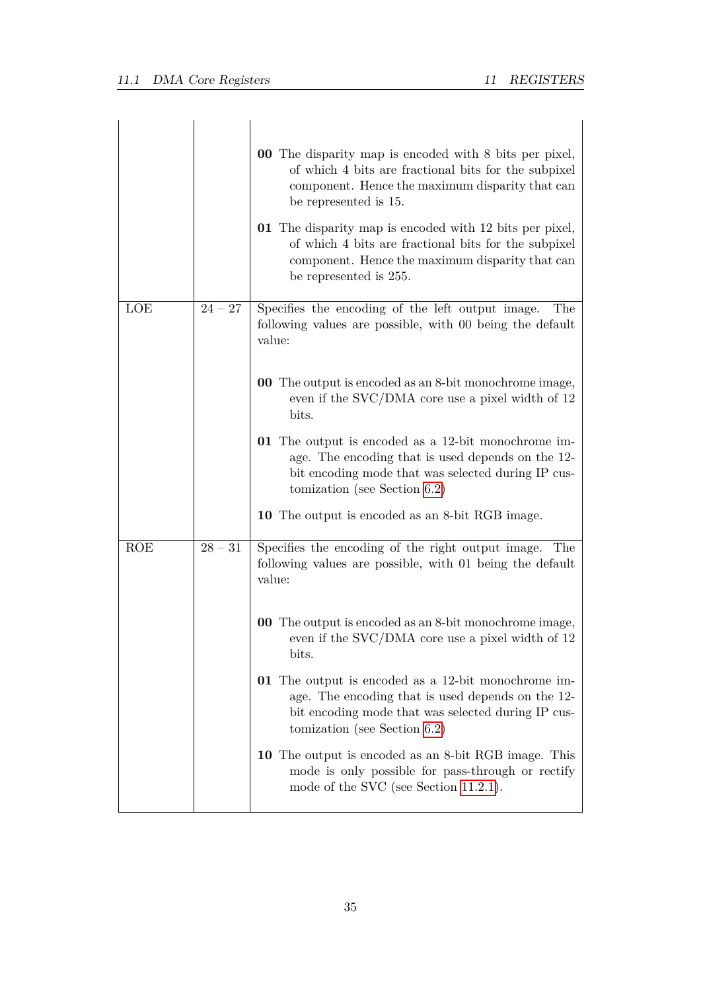|            |           | <b>00</b> The disparity map is encoded with 8 bits per pixel,<br>of which 4 bits are fractional bits for the subpixel<br>component. Hence the maximum disparity that can<br>be represented is 15.<br>01 The disparity map is encoded with 12 bits per pixel,<br>of which 4 bits are fractional bits for the subpixel |
|------------|-----------|----------------------------------------------------------------------------------------------------------------------------------------------------------------------------------------------------------------------------------------------------------------------------------------------------------------------|
| LOE        | $24 - 27$ | component. Hence the maximum disparity that can<br>be represented is 255.<br>Specifies the encoding of the left output image.<br>The<br>following values are possible, with 00 being the default<br>value:                                                                                                           |
|            |           | <b>00</b> The output is encoded as an 8-bit monochrome image,<br>even if the SVC/DMA core use a pixel width of 12<br>bits.<br><b>01</b> The output is encoded as a 12-bit monochrome im-<br>age. The encoding that is used depends on the 12-<br>bit encoding mode that was selected during IP cus-                  |
| <b>ROE</b> | $28 - 31$ | tomization (see Section $6.2$ )<br>10 The output is encoded as an 8-bit RGB image.<br>Specifies the encoding of the right output image. The                                                                                                                                                                          |
|            |           | following values are possible, with 01 being the default<br>value:<br><b>00</b> The output is encoded as an 8-bit monochrome image,                                                                                                                                                                                  |
|            |           | even if the $\text{SVC} / \text{DMA}$ core use a pixel width of 12<br>bits.<br><b>01</b> The output is encoded as a 12-bit monochrome im-<br>age. The encoding that is used depends on the 12-                                                                                                                       |
|            |           | bit encoding mode that was selected during IP cus-<br>tomization (see Section $6.2$ )<br>10 The output is encoded as an 8-bit RGB image. This<br>mode is only possible for pass-through or rectify                                                                                                                   |
|            |           | mode of the SVC (see Section 11.2.1).                                                                                                                                                                                                                                                                                |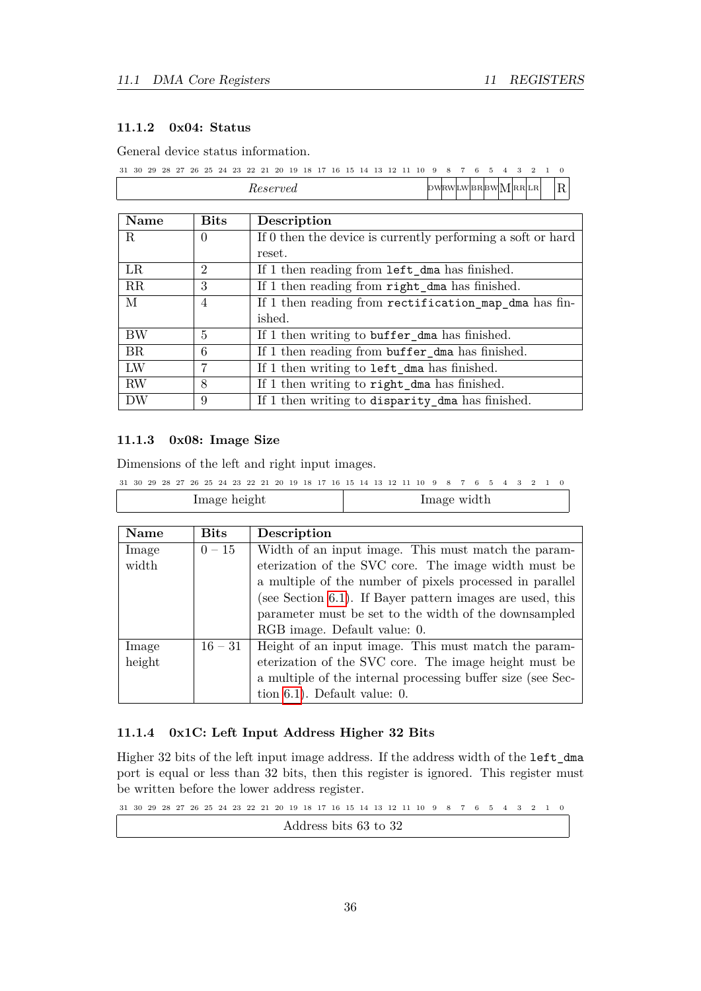# <span id="page-36-0"></span>**11.1.2 0x04: Status**

General device status information.

 $31 \ 30 \ 29 \ 28 \ 27 \ 26 \ 25 \ 24 \ 23 \ 22 \ 21 \ 20 \ 19 \ 18 \ 17 \ 16 \ 15 \ 14 \ 13 \ 12 \ 11 \ 10 \ 9 \ 8 \ 7 \ 6 \ 5 \ 4 \ 3 \ 2 \ 1 \ 0$ *Reserved* DWRWLW BRBW MRRLR R

| Name      | <b>Bits</b> | Description                                                 |
|-----------|-------------|-------------------------------------------------------------|
| R         | 0           | If 0 then the device is currently performing a soft or hard |
|           |             | reset.                                                      |
| LR        | 2           | If 1 then reading from left_dma has finished.               |
| RR        | 3           | If 1 then reading from right dma has finished.              |
| М         | 4           | If 1 then reading from rectification_map_dma has fin-       |
|           |             | ished.                                                      |
| BW        | 5           | If 1 then writing to buffer dma has finished.               |
| <b>BR</b> | 6           | If 1 then reading from buffer_dma has finished.             |
| LW        | 7           | If 1 then writing to <b>left_dma</b> has finished.          |
| <b>RW</b> | 8           | If 1 then writing to right_dma has finished.                |
| DW        | 9           | If 1 then writing to disparity_dma has finished.            |

#### <span id="page-36-1"></span>**11.1.3 0x08: Image Size**

Dimensions of the left and right input images.

|  |  |  |  |              |  |  |  |  |  | 31 30 29 28 27 26 25 24 23 22 21 20 19 18 17 16 15 14 13 12 11 10 9 8 7 6 5 4 3 2 1 0 |             |  |  |  |  |
|--|--|--|--|--------------|--|--|--|--|--|---------------------------------------------------------------------------------------|-------------|--|--|--|--|
|  |  |  |  | Image height |  |  |  |  |  |                                                                                       | Image width |  |  |  |  |

| Name   | <b>Bits</b> | Description                                                 |
|--------|-------------|-------------------------------------------------------------|
| Image  | $0 - 15$    | Width of an input image. This must match the param-         |
| width  |             | eterization of the SVC core. The image width must be        |
|        |             | a multiple of the number of pixels processed in parallel    |
|        |             | (see Section 6.1). If Bayer pattern images are used, this   |
|        |             | parameter must be set to the width of the downsampled       |
|        |             | RGB image. Default value: 0.                                |
| Image  | $16 - 31$   | Height of an input image. This must match the param-        |
| height |             | eterization of the SVC core. The image height must be       |
|        |             | a multiple of the internal processing buffer size (see Sec- |
|        |             | tion $6.1$ ). Default value: 0.                             |

#### <span id="page-36-2"></span>**11.1.4 0x1C: Left Input Address Higher 32 Bits**

Higher 32 bits of the left input image address. If the address width of the left\_dma port is equal or less than 32 bits, then this register is ignored. This register must be written before the lower address register.

 $31 \ 30 \ 29 \ 28 \ 27 \ 26 \ 25 \ 24 \ 23 \ 22 \ 21 \ 20 \ 19 \ 18 \ 17 \ 16 \ 15 \ 14 \ 13 \ 12 \ 11 \ 10 \ 9 \ 8 \ 7 \ 6 \ 5 \ 4 \ 3 \ 2 \ 1 \ 0$ Address bits 63 to 32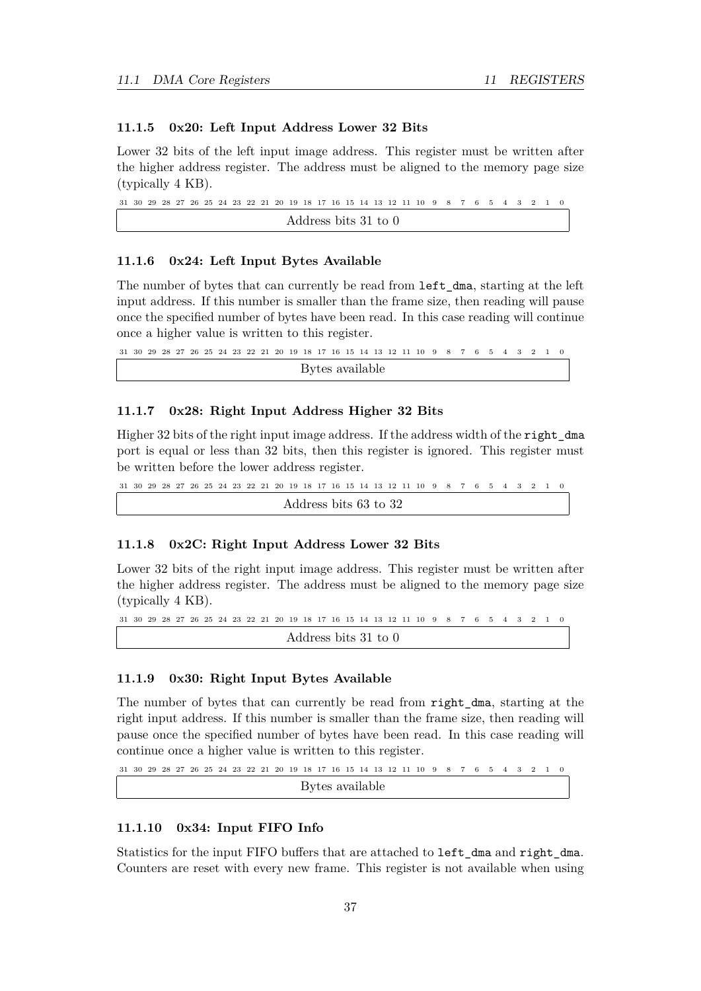# <span id="page-37-0"></span>**11.1.5 0x20: Left Input Address Lower 32 Bits**

Lower 32 bits of the left input image address. This register must be written after the higher address register. The address must be aligned to the memory page size (typically 4 KB).

```
31 \ 30 \ 29 \ 28 \ 27 \ 26 \ 25 \ 24 \ 23 \ 22 \ 21 \ 20 \ 19 \ 18 \ 17 \ 16 \ 15 \ 14 \ 13 \ 12 \ 11 \ 10 \ 9 \ 8 \ 7 \ 6 \ 5 \ 4 \ 3 \ 2 \ 1 \ 0Address bits 31 to 0
```
#### <span id="page-37-1"></span>**11.1.6 0x24: Left Input Bytes Available**

The number of bytes that can currently be read from left\_dma, starting at the left input address. If this number is smaller than the frame size, then reading will pause once the specified number of bytes have been read. In this case reading will continue once a higher value is written to this register.

 $31 \ 30 \ 29 \ 28 \ 27 \ 26 \ 25 \ 24 \ 23 \ 22 \ 21 \ 20 \ 19 \ 18 \ 17 \ 16 \ 15 \ 14 \ 13 \ 12 \ 11 \ 10 \ 9 \ 8 \ 7 \ 6 \ 5 \ 4 \ 3 \ 2 \ 1 \ 0$ Bytes available

# <span id="page-37-2"></span>**11.1.7 0x28: Right Input Address Higher 32 Bits**

Higher 32 bits of the right input image address. If the address width of the right dma port is equal or less than 32 bits, then this register is ignored. This register must be written before the lower address register.

 $31 \ 30 \ 29 \ 28 \ 27 \ 26 \ 25 \ 24 \ 23 \ 22 \ 21 \ 20 \ 19 \ 18 \ 17 \ 16 \ 15 \ 14 \ 13 \ 12 \ 11 \ 10 \ 9 \ 8 \ 7 \ 6 \ 5 \ 4 \ 3 \ 2 \ 1 \ 0$ Address bits 63 to 32

#### <span id="page-37-3"></span>**11.1.8 0x2C: Right Input Address Lower 32 Bits**

Lower 32 bits of the right input image address. This register must be written after the higher address register. The address must be aligned to the memory page size (typically 4 KB).

```
31 \ 30 \ 29 \ 28 \ 27 \ 26 \ 25 \ 24 \ 23 \ 22 \ 21 \ 20 \ 19 \ 18 \ 17 \ 16 \ 15 \ 14 \ 13 \ 12 \ 11 \ 10 \ 9 \ 8 \ 7 \ 6 \ 5 \ 4 \ 3 \ 2Address bits 31 to 0
```
# <span id="page-37-4"></span>**11.1.9 0x30: Right Input Bytes Available**

The number of bytes that can currently be read from right dma, starting at the right input address. If this number is smaller than the frame size, then reading will pause once the specified number of bytes have been read. In this case reading will continue once a higher value is written to this register.

```
31 \ 30 \ 29 \ 28 \ 27 \ 26 \ 25 \ 24 \ 23 \ 22 \ 21 \ 20 \ 19 \ 18 \ 17 \ 16 \ 15 \ 14 \ 13 \ 12 \ 11 \ 10 \ 9 \ 8 \ 7 \ 6 \ 5 \ 4 \ 3 \ 2 \ 1 \ 0Bytes available
```
#### <span id="page-37-5"></span>**11.1.10 0x34: Input FIFO Info**

Statistics for the input FIFO buffers that are attached to left\_dma and right\_dma. Counters are reset with every new frame. This register is not available when using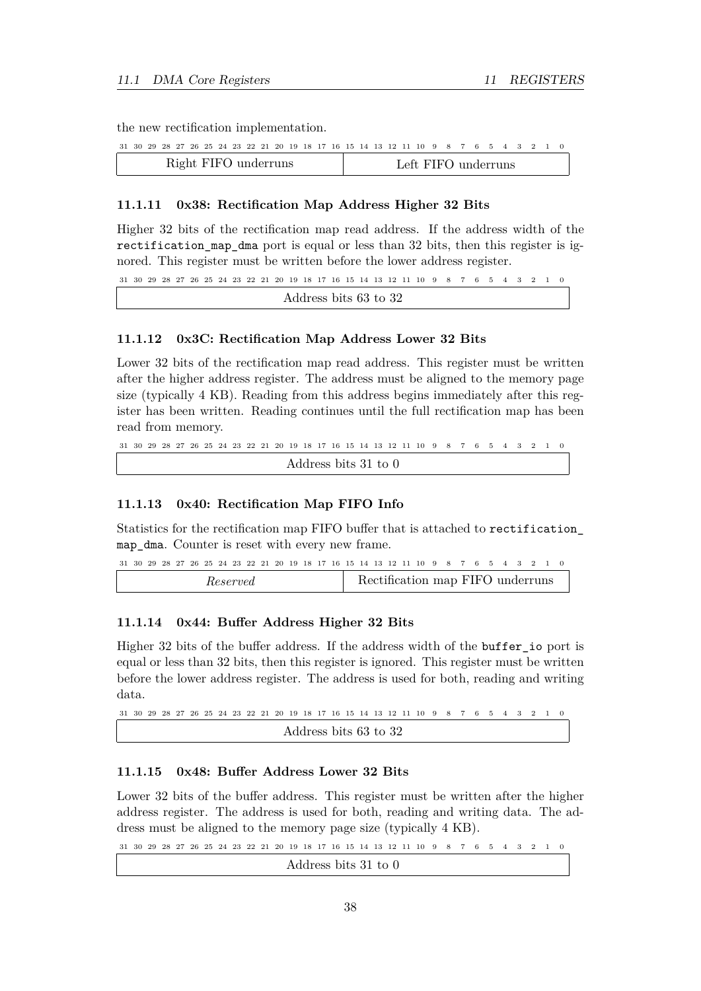the new rectification implementation.

|  |  |  |  |                      |  |  |  |  |  | 31 30 29 28 27 26 25 24 23 22 21 20 19 18 17 16 15 14 13 12 11 10 9 8 7 6 5 4 3 2 1 0 |  |  |  |  |  |
|--|--|--|--|----------------------|--|--|--|--|--|---------------------------------------------------------------------------------------|--|--|--|--|--|
|  |  |  |  | Right FIFO underruns |  |  |  |  |  | Left FIFO underruns                                                                   |  |  |  |  |  |

#### <span id="page-38-0"></span>**11.1.11 0x38: Rectification Map Address Higher 32 Bits**

Higher 32 bits of the rectification map read address. If the address width of the rectification\_map\_dma port is equal or less than 32 bits, then this register is ignored. This register must be written before the lower address register.

 $31 \ 30 \ 29 \ 28 \ 27 \ 26 \ 25 \ 24 \ 23 \ 22 \ 21 \ 20 \ 19 \ 18 \ 17 \ 16 \ 15 \ 14 \ 13 \ 12 \ 11 \ 10 \ 9 \ 8 \ 7 \ 6 \ 5 \ 4 \ 3 \ 2 \ 1 \ 0$ Address bits 63 to 32

#### <span id="page-38-1"></span>**11.1.12 0x3C: Rectification Map Address Lower 32 Bits**

Lower 32 bits of the rectification map read address. This register must be written after the higher address register. The address must be aligned to the memory page size (typically 4 KB). Reading from this address begins immediately after this register has been written. Reading continues until the full rectification map has been read from memory.

 $31 \ 30 \ 29 \ 28 \ 27 \ 26 \ 25 \ 24 \ 23 \ 22 \ 21 \ 20 \ 19 \ 18 \ 17 \ 16 \ 15 \ 14 \ 13 \ 12 \ 11 \ 10 \ 9 \ 8 \ 7 \ 6 \ 5 \ 4 \ 3 \ 2 \ 1 \ 0$ Address bits 31 to 0

#### <span id="page-38-2"></span>**11.1.13 0x40: Rectification Map FIFO Info**

Statistics for the rectification map FIFO buffer that is attached to rectification\_ map\_dma. Counter is reset with every new frame.

```
31 \ 30 \ 29 \ 28 \ 27 \ 26 \ 25 \ 24 \ 23 \ 22 \ 21 \ 20 \ 19 \ 18 \ 17 \ 16 \ 15 \ 14 \ 13 \ 12 \ 11 \ 10 \ 9 \ 8 \ 7 \ 6 \ 5 \ 4 \ 3 \ 2 \ 1 \ 0Reserved Rectification map FIFO underruns
```
#### <span id="page-38-3"></span>**11.1.14 0x44: Buffer Address Higher 32 Bits**

Higher 32 bits of the buffer address. If the address width of the buffer\_io port is equal or less than 32 bits, then this register is ignored. This register must be written before the lower address register. The address is used for both, reading and writing data.

```
31\ 30\ 29\ 28\ 27\ 26\ 25\ 24\ 23\ 22\ 21\ 20\ 19\ 18\ 17\ 16\ 15\ 14\ 13\ 12\ 11\ 10\ 9\ 8\ 7\ 6\ 5\ 4\ 3\ 2Address bits 63 to 32
```
### <span id="page-38-4"></span>**11.1.15 0x48: Buffer Address Lower 32 Bits**

Lower 32 bits of the buffer address. This register must be written after the higher address register. The address is used for both, reading and writing data. The address must be aligned to the memory page size (typically 4 KB).

 $31 \ 30 \ 29 \ 28 \ 27 \ 26 \ 25 \ 24 \ 23 \ 22 \ 21 \ 20 \ 19 \ 18 \ 17 \ 16 \ 15 \ 14 \ 13 \ 12 \ 11 \ 10 \ 9 \ 8 \ 7 \ 6 \ 5 \ 4 \ 3 \ 2 \ 1 \ 0$ Address bits 31 to 0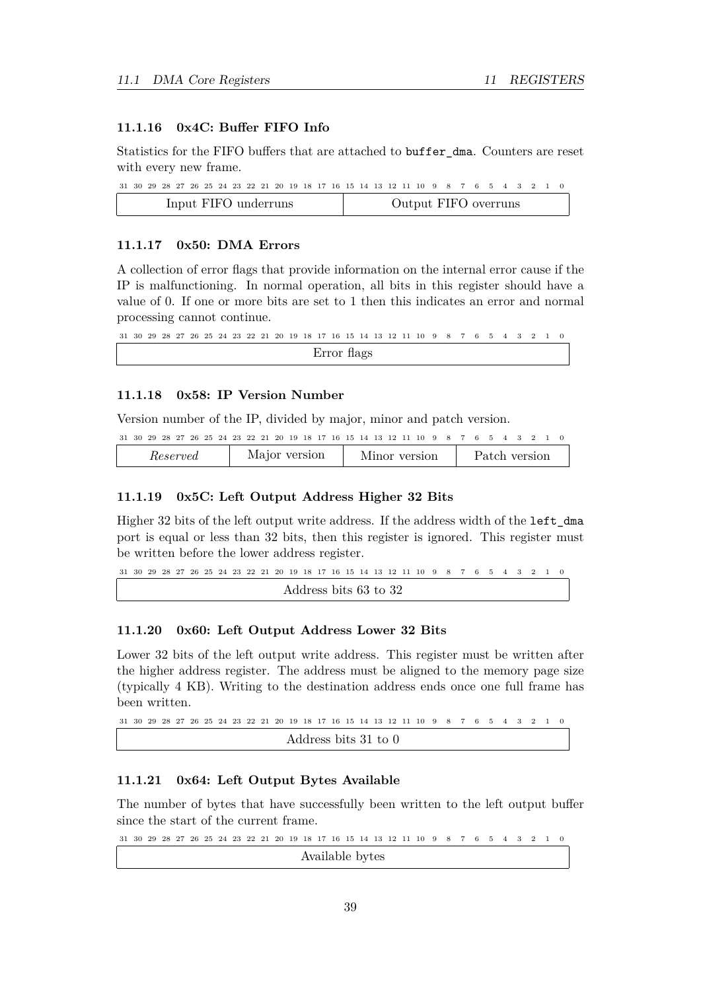# <span id="page-39-0"></span>**11.1.16 0x4C: Buffer FIFO Info**

Statistics for the FIFO buffers that are attached to buffer\_dma. Counters are reset with every new frame.

|  |  |  |  |  |                      |  |  |  |  |  | 31 30 29 28 27 26 25 24 23 22 21 20 19 18 17 16 15 14 13 12 11 10 9 8 7 6 5 4 3 2 1 0 |  |  |  |  |  |
|--|--|--|--|--|----------------------|--|--|--|--|--|---------------------------------------------------------------------------------------|--|--|--|--|--|
|  |  |  |  |  | Input FIFO underruns |  |  |  |  |  | Output FIFO overruns                                                                  |  |  |  |  |  |

#### <span id="page-39-1"></span>**11.1.17 0x50: DMA Errors**

A collection of error flags that provide information on the internal error cause if the IP is malfunctioning. In normal operation, all bits in this register should have a value of 0. If one or more bits are set to 1 then this indicates an error and normal processing cannot continue.

 $31 \ 30 \ 29 \ 28 \ 27 \ 26 \ 25 \ 24 \ 23 \ 22 \ 21 \ 20 \ 19 \ 18 \ 17 \ 16 \ 15 \ 14 \ 13 \ 12 \ 11 \ 10 \ 9 \ 8 \ 7 \ 6 \ 5 \ 4 \ 3 \ 2 \ 1$ Error flags

# <span id="page-39-2"></span>**11.1.18 0x58: IP Version Number**

Version number of the IP, divided by major, minor and patch version.

|  |          |  |  |  |               |  |  |  |  | 31 30 29 28 27 26 25 24 23 22 21 20 19 18 17 16 15 14 13 12 11 10 9 8 7 6 5 4 3 2 1 0 |  |  |  |               |  |
|--|----------|--|--|--|---------------|--|--|--|--|---------------------------------------------------------------------------------------|--|--|--|---------------|--|
|  | Reserved |  |  |  | Major version |  |  |  |  | Minor version                                                                         |  |  |  | Patch version |  |

#### <span id="page-39-3"></span>**11.1.19 0x5C: Left Output Address Higher 32 Bits**

Higher 32 bits of the left output write address. If the address width of the left\_dma port is equal or less than 32 bits, then this register is ignored. This register must be written before the lower address register.

```
31 \ 30 \ 29 \ 28 \ 27 \ 26 \ 25 \ 24 \ 23 \ 22 \ 21 \ 20 \ 19 \ 18 \ 17 \ 16 \ 15 \ 14 \ 13 \ 12 \ 11 \ 10 \ 9 \ 8 \ 7 \ 6 \ 5 \ 4 \ 3 \ 2 \ 1Address bits 63 to 32
```
#### <span id="page-39-4"></span>**11.1.20 0x60: Left Output Address Lower 32 Bits**

Lower 32 bits of the left output write address. This register must be written after the higher address register. The address must be aligned to the memory page size (typically 4 KB). Writing to the destination address ends once one full frame has been written.

```
31 \ 30 \ 29 \ 28 \ 27 \ 26 \ 25 \ 24 \ 23 \ 22 \ 21 \ 20 \ 19 \ 18 \ 17 \ 16 \ 15 \ 14 \ 13 \ 12 \ 11 \ 10 \ 9 \ 8 \ 7 \ 6 \ 5 \ 4 \ 3 \ 2 \ 1 \ 0Address bits 31 to 0
```
### <span id="page-39-5"></span>**11.1.21 0x64: Left Output Bytes Available**

The number of bytes that have successfully been written to the left output buffer since the start of the current frame.

 $31 \ 30 \ 29 \ 28 \ 27 \ 26 \ 25 \ 24 \ 23 \ 22 \ 21 \ 20 \ 19 \ 18 \ 17 \ 16 \ 15 \ 14 \ 13 \ 12 \ 11 \ 10 \ 9 \ 8 \ 7 \ 6 \ 5 \ 4 \ 3 \ 2 \ 1 \ 0$ 

Available bytes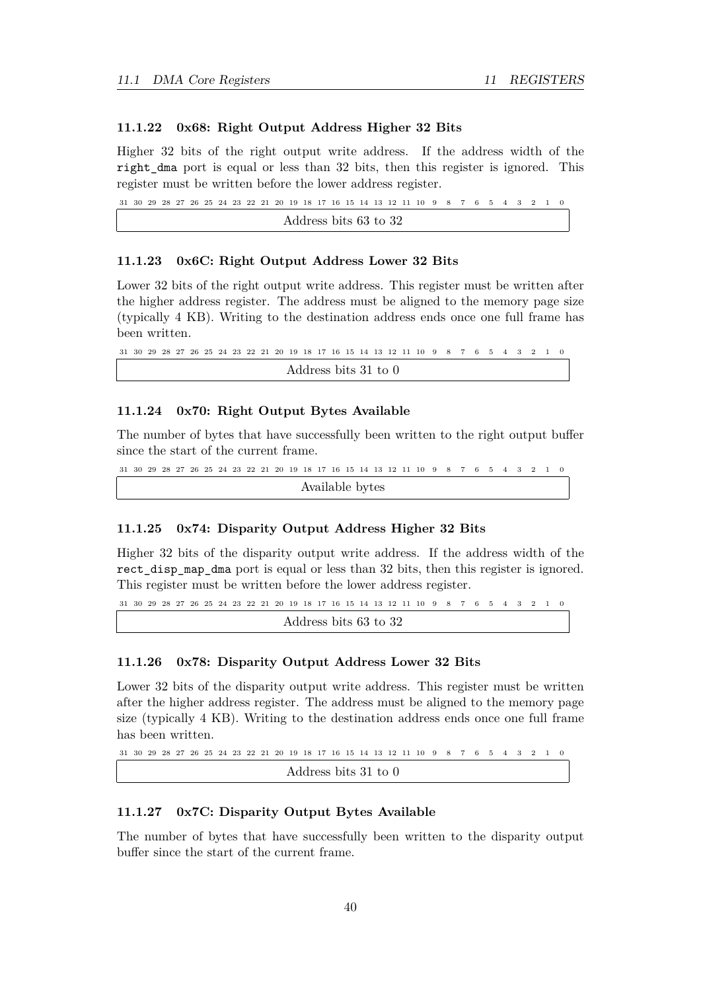### <span id="page-40-0"></span>**11.1.22 0x68: Right Output Address Higher 32 Bits**

Higher 32 bits of the right output write address. If the address width of the right\_dma port is equal or less than 32 bits, then this register is ignored. This register must be written before the lower address register.

 $31 \ 30 \ 29 \ 28 \ 27 \ 26 \ 25 \ 24 \ 23 \ 22 \ 21 \ 20 \ 19 \ 18 \ 17 \ 16 \ 15 \ 14 \ 13 \ 12 \ 11 \ 10 \ 9 \ 8 \ 7 \ 6 \ 5 \ 4 \ 3 \ 2 \ 1 \ 0$ Address bits 63 to 32

#### <span id="page-40-1"></span>**11.1.23 0x6C: Right Output Address Lower 32 Bits**

Lower 32 bits of the right output write address. This register must be written after the higher address register. The address must be aligned to the memory page size (typically 4 KB). Writing to the destination address ends once one full frame has been written.

```
31 30 29 28 27 26 25 24 23 22 21 20 19 18 17 16 15 14 13 12 11 10 0123456789
                 Address bits 31 to 0
```
#### <span id="page-40-2"></span>**11.1.24 0x70: Right Output Bytes Available**

The number of bytes that have successfully been written to the right output buffer since the start of the current frame.

```
31 \ 30 \ 29 \ 28 \ 27 \ 26 \ 25 \ 24 \ 23 \ 22 \ 21 \ 20 \ 19 \ 18 \ 17 \ 16 \ 15 \ 14 \ 13 \ 12 \ 11 \ 10 \ 9 \ 8 \ 7 \ 6 \ 5 \ 4 \ 3 \ 2 \ 1 \ 0Available bytes
```
#### <span id="page-40-3"></span>**11.1.25 0x74: Disparity Output Address Higher 32 Bits**

Higher 32 bits of the disparity output write address. If the address width of the rect\_disp\_map\_dma port is equal or less than 32 bits, then this register is ignored. This register must be written before the lower address register.

```
31 \ 30 \ 29 \ 28 \ 27 \ 26 \ 25 \ 24 \ 23 \ 22 \ 21 \ 20 \ 19 \ 18 \ 17 \ 16 \ 15 \ 14 \ 13 \ 12 \ 11 \ 10 \ 9 \ 8 \ 7 \ 6 \ 5 \ 4 \ 3 \ 2 \ 1 \ 0Address bits 63 to 32
```
#### <span id="page-40-4"></span>**11.1.26 0x78: Disparity Output Address Lower 32 Bits**

Lower 32 bits of the disparity output write address. This register must be written after the higher address register. The address must be aligned to the memory page size (typically 4 KB). Writing to the destination address ends once one full frame has been written.

```
31 \ 30 \ 29 \ 28 \ 27 \ 26 \ 25 \ 24 \ 23 \ 22 \ 21 \ 20 \ 19 \ 18 \ 17 \ 16 \ 15 \ 14 \ 13 \ 12 \ 11 \ 10 \ 9 \ 8 \ 7 \ 6 \ 5 \ 4 \ 3 \ 2Address bits 31 to 0
```
#### <span id="page-40-5"></span>**11.1.27 0x7C: Disparity Output Bytes Available**

The number of bytes that have successfully been written to the disparity output buffer since the start of the current frame.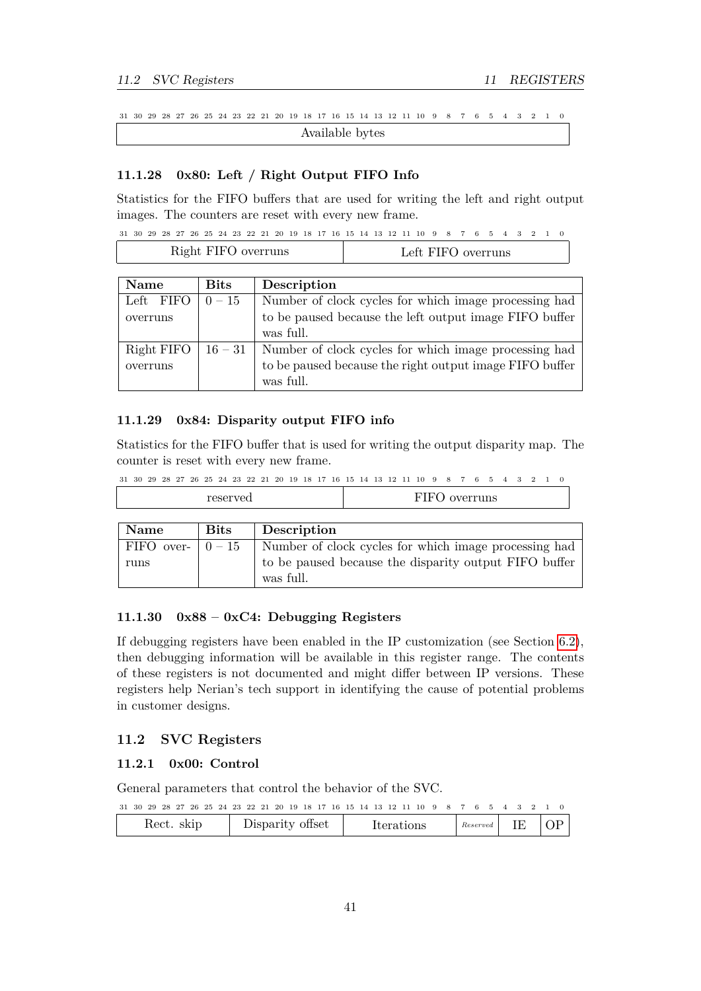$31 \ 30 \ 29 \ 28 \ 27 \ 26 \ 25 \ 24 \ 23 \ 22 \ 21 \ 20 \ 19 \ 18 \ 17 \ 16 \ 15 \ 14 \ 13 \ 12 \ 11 \ 10 \ 9 \ 8 \ 7 \ 6 \ 5 \ 4 \ 3 \ 2 \ 1 \ 0$ Available bytes

#### <span id="page-41-0"></span>**11.1.28 0x80: Left / Right Output FIFO Info**

Statistics for the FIFO buffers that are used for writing the left and right output images. The counters are reset with every new frame.

|  |  |  |  |  |                     |  |  |  |  | 31 30 29 28 27 26 25 24 23 22 21 20 19 18 17 16 15 14 13 12 11 10 9 8 7 6 5 4 3 2 1 0 |  |  |  |  |  |
|--|--|--|--|--|---------------------|--|--|--|--|---------------------------------------------------------------------------------------|--|--|--|--|--|
|  |  |  |  |  | Right FIFO overruns |  |  |  |  | Left FIFO overruns                                                                    |  |  |  |  |  |

| <b>Name</b> | <b>Bits</b> | Description                                             |
|-------------|-------------|---------------------------------------------------------|
| Left FIFO   | $0 - 15$    | Number of clock cycles for which image processing had   |
| overruns    |             | to be paused because the left output image FIFO buffer  |
|             |             | was full.                                               |
| Right FIFO  | $16 - 31$   | Number of clock cycles for which image processing had   |
| overruns    |             | to be paused because the right output image FIFO buffer |
|             |             | was full.                                               |

# <span id="page-41-1"></span>**11.1.29 0x84: Disparity output FIFO info**

Statistics for the FIFO buffer that is used for writing the output disparity map. The counter is reset with every new frame.

 $31 \ 30 \ 29 \ 28 \ 27 \ 26 \ 25 \ 24 \ 23 \ 22 \ 21 \ 20 \ 19 \ 18 \ 17 \ 16 \ 15 \ 14 \ 13 \ 12 \ 11 \ 10 \ 9 \ 8 \ 7 \ 6 \ 5 \ 4 \ 3 \ 2 \ 1 \ 0$ 

| ullo<br>.<br>ັ<br>. v- |
|------------------------|
|                        |

| Name                          | <b>Bits</b> | Description                                                        |
|-------------------------------|-------------|--------------------------------------------------------------------|
| FIFO over- $\vert 0-15 \vert$ |             | Number of clock cycles for which image processing had              |
| runs                          |             | to be paused because the disparity output FIFO buffer<br>was full. |

# <span id="page-41-2"></span>**11.1.30 0x88 – 0xC4: Debugging Registers**

If debugging registers have been enabled in the IP customization (see Section [6.2\)](#page-22-1), then debugging information will be available in this register range. The contents of these registers is not documented and might differ between IP versions. These registers help Nerian's tech support in identifying the cause of potential problems in customer designs.

# <span id="page-41-3"></span>**11.2 SVC Registers**

#### <span id="page-41-4"></span>**11.2.1 0x00: Control**

General parameters that control the behavior of the SVC.

|  |  |  |            |  |  |                  |  |  |  |  | 31 30 29 28 27 26 25 24 23 22 21 20 19 18 17 16 15 14 13 12 11 10 9 8 7 6 5 4 3 2 1 0 |  |                  |  |  |  |
|--|--|--|------------|--|--|------------------|--|--|--|--|---------------------------------------------------------------------------------------|--|------------------|--|--|--|
|  |  |  | Rect. skip |  |  | Disparity offset |  |  |  |  | <b>Iterations</b>                                                                     |  | $Reserved$ IE OP |  |  |  |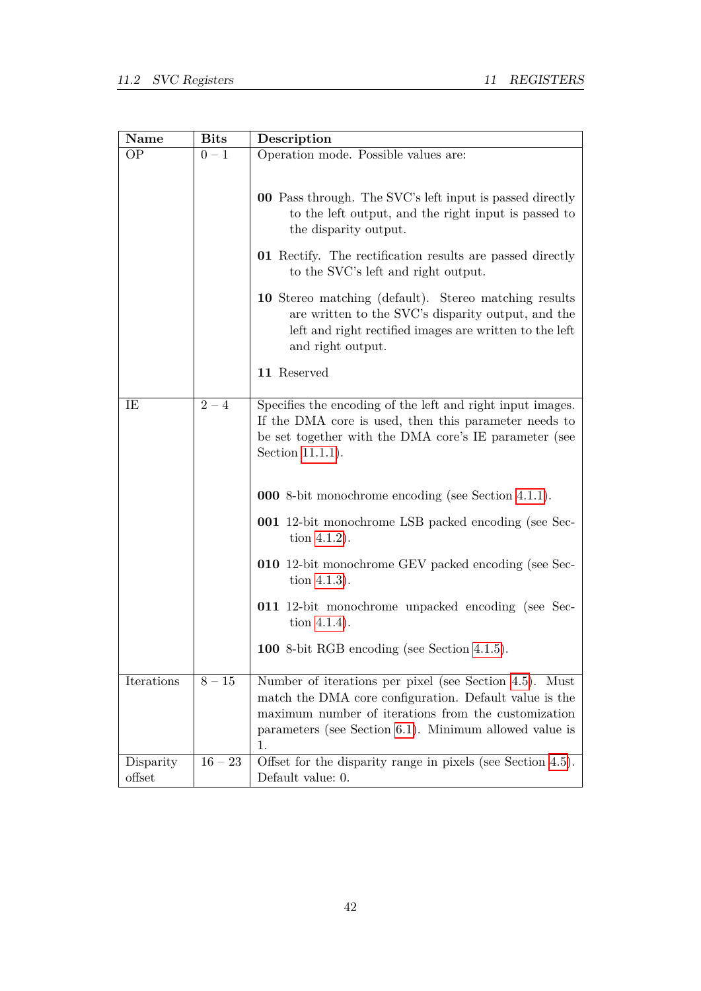| Name                | $_{\rm \bf Bits}$ | Description                                                                                                                                                                                                                             |
|---------------------|-------------------|-----------------------------------------------------------------------------------------------------------------------------------------------------------------------------------------------------------------------------------------|
| OΡ                  | $0-1$             | Operation mode. Possible values are:                                                                                                                                                                                                    |
|                     |                   | 00 Pass through. The SVC's left input is passed directly<br>to the left output, and the right input is passed to<br>the disparity output.<br>01 Rectify. The rectification results are passed directly                                  |
|                     |                   | to the SVC's left and right output.                                                                                                                                                                                                     |
|                     |                   | 10 Stereo matching (default). Stereo matching results<br>are written to the SVC's disparity output, and the<br>left and right rectified images are written to the left<br>and right output.                                             |
|                     |                   | 11 Reserved                                                                                                                                                                                                                             |
| IE                  | $2 - 4$           | Specifies the encoding of the left and right input images.<br>If the DMA core is used, then this parameter needs to<br>be set together with the DMA core's IE parameter (see<br>Section 11.1.1).                                        |
|                     |                   | <b>000</b> 8-bit monochrome encoding (see Section 4.1.1).                                                                                                                                                                               |
|                     |                   | <b>001</b> 12-bit monochrome LSB packed encoding (see Sec-<br>tion $4.1.2$ ).                                                                                                                                                           |
|                     |                   | 010 12-bit monochrome GEV packed encoding (see Sec-<br>tion $4.1.3$ ).                                                                                                                                                                  |
|                     |                   | 011 12-bit monochrome unpacked encoding (see Sec-<br>tion $4.1.4$ ).                                                                                                                                                                    |
|                     |                   | 100 8-bit RGB encoding (see Section 4.1.5).                                                                                                                                                                                             |
| Iterations          | $8 - 15$          | Number of iterations per pixel (see Section 4.5). Must<br>match the DMA core configuration. Default value is the<br>maximum number of iterations from the customization<br>parameters (see Section 6.1). Minimum allowed value is<br>1. |
| Disparity<br>offset | $16 - 23$         | Offset for the disparity range in pixels (see Section 4.5).<br>Default value: 0.                                                                                                                                                        |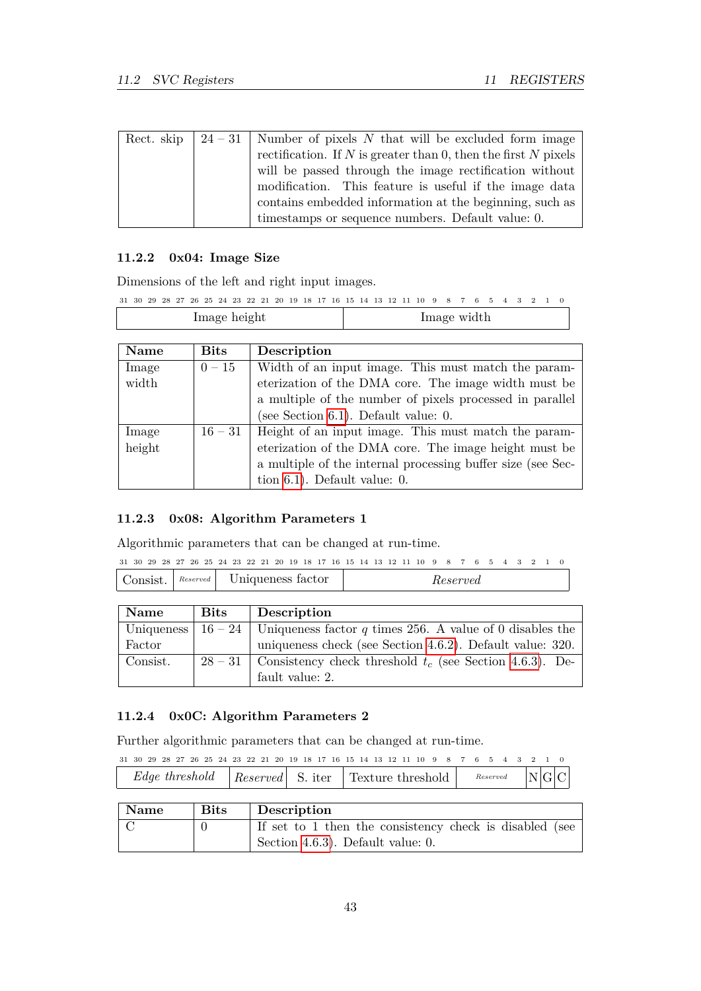| Rect. skip | $24-31$ Number of pixels N that will be excluded form image            |
|------------|------------------------------------------------------------------------|
|            | rectification. If N is greater than 0, then the first N pixels $\vert$ |
|            | will be passed through the image rectification without                 |
|            | modification. This feature is useful if the image data                 |
|            | contains embedded information at the beginning, such as                |
|            | timestamps or sequence numbers. Default value: 0.                      |

# <span id="page-43-0"></span>**11.2.2 0x04: Image Size**

Dimensions of the left and right input images.

```
31 \ 30 \ 29 \ 28 \ 27 \ 26 \ 25 \ 24 \ 23 \ 22 \ 21 \ 20 \ 19 \ 18 \ 17 \ 16 \ 15 \ 14 \ 13 \ 12 \ 11 \ 10 \ 9 \ 8 \ 7 \ 6 \ 5 \ 4 \ 3 \ 2 \ 1 \ 0
```

```
Image height Image width
```

| Name   | <b>Bits</b> | Description                                                 |
|--------|-------------|-------------------------------------------------------------|
| Image  | $0 - 15$    | Width of an input image. This must match the param-         |
| width  |             | eterization of the DMA core. The image width must be        |
|        |             | a multiple of the number of pixels processed in parallel    |
|        |             | (see Section 6.1). Default value: $0$ .                     |
| Image  | $16 - 31$   | Height of an input image. This must match the param-        |
| height |             | eterization of the DMA core. The image height must be       |
|        |             | a multiple of the internal processing buffer size (see Sec- |
|        |             | tion $6.1$ ). Default value: 0.                             |

#### <span id="page-43-1"></span>**11.2.3 0x08: Algorithm Parameters 1**

Algorithmic parameters that can be changed at run-time.

```
31 \ 30 \ 29 \ 28 \ 27 \ 26 \ 25 \ 24 \ 23 \ 22 \ 21 \ 20 \ 19 \ 18 \ 17 \ 16 \ 15 \ 14 \ 13 \ 12 \ 11 \ 10 \ 9 \ 8 \ 7 \ 6 \ 5 \ 4 \ 3 \ 2 \ 1 \ 0Consist. Reserved Uniqueness factor Reserved
```

| Name     | <b>Bits</b> | Description                                                                     |
|----------|-------------|---------------------------------------------------------------------------------|
|          |             | Uniqueness   16 – 24   Uniqueness factor q times 256. A value of 0 disables the |
| Factor   |             | uniqueness check (see Section 4.6.2). Default value: 320.                       |
| Consist. |             | $28-31$ Consistency check threshold $t_c$ (see Section 4.6.3). De-              |
|          |             | fault value: 2.                                                                 |

# <span id="page-43-2"></span>**11.2.4 0x0C: Algorithm Parameters 2**

Further algorithmic parameters that can be changed at run-time.

|  |  |  |  |  | 31 30 29 28 27 26 25 24 23 22 21 20 19 18 17 16 15 14 13 12 11 10 9 8 7 6 5 4 3 2 1 0 |  |  |  |  |  |  |  |  |  |  |
|--|--|--|--|--|---------------------------------------------------------------------------------------|--|--|--|--|--|--|--|--|--|--|
|  |  |  |  |  | <i>Edge threshold</i>   Reserved S. iter   Texture threshold   Reserved $N G C$       |  |  |  |  |  |  |  |  |  |  |

| Name | <b>Bits</b> | Description                                             |
|------|-------------|---------------------------------------------------------|
|      |             | If set to 1 then the consistency check is disabled (see |
|      |             | Section 4.6.3). Default value: 0.                       |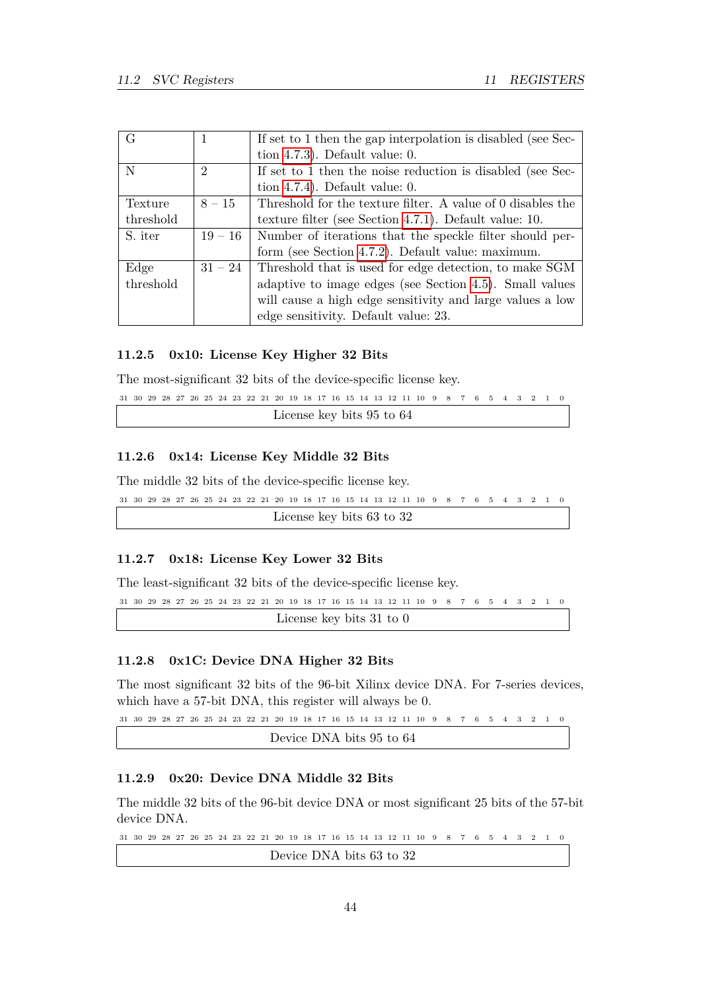| G         |                | If set to 1 then the gap interpolation is disabled (see Sec- |
|-----------|----------------|--------------------------------------------------------------|
|           |                | tion $4.7.3$ ). Default value: 0.                            |
| N         | $\overline{2}$ | If set to 1 then the noise reduction is disabled (see Sec-   |
|           |                | tion $4.7.4$ ). Default value: 0.                            |
| Texture   | $8 - 15$       | Threshold for the texture filter. A value of 0 disables the  |
| threshold |                | texture filter (see Section 4.7.1). Default value: $10$ .    |
| S. iter   | $19 - 16$      | Number of iterations that the speckle filter should per-     |
|           |                | form (see Section 4.7.2). Default value: maximum.            |
| Edge      | $31 - 24$      | Threshold that is used for edge detection, to make SGM       |
| threshold |                | adaptive to image edges (see Section 4.5). Small values      |
|           |                | will cause a high edge sensitivity and large values a low    |
|           |                | edge sensitivity. Default value: 23.                         |

# <span id="page-44-0"></span>**11.2.5 0x10: License Key Higher 32 Bits**

The most-significant 32 bits of the device-specific license key.

```
31 \ 30 \ 29 \ 28 \ 27 \ 26 \ 25 \ 24 \ 23 \ 22 \ 21 \ 20 \ 19 \ 18 \ 17 \ 16 \ 15 \ 14 \ 13 \ 12 \ 11 \ 10 \ 9 \ 8 \ 7 \ 6 \ 5 \ 4 \ 3 \ 2 \ 1 \ 0License key bits 95 to 64
```
# <span id="page-44-1"></span>**11.2.6 0x14: License Key Middle 32 Bits**

The middle 32 bits of the device-specific license key.

```
31 \ 30 \ 29 \ 28 \ 27 \ 26 \ 25 \ 24 \ 23 \ 22 \ 21 \ 20 \ 19 \ 18 \ 17 \ 16 \ 15 \ 14 \ 13 \ 12 \ 11 \ 10 \ 9 \ 8 \ 7 \ 6 \ 5 \ 4 \ 3 \ 2 \ 1 \ 0License key bits 63 to 32
```
# <span id="page-44-2"></span>**11.2.7 0x18: License Key Lower 32 Bits**

The least-significant 32 bits of the device-specific license key.

```
31 \ 30 \ 29 \ 28 \ 27 \ 26 \ 25 \ 24 \ 23 \ 22 \ 21 \ 20 \ 19 \ 18 \ 17 \ 16 \ 15 \ 14 \ 13 \ 12 \ 11 \ 10 \ 9 \ 8 \ 7 \ 6 \ 5 \ 4 \ 3 \ 2 \ 1 \ 0License key bits 31 to 0
```
#### <span id="page-44-3"></span>**11.2.8 0x1C: Device DNA Higher 32 Bits**

The most significant 32 bits of the 96-bit Xilinx device DNA. For 7-series devices, which have a 57-bit DNA, this register will always be 0.

```
31 \ 30 \ 29 \ 28 \ 27 \ 26 \ 25 \ 24 \ 23 \ 22 \ 21 \ 20 \ 19 \ 18 \ 17 \ 16 \ 15 \ 14 \ 13 \ 12 \ 11 \ 10 \ 9 \ 8 \ 7 \ 6 \ 5 \ 4 \ 3 \ 2 \ 1 \ 0
```
Device DNA bits 95 to 64

# <span id="page-44-4"></span>**11.2.9 0x20: Device DNA Middle 32 Bits**

The middle 32 bits of the 96-bit device DNA or most significant 25 bits of the 57-bit device DNA.

31 30 29 28 27 26 25 24 23 22 21 20 19 18 17 16 15 14 13 12 11 10 0123456789 Device DNA bits 63 to 32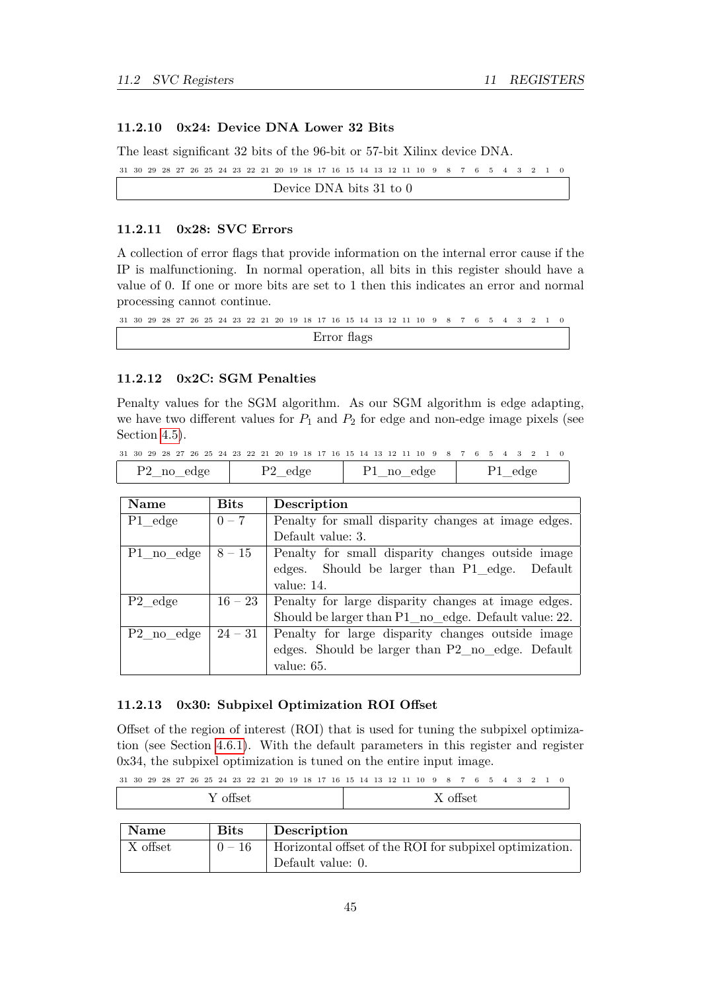# <span id="page-45-0"></span>**11.2.10 0x24: Device DNA Lower 32 Bits**

The least significant 32 bits of the 96-bit or 57-bit Xilinx device DNA.

```
31 \ 30 \ 29 \ 28 \ 27 \ 26 \ 25 \ 24 \ 23 \ 22 \ 21 \ 20 \ 19 \ 18 \ 17 \ 16 \ 15 \ 14 \ 13 \ 12 \ 11 \ 10 \ 9 \ 8 \ 7 \ 6 \ 5 \ 4 \ 3 \ 2 \ 1 \ 0Device DNA bits 31 to 0
```
#### <span id="page-45-1"></span>**11.2.11 0x28: SVC Errors**

A collection of error flags that provide information on the internal error cause if the IP is malfunctioning. In normal operation, all bits in this register should have a value of 0. If one or more bits are set to 1 then this indicates an error and normal processing cannot continue.

 $31 \ 30 \ 29 \ 28 \ 27 \ 26 \ 25 \ 24 \ 23 \ 22 \ 21 \ 20 \ 19 \ 18 \ 17 \ 16 \ 15 \ 14 \ 13 \ 12 \ 11 \ 10 \ 9 \ 8 \ 7 \ 6 \ 5 \ 4 \ 3 \ 2 \ 1 \ 0$ Error flags

#### <span id="page-45-2"></span>**11.2.12 0x2C: SGM Penalties**

Penalty values for the SGM algorithm. As our SGM algorithm is edge adapting, we have two different values for  $P_1$  and  $P_2$  for edge and non-edge image pixels (see Section [4.5\)](#page-12-1).

|  |  |            |  |  | 31 30 29 28 27 26 25 24 23 22 21 20 19 18 17 16 15 14 13 12 11 10 9 8 7 6 5 4 3 2 1 0 |  |  |  |  |            |  |  |         |  |  |  |
|--|--|------------|--|--|---------------------------------------------------------------------------------------|--|--|--|--|------------|--|--|---------|--|--|--|
|  |  | P2 no edge |  |  | P <sub>2</sub> edge                                                                   |  |  |  |  | P1 no edge |  |  | P1 edge |  |  |  |

| Name                   | <b>Bits</b> | Description                                          |
|------------------------|-------------|------------------------------------------------------|
| P1 edge                | $0 - 7$     | Penalty for small disparity changes at image edges.  |
|                        |             | Default value: 3.                                    |
| P1 no edge             | $8 - 15$    | Penalty for small disparity changes outside image    |
|                        |             | edges. Should be larger than P1_edge. Default        |
|                        |             | value: 14.                                           |
| P <sub>2</sub> edge    | $16 - 23$   | Penalty for large disparity changes at image edges.  |
|                        |             | Should be larger than P1 no edge. Default value: 22. |
| P <sub>2</sub> no edge | $24 - 31$   | Penalty for large disparity changes outside image    |
|                        |             | edges. Should be larger than P2 no edge. Default     |
|                        |             | value: 65.                                           |

### <span id="page-45-3"></span>**11.2.13 0x30: Subpixel Optimization ROI Offset**

Offset of the region of interest (ROI) that is used for tuning the subpixel optimization (see Section [4.6.1\)](#page-13-1). With the default parameters in this register and register 0x34, the subpixel optimization is tuned on the entire input image.

|  |  |  |  |  |  |  |  |  |  | 31 30 29 28 27 26 25 24 23 22 21 20 19 18 17 16 15 14 13 12 11 10 9 8 7 6 5 4 3 2 1 0 |  |  |  |  |  |
|--|--|--|--|--|--|--|--|--|--|---------------------------------------------------------------------------------------|--|--|--|--|--|
|  |  |  |  |  |  |  |  |  |  |                                                                                       |  |  |  |  |  |

| $\sim$<br>- -<br>offset<br>л. | $\sim$<br>ottset<br>$\overline{\phantom{a}}$<br>́<br>. .<br>. |
|-------------------------------|---------------------------------------------------------------|
|-------------------------------|---------------------------------------------------------------|

| Name     | <b>Bits</b> | Description                                             |
|----------|-------------|---------------------------------------------------------|
| X offset | $0 - 16$    | Horizontal offset of the ROI for subpixel optimization. |
|          |             | Default value: 0.                                       |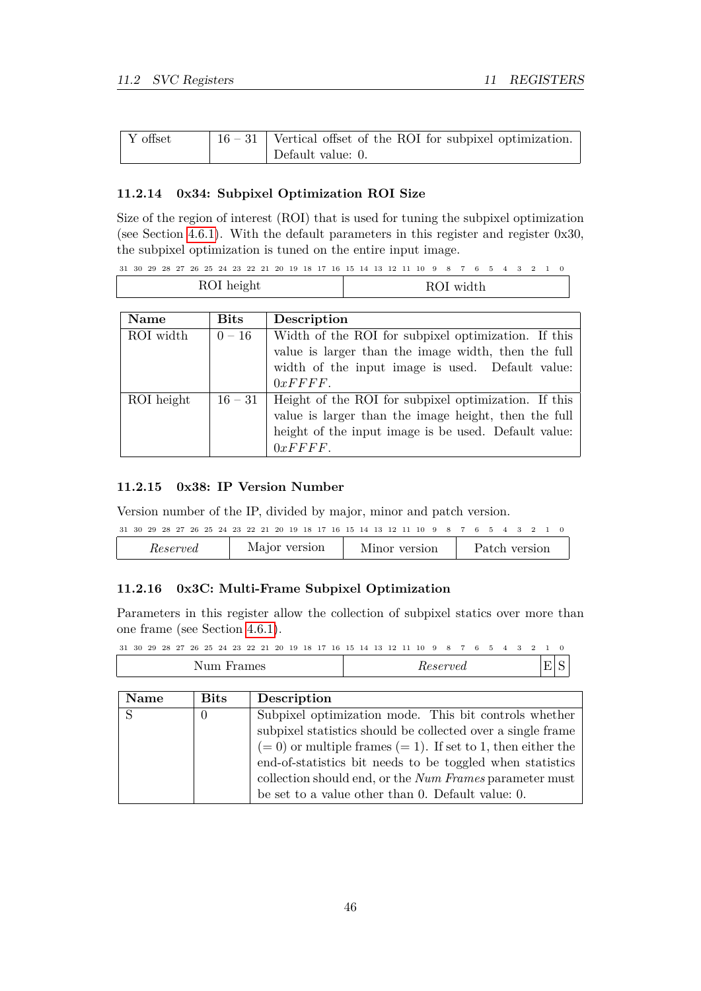| Y offset | $\vert$ 16 – 31   Vertical offset of the ROI for subpixel optimization. |
|----------|-------------------------------------------------------------------------|
|          | Default value: $0$ .                                                    |

# <span id="page-46-0"></span>**11.2.14 0x34: Subpixel Optimization ROI Size**

Size of the region of interest (ROI) that is used for tuning the subpixel optimization (see Section [4.6.1\)](#page-13-1). With the default parameters in this register and register 0x30, the subpixel optimization is tuned on the entire input image.

| 31 30 29 28 27 26 25 24 23 22 21 20 19 18 17 16 15 14 13 12 11 10 9 8 7 6 5 4 3 2 1 0 |  |  |  |  |  |  |  |  |  |  |  |  |  |  |  |
|---------------------------------------------------------------------------------------|--|--|--|--|--|--|--|--|--|--|--|--|--|--|--|
|                                                                                       |  |  |  |  |  |  |  |  |  |  |  |  |  |  |  |

|           | ROI height  | ROI width                                           |
|-----------|-------------|-----------------------------------------------------|
| Name      | <b>Bits</b> | Description                                         |
| ROI width | $0 - 16$    | Width of the ROI for subpixel optimization. If this |

| RUI WIGUI  | $0 - 10$  | Width of the ROI for subplied optimization. If this  |
|------------|-----------|------------------------------------------------------|
|            |           | value is larger than the image width, then the full  |
|            |           | width of the input image is used. Default value:     |
|            |           | 0xFFFF.                                              |
| ROI height | $16 - 31$ | Height of the ROI for subpixel optimization. If this |
|            |           | value is larger than the image height, then the full |
|            |           | height of the input image is be used. Default value: |
|            |           | 0xFFF.                                               |
|            |           |                                                      |

### <span id="page-46-1"></span>**11.2.15 0x38: IP Version Number**

Version number of the IP, divided by major, minor and patch version.

| 31 30 29 28 27 26 25 24 23 22 21 20 19 18 17 16 15 14 13 12 11 10 9 8 7 6 5 4 3 2 1 0 |
|---------------------------------------------------------------------------------------|
|---------------------------------------------------------------------------------------|

| version<br>Major<br>version<br>$_{\it{erved}}$<br>version<br>Minor<br>Patch<br>$_{\pi e s e r}$ |  |  |  |  |
|-------------------------------------------------------------------------------------------------|--|--|--|--|
|-------------------------------------------------------------------------------------------------|--|--|--|--|

# <span id="page-46-2"></span>**11.2.16 0x3C: Multi-Frame Subpixel Optimization**

Parameters in this register allow the collection of subpixel statics over more than one frame (see Section [4.6.1\)](#page-13-1).

 $31 \ 30 \ 29 \ 28 \ 27 \ 26 \ 25 \ 24 \ 23 \ 22 \ 21 \ 20 \ 19 \ 18 \ 17 \ 16 \ 15 \ 14 \ 13 \ 12 \ 11 \ 10 \ 9 \ 8 \ 7 \ 6 \ 5 \ 4 \ 3 \ 2 \ 1 \ 0$ Num Frames *Reserved* E S

| <b>Name</b> | <b>Bits</b> | Description                                                       |
|-------------|-------------|-------------------------------------------------------------------|
|             | $\theta$    | Subpixel optimization mode. This bit controls whether             |
|             |             | subpixel statistics should be collected over a single frame       |
|             |             | $(= 0)$ or multiple frames $(= 1)$ . If set to 1, then either the |
|             |             | end-of-statistics bit needs to be toggled when statistics         |
|             |             | collection should end, or the Num Frames parameter must           |
|             |             | be set to a value other than 0. Default value: 0.                 |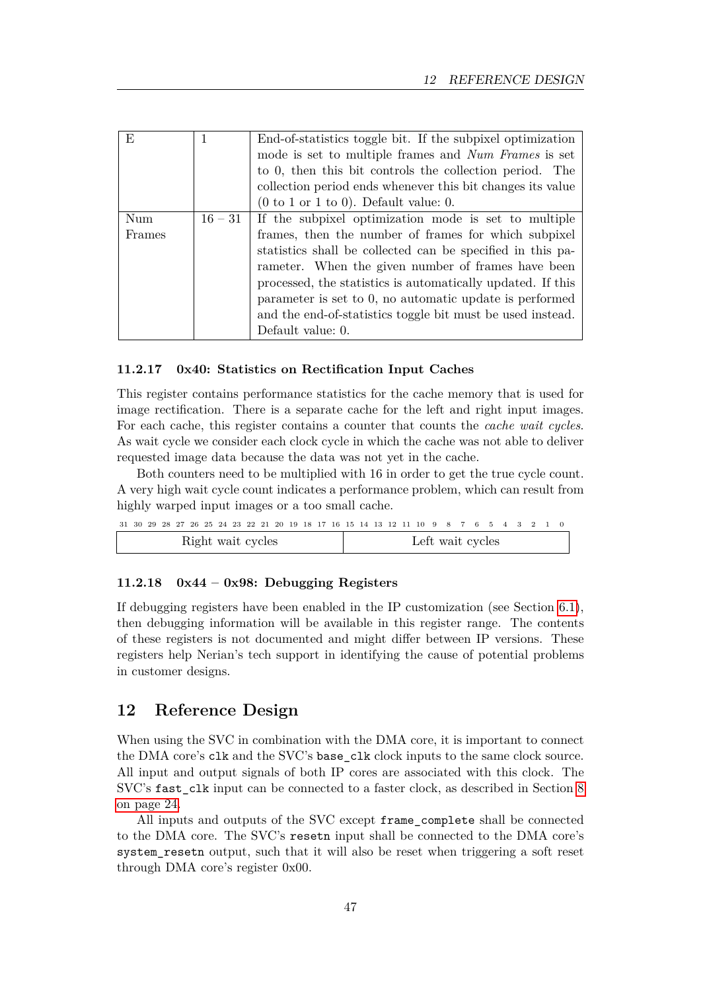| F,     |           | End-of-statistics toggle bit. If the subpixel optimization          |
|--------|-----------|---------------------------------------------------------------------|
|        |           | mode is set to multiple frames and Num Frames is set                |
|        |           | to 0, then this bit controls the collection period. The             |
|        |           | collection period ends whenever this bit changes its value          |
|        |           | $(0 \text{ to } 1 \text{ or } 1 \text{ to } 0)$ . Default value: 0. |
| Num    | $16 - 31$ | If the subpixel optimization mode is set to multiple                |
| Frames |           | frames, then the number of frames for which subpixel                |
|        |           | statistics shall be collected can be specified in this pa-          |
|        |           | rameter. When the given number of frames have been                  |
|        |           | processed, the statistics is automatically updated. If this         |
|        |           | parameter is set to 0, no automatic update is performed             |
|        |           | and the end-of-statistics toggle bit must be used instead.          |
|        |           | Default value: 0.                                                   |

#### <span id="page-47-0"></span>**11.2.17 0x40: Statistics on Rectification Input Caches**

This register contains performance statistics for the cache memory that is used for image rectification. There is a separate cache for the left and right input images. For each cache, this register contains a counter that counts the *cache wait cycles*. As wait cycle we consider each clock cycle in which the cache was not able to deliver requested image data because the data was not yet in the cache.

Both counters need to be multiplied with 16 in order to get the true cycle count. A very high wait cycle count indicates a performance problem, which can result from highly warped input images or a too small cache.

|                   |  |  |  |  |  |  |  |  |                  |  |  |  |  |  |  |  |  | 31 30 29 28 27 26 25 24 23 22 21 20 19 18 17 16 15 14 13 12 11 10 9 8 7 6 5 4 3 2 1 0 |  |  |  |  |  |
|-------------------|--|--|--|--|--|--|--|--|------------------|--|--|--|--|--|--|--|--|---------------------------------------------------------------------------------------|--|--|--|--|--|
| Right wait cycles |  |  |  |  |  |  |  |  | Left wait cycles |  |  |  |  |  |  |  |  |                                                                                       |  |  |  |  |  |

# <span id="page-47-1"></span>**11.2.18 0x44 – 0x98: Debugging Registers**

If debugging registers have been enabled in the IP customization (see Section [6.1\)](#page-18-2), then debugging information will be available in this register range. The contents of these registers is not documented and might differ between IP versions. These registers help Nerian's tech support in identifying the cause of potential problems in customer designs.

# <span id="page-47-2"></span>**12 Reference Design**

When using the SVC in combination with the DMA core, it is important to connect the DMA core's clk and the SVC's base\_clk clock inputs to the same clock source. All input and output signals of both IP cores are associated with this clock. The SVC's fast\_clk input can be connected to a faster clock, as described in Section [8](#page-24-1) [on page 24.](#page-24-1)

All inputs and outputs of the SVC except frame\_complete shall be connected to the DMA core. The SVC's resetn input shall be connected to the DMA core's system\_resetn output, such that it will also be reset when triggering a soft reset through DMA core's register 0x00.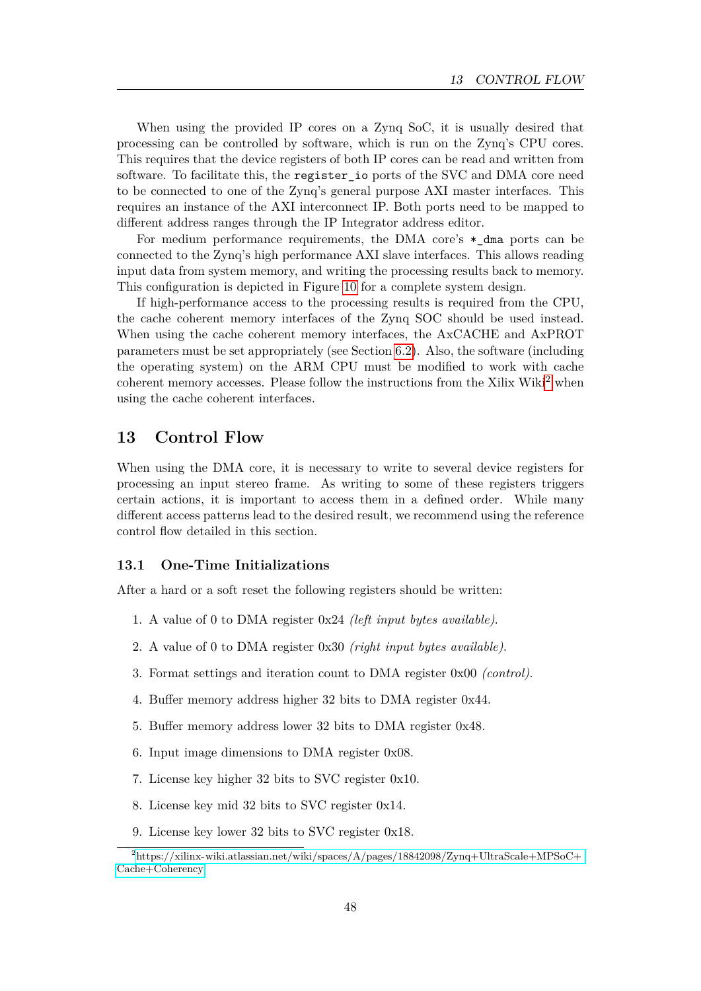When using the provided IP cores on a Zynq SoC, it is usually desired that processing can be controlled by software, which is run on the Zynq's CPU cores. This requires that the device registers of both IP cores can be read and written from software. To facilitate this, the register io ports of the SVC and DMA core need to be connected to one of the Zynq's general purpose AXI master interfaces. This requires an instance of the AXI interconnect IP. Both ports need to be mapped to different address ranges through the IP Integrator address editor.

For medium performance requirements, the DMA core's  $*$  dma ports can be connected to the Zynq's high performance AXI slave interfaces. This allows reading input data from system memory, and writing the processing results back to memory. This configuration is depicted in Figure [10](#page-49-0) for a complete system design.

If high-performance access to the processing results is required from the CPU, the cache coherent memory interfaces of the Zynq SOC should be used instead. When using the cache coherent memory interfaces, the AxCACHE and AxPROT parameters must be set appropriately (see Section [6.2\)](#page-22-1). Also, the software (including the operating system) on the ARM CPU must be modified to work with cache coherent memory accesses. Please follow the instructions from the Xilix Wiki<sup>[2](#page-48-2)</sup> when using the cache coherent interfaces.

# <span id="page-48-0"></span>**13 Control Flow**

When using the DMA core, it is necessary to write to several device registers for processing an input stereo frame. As writing to some of these registers triggers certain actions, it is important to access them in a defined order. While many different access patterns lead to the desired result, we recommend using the reference control flow detailed in this section.

# <span id="page-48-1"></span>**13.1 One-Time Initializations**

After a hard or a soft reset the following registers should be written:

- 1. A value of 0 to DMA register 0x24 *(left input bytes available)*.
- 2. A value of 0 to DMA register 0x30 *(right input bytes available)*.
- 3. Format settings and iteration count to DMA register 0x00 *(control)*.
- 4. Buffer memory address higher 32 bits to DMA register 0x44.
- 5. Buffer memory address lower 32 bits to DMA register 0x48.
- 6. Input image dimensions to DMA register 0x08.
- 7. License key higher 32 bits to SVC register 0x10.
- 8. License key mid 32 bits to SVC register 0x14.
- <span id="page-48-2"></span>9. License key lower 32 bits to SVC register 0x18.

<sup>2</sup>[https://xilinx-wiki.atlassian.net/wiki/spaces/A/pages/18842098/Zynq+UltraScale+MPSoC+](https://xilinx-wiki.atlassian.net/wiki/spaces/A/pages/18842098/Zynq+UltraScale+MPSoC+Cache+Coherency) [Cache+Coherency](https://xilinx-wiki.atlassian.net/wiki/spaces/A/pages/18842098/Zynq+UltraScale+MPSoC+Cache+Coherency)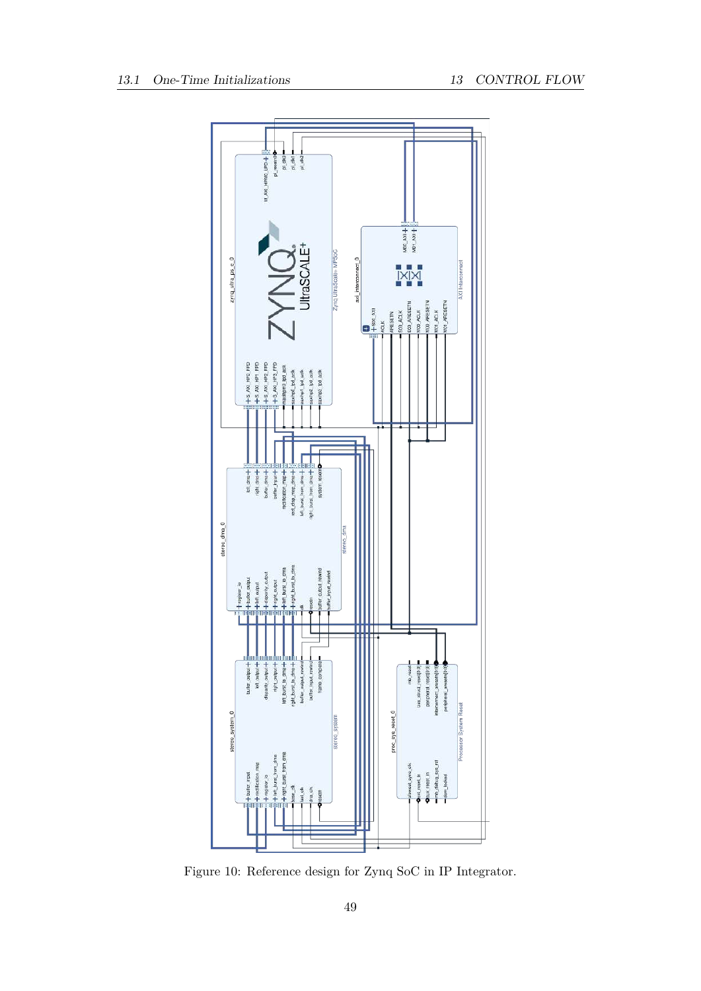<span id="page-49-0"></span>

Figure 10: Reference design for Zynq SoC in IP Integrator.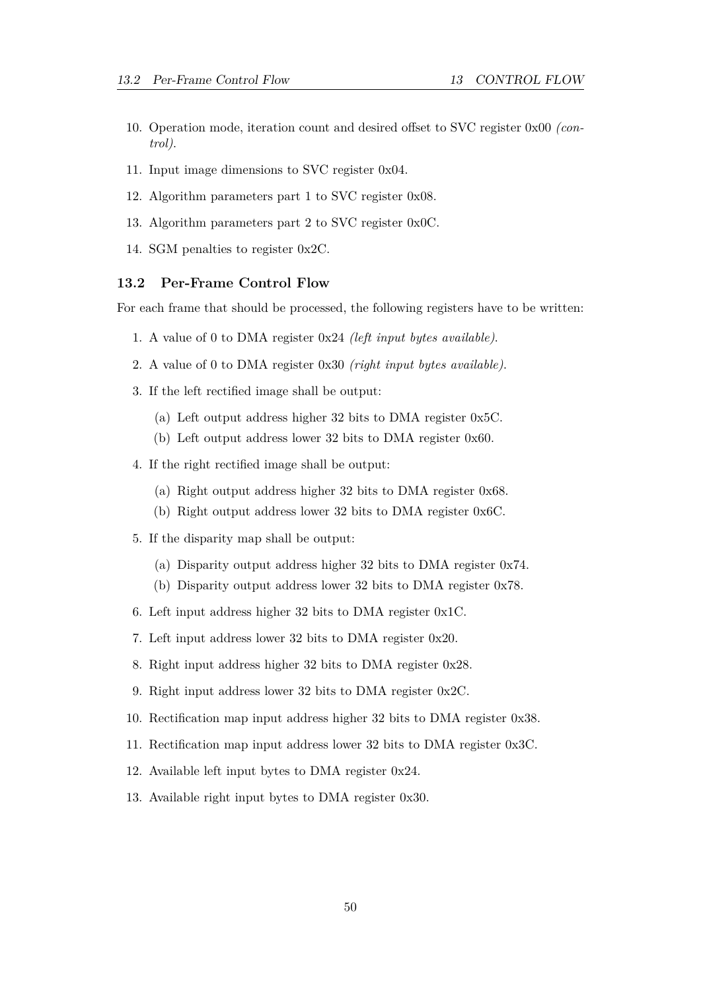- 10. Operation mode, iteration count and desired offset to SVC register 0x00 *(control)*.
- 11. Input image dimensions to SVC register 0x04.
- 12. Algorithm parameters part 1 to SVC register 0x08.
- 13. Algorithm parameters part 2 to SVC register 0x0C.
- 14. SGM penalties to register 0x2C.

#### <span id="page-50-0"></span>**13.2 Per-Frame Control Flow**

For each frame that should be processed, the following registers have to be written:

- 1. A value of 0 to DMA register 0x24 *(left input bytes available)*.
- 2. A value of 0 to DMA register 0x30 *(right input bytes available)*.
- 3. If the left rectified image shall be output:
	- (a) Left output address higher 32 bits to DMA register 0x5C.
	- (b) Left output address lower 32 bits to DMA register 0x60.
- 4. If the right rectified image shall be output:
	- (a) Right output address higher 32 bits to DMA register 0x68.
	- (b) Right output address lower 32 bits to DMA register 0x6C.
- 5. If the disparity map shall be output:
	- (a) Disparity output address higher 32 bits to DMA register 0x74.
	- (b) Disparity output address lower 32 bits to DMA register 0x78.
- 6. Left input address higher 32 bits to DMA register 0x1C.
- 7. Left input address lower 32 bits to DMA register 0x20.
- 8. Right input address higher 32 bits to DMA register 0x28.
- 9. Right input address lower 32 bits to DMA register 0x2C.
- 10. Rectification map input address higher 32 bits to DMA register 0x38.
- 11. Rectification map input address lower 32 bits to DMA register 0x3C.
- 12. Available left input bytes to DMA register 0x24.
- 13. Available right input bytes to DMA register 0x30.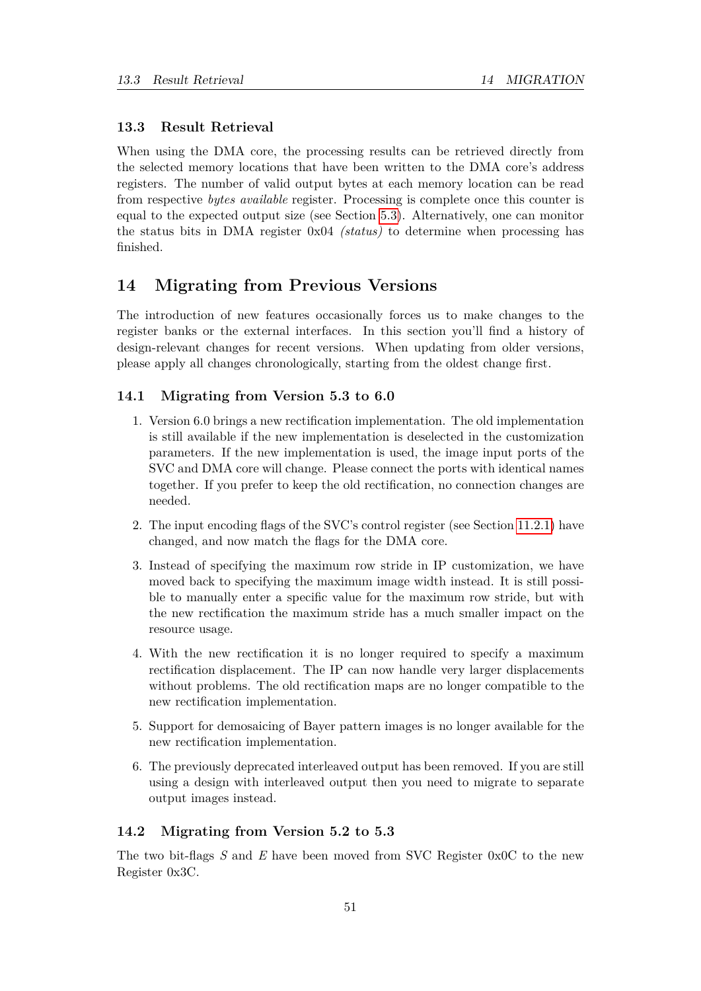# <span id="page-51-0"></span>**13.3 Result Retrieval**

When using the DMA core, the processing results can be retrieved directly from the selected memory locations that have been written to the DMA core's address registers. The number of valid output bytes at each memory location can be read from respective *bytes available* register. Processing is complete once this counter is equal to the expected output size (see Section [5.3\)](#page-16-0). Alternatively, one can monitor the status bits in DMA register 0x04 *(status)* to determine when processing has finished.

# <span id="page-51-1"></span>**14 Migrating from Previous Versions**

The introduction of new features occasionally forces us to make changes to the register banks or the external interfaces. In this section you'll find a history of design-relevant changes for recent versions. When updating from older versions, please apply all changes chronologically, starting from the oldest change first.

# <span id="page-51-2"></span>**14.1 Migrating from Version 5.3 to 6.0**

- 1. Version 6.0 brings a new rectification implementation. The old implementation is still available if the new implementation is deselected in the customization parameters. If the new implementation is used, the image input ports of the SVC and DMA core will change. Please connect the ports with identical names together. If you prefer to keep the old rectification, no connection changes are needed.
- 2. The input encoding flags of the SVC's control register (see Section [11.2.1\)](#page-41-4) have changed, and now match the flags for the DMA core.
- 3. Instead of specifying the maximum row stride in IP customization, we have moved back to specifying the maximum image width instead. It is still possible to manually enter a specific value for the maximum row stride, but with the new rectification the maximum stride has a much smaller impact on the resource usage.
- 4. With the new rectification it is no longer required to specify a maximum rectification displacement. The IP can now handle very larger displacements without problems. The old rectification maps are no longer compatible to the new rectification implementation.
- 5. Support for demosaicing of Bayer pattern images is no longer available for the new rectification implementation.
- 6. The previously deprecated interleaved output has been removed. If you are still using a design with interleaved output then you need to migrate to separate output images instead.

### <span id="page-51-3"></span>**14.2 Migrating from Version 5.2 to 5.3**

The two bit-flags *S* and *E* have been moved from SVC Register 0x0C to the new Register 0x3C.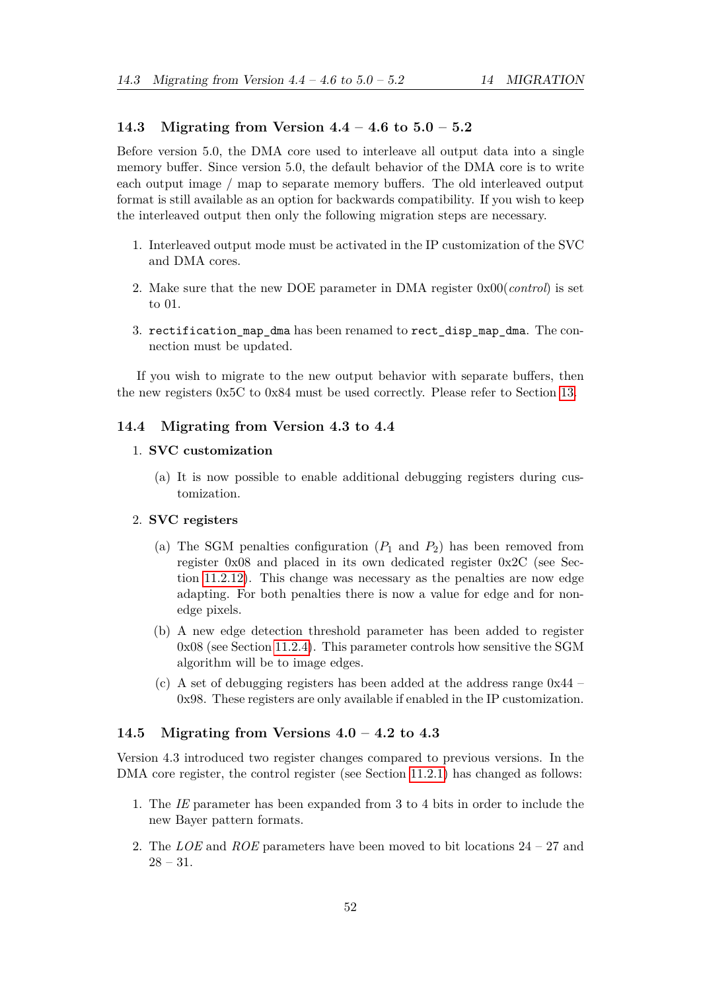# <span id="page-52-0"></span>**14.3 Migrating from Version 4.4 – 4.6 to 5.0 – 5.2**

Before version 5.0, the DMA core used to interleave all output data into a single memory buffer. Since version 5.0, the default behavior of the DMA core is to write each output image / map to separate memory buffers. The old interleaved output format is still available as an option for backwards compatibility. If you wish to keep the interleaved output then only the following migration steps are necessary.

- 1. Interleaved output mode must be activated in the IP customization of the SVC and DMA cores.
- 2. Make sure that the new DOE parameter in DMA register 0x00(*control*) is set to 01.
- 3. rectification\_map\_dma has been renamed to rect\_disp\_map\_dma. The connection must be updated.

If you wish to migrate to the new output behavior with separate buffers, then the new registers 0x5C to 0x84 must be used correctly. Please refer to Section [13.](#page-48-0)

# <span id="page-52-1"></span>**14.4 Migrating from Version 4.3 to 4.4**

### 1. **SVC customization**

(a) It is now possible to enable additional debugging registers during customization.

### 2. **SVC registers**

- (a) The SGM penalties configuration  $(P_1 \text{ and } P_2)$  has been removed from register 0x08 and placed in its own dedicated register 0x2C (see Section [11.2.12\)](#page-45-2). This change was necessary as the penalties are now edge adapting. For both penalties there is now a value for edge and for nonedge pixels.
- (b) A new edge detection threshold parameter has been added to register 0x08 (see Section [11.2.4\)](#page-43-2). This parameter controls how sensitive the SGM algorithm will be to image edges.
- (c) A set of debugging registers has been added at the address range 0x44 0x98. These registers are only available if enabled in the IP customization.

#### <span id="page-52-2"></span>**14.5 Migrating from Versions 4.0 – 4.2 to 4.3**

Version 4.3 introduced two register changes compared to previous versions. In the DMA core register, the control register (see Section [11.2.1\)](#page-41-4) has changed as follows:

- 1. The *IE* parameter has been expanded from 3 to 4 bits in order to include the new Bayer pattern formats.
- 2. The *LOE* and *ROE* parameters have been moved to bit locations 24 27 and  $28 - 31.$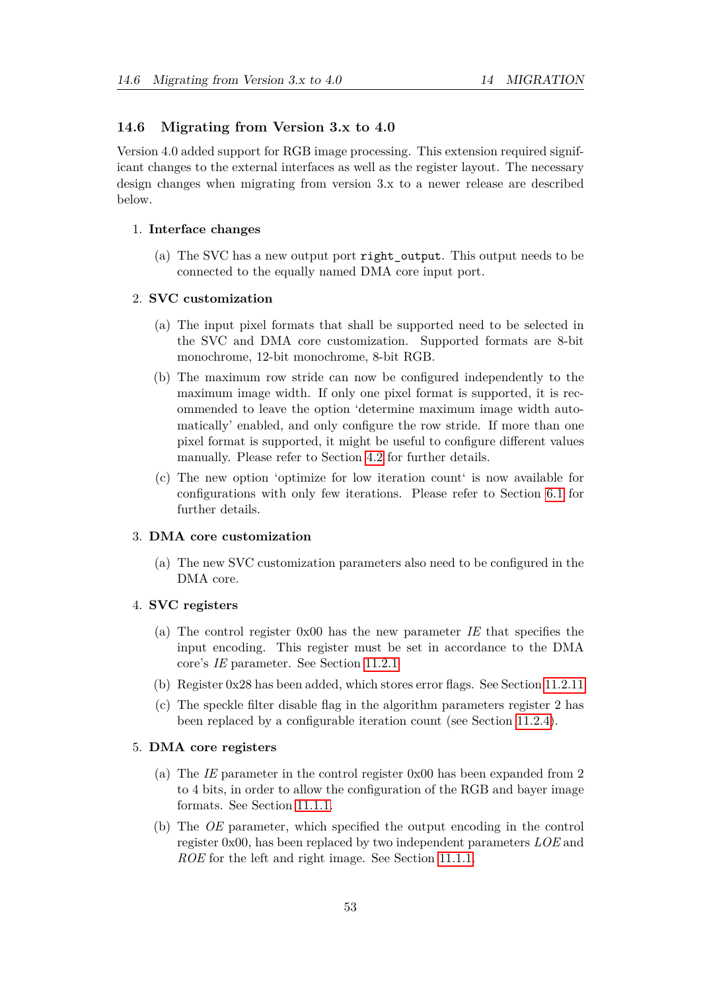### <span id="page-53-0"></span>**14.6 Migrating from Version 3.x to 4.0**

Version 4.0 added support for RGB image processing. This extension required significant changes to the external interfaces as well as the register layout. The necessary design changes when migrating from version 3.x to a newer release are described below.

#### 1. **Interface changes**

(a) The SVC has a new output port right\_output. This output needs to be connected to the equally named DMA core input port.

### 2. **SVC customization**

- (a) The input pixel formats that shall be supported need to be selected in the SVC and DMA core customization. Supported formats are 8-bit monochrome, 12-bit monochrome, 8-bit RGB.
- (b) The maximum row stride can now be configured independently to the maximum image width. If only one pixel format is supported, it is recommended to leave the option 'determine maximum image width automatically' enabled, and only configure the row stride. If more than one pixel format is supported, it might be useful to configure different values manually. Please refer to Section [4.2](#page-11-1) for further details.
- (c) The new option 'optimize for low iteration count' is now available for configurations with only few iterations. Please refer to Section [6.1](#page-18-2) for further details.

### 3. **DMA core customization**

(a) The new SVC customization parameters also need to be configured in the DMA core.

#### 4. **SVC registers**

- (a) The control register 0x00 has the new parameter *IE* that specifies the input encoding. This register must be set in accordance to the DMA core's *IE* parameter. See Section [11.2.1](#page-41-4)
- (b) Register 0x28 has been added, which stores error flags. See Section [11.2.11.](#page-45-1)
- (c) The speckle filter disable flag in the algorithm parameters register 2 has been replaced by a configurable iteration count (see Section [11.2.4\)](#page-43-2).

# 5. **DMA core registers**

- (a) The *IE* parameter in the control register 0x00 has been expanded from 2 to 4 bits, in order to allow the configuration of the RGB and bayer image formats. See Section [11.1.1.](#page-33-1)
- (b) The *OE* parameter, which specified the output encoding in the control register 0x00, has been replaced by two independent parameters *LOE* and *ROE* for the left and right image. See Section [11.1.1.](#page-33-1)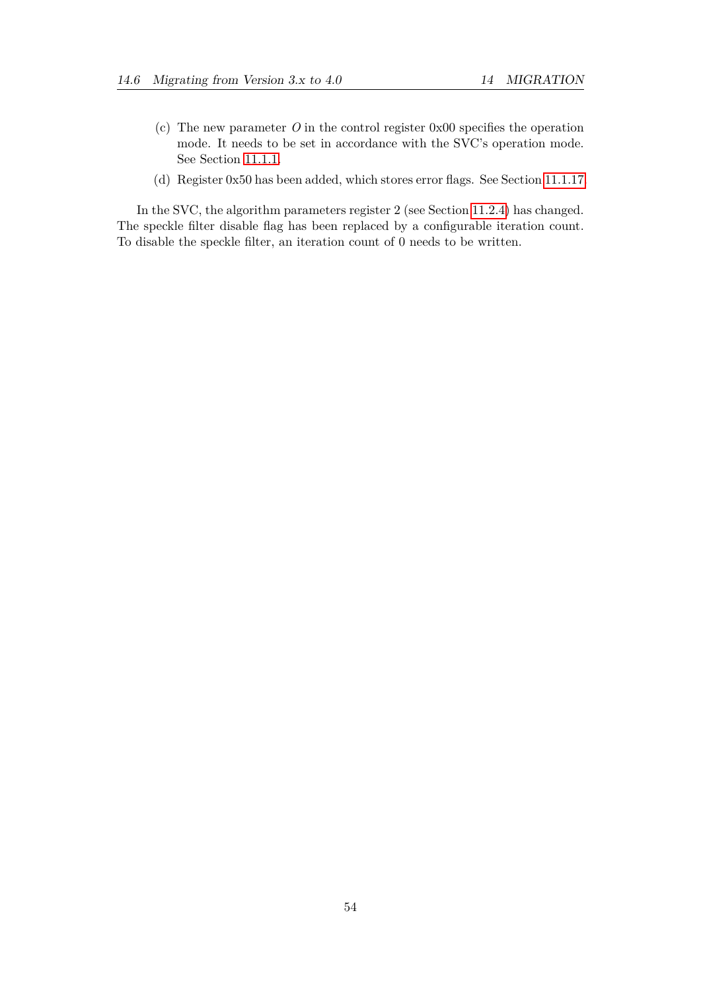- (c) The new parameter *O* in the control register 0x00 specifies the operation mode. It needs to be set in accordance with the SVC's operation mode. See Section [11.1.1.](#page-33-1)
- (d) Register 0x50 has been added, which stores error flags. See Section [11.1.17.](#page-39-1)

In the SVC, the algorithm parameters register 2 (see Section [11.2.4\)](#page-43-2) has changed. The speckle filter disable flag has been replaced by a configurable iteration count. To disable the speckle filter, an iteration count of 0 needs to be written.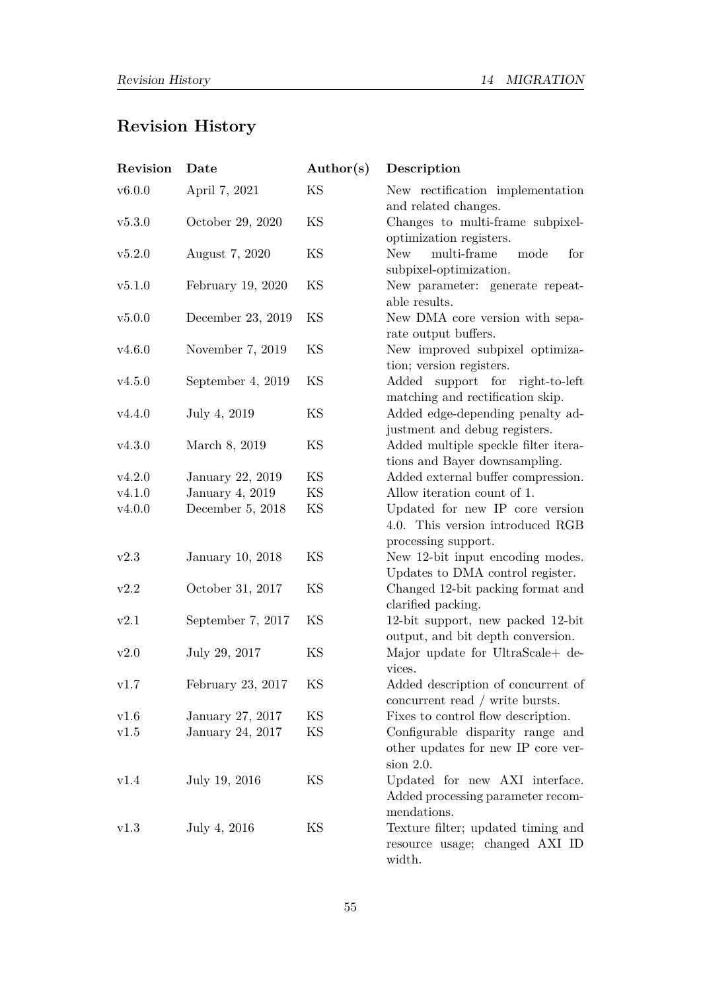# **Revision History**

| Revision | Date              | Author(s) | Description                                                                                |
|----------|-------------------|-----------|--------------------------------------------------------------------------------------------|
| v6.0.0   | April 7, 2021     | KS        | New rectification implementation<br>and related changes.                                   |
| v5.3.0   | October 29, 2020  | KS        | Changes to multi-frame subpixel-<br>optimization registers.                                |
| v5.2.0   | August 7, 2020    | KS        | multi-frame<br><b>New</b><br>mode<br>for<br>subpixel-optimization.                         |
| v5.1.0   | February 19, 2020 | KS        | New parameter: generate repeat-<br>able results.                                           |
| v5.0.0   | December 23, 2019 | KS        | New DMA core version with sepa-<br>rate output buffers.                                    |
| v4.6.0   | November 7, 2019  | KS        | New improved subpixel optimiza-<br>tion; version registers.                                |
| v4.5.0   | September 4, 2019 | KS        | support for<br>$\rm Added$<br>right-to-left<br>matching and rectification skip.            |
| v4.4.0   | July 4, 2019      | KS        | Added edge-depending penalty ad-<br>justment and debug registers.                          |
| v4.3.0   | March 8, 2019     | KS        | Added multiple speckle filter itera-<br>tions and Bayer downsampling.                      |
| v4.2.0   | January 22, 2019  | KS        | Added external buffer compression.                                                         |
| v4.1.0   | January 4, 2019   | KS        | Allow iteration count of 1.                                                                |
| v4.0.0   | December 5, 2018  | KS        | Updated for new IP core version<br>4.0. This version introduced RGB<br>processing support. |
| v2.3     | January 10, 2018  | KS        | New 12-bit input encoding modes.<br>Updates to DMA control register.                       |
| v2.2     | October 31, 2017  | KS        | Changed 12-bit packing format and<br>clarified packing.                                    |
| v2.1     | September 7, 2017 | KS        | 12-bit support, new packed 12-bit<br>output, and bit depth conversion.                     |
| v2.0     | July 29, 2017     | KS        | Major update for UltraScale+ de-<br>vices.                                                 |
| v1.7     | February 23, 2017 | KS        | Added description of concurrent of<br>concurrent read / write bursts.                      |
| v1.6     | January 27, 2017  | KS        | Fixes to control flow description.                                                         |
| v1.5     | January 24, 2017  | KS        | Configurable disparity range and<br>other updates for new IP core ver-<br>$sion$ 2.0.      |
| v1.4     | July 19, 2016     | KS        | Updated for new AXI interface.<br>Added processing parameter recom-<br>mendations.         |
| v1.3     | July 4, 2016      | ΚS        | Texture filter; updated timing and<br>resource usage; changed AXI ID<br>width.             |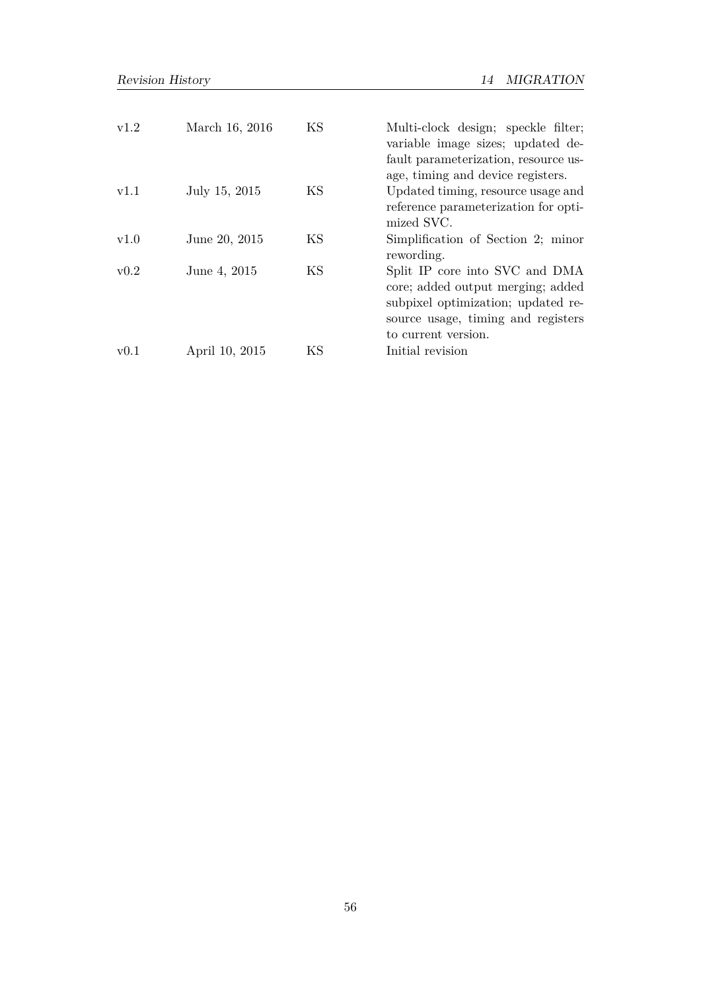| v1.2 | March 16, 2016 | KS | Multi-clock design; speckle filter;<br>variable image sizes; updated de-<br>fault parameterization, resource us-<br>age, timing and device registers.                  |
|------|----------------|----|------------------------------------------------------------------------------------------------------------------------------------------------------------------------|
| v1.1 | July 15, 2015  | ΚS | Updated timing, resource usage and<br>reference parameterization for opti-<br>mized SVC.                                                                               |
| v1.0 | June 20, 2015  | KS | Simplification of Section 2; minor<br>rewording.                                                                                                                       |
| v0.2 | June 4, 2015   | KS | Split IP core into SVC and DMA<br>core; added output merging; added<br>subpixel optimization; updated re-<br>source usage, timing and registers<br>to current version. |
| v0.1 | April 10, 2015 | ΚS | Initial revision                                                                                                                                                       |